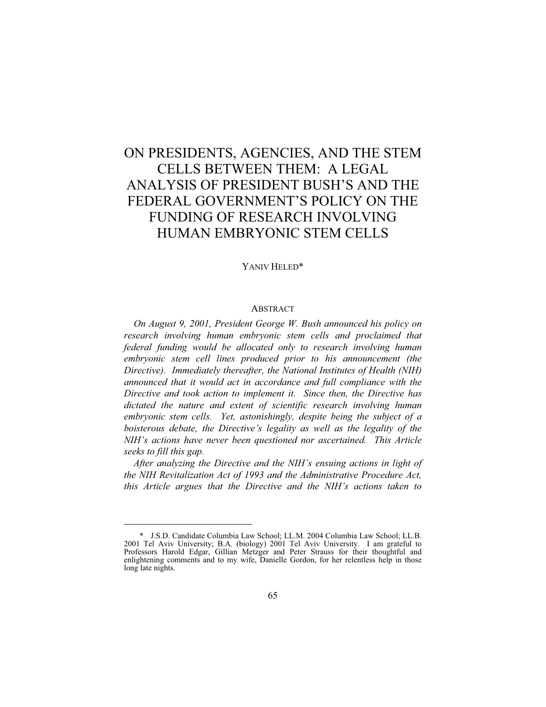# ON PRESIDENTS, AGENCIES, AND THE STEM CELLS BETWEEN THEM: A LEGAL ANALYSIS OF PRESIDENT BUSH'S AND THE FEDERAL GOVERNMENT'S POLICY ON THE FUNDING OF RESEARCH INVOLVING HUMAN EMBRYONIC STEM CELLS

### YANIV HELED\*

### ABSTRACT

*On August 9, 2001, President George W. Bush announced his policy on research involving human embryonic stem cells and proclaimed that federal funding would be allocated only to research involving human embryonic stem cell lines produced prior to his announcement (the Directive). Immediately thereafter, the National Institutes of Health (NIH) announced that it would act in accordance and full compliance with the Directive and took action to implement it. Since then, the Directive has dictated the nature and extent of scientific research involving human embryonic stem cells. Yet, astonishingly, despite being the subject of a boisterous debate, the Directive's legality as well as the legality of the NIH's actions have never been questioned nor ascertained. This Article seeks to fill this gap.* 

*After analyzing the Directive and the NIH's ensuing actions in light of the NIH Revitalization Act of 1993 and the Administrative Procedure Act, this Article argues that the Directive and the NIH's actions taken to* 

 <sup>\*</sup> J.S.D. Candidate Columbia Law School; LL.M. 2004 Columbia Law School; LL.B. 2001 Tel Aviv University; B.A. (biology) 2001 Tel Aviv University. I am grateful to Professors Harold Edgar, Gillian Metzger and Peter Strauss for their thoughtful and enlightening comments and to my wife, Danielle Gordon, for her relentless help in those long late nights.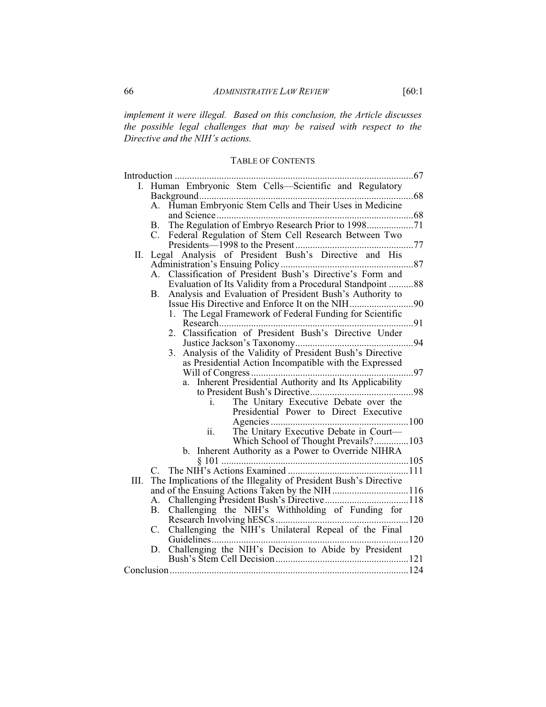*implement it were illegal. Based on this conclusion, the Article discusses the possible legal challenges that may be raised with respect to the Directive and the NIH's actions.*

# TABLE OF CONTENTS

|    | I. Human Embryonic Stem Cells-Scientific and Regulatory               |  |
|----|-----------------------------------------------------------------------|--|
|    |                                                                       |  |
|    | Human Embryonic Stem Cells and Their Uses in Medicine<br>A.           |  |
|    |                                                                       |  |
|    | B.                                                                    |  |
|    | Federal Regulation of Stem Cell Research Between Two<br>C.            |  |
|    |                                                                       |  |
| П. | Legal Analysis of President Bush's Directive and His                  |  |
|    |                                                                       |  |
|    | Classification of President Bush's Directive's Form and<br>A.         |  |
|    | Evaluation of Its Validity from a Procedural Standpoint 88            |  |
|    | Analysis and Evaluation of President Bush's Authority to<br><b>B.</b> |  |
|    |                                                                       |  |
|    | The Legal Framework of Federal Funding for Scientific<br>1.           |  |
|    |                                                                       |  |
|    |                                                                       |  |
|    |                                                                       |  |
|    | Analysis of the Validity of President Bush's Directive<br>3.          |  |
|    | as Presidential Action Incompatible with the Expressed                |  |
|    |                                                                       |  |
|    | Inherent Presidential Authority and Its Applicability<br>a.           |  |
|    |                                                                       |  |
|    | The Unitary Executive Debate over the<br>i.                           |  |
|    | Presidential Power to Direct Executive                                |  |
|    |                                                                       |  |
|    | ii.<br>The Unitary Executive Debate in Court-                         |  |
|    | Which School of Thought Prevails?103                                  |  |
|    | b. Inherent Authority as a Power to Override NIHRA                    |  |
|    |                                                                       |  |
|    |                                                                       |  |
| Ш. | The Implications of the Illegality of President Bush's Directive      |  |
|    | and of the Ensuing Actions Taken by the NIH 116                       |  |
|    | A.                                                                    |  |
|    | <b>B.</b>                                                             |  |
|    |                                                                       |  |
|    | C.                                                                    |  |
|    |                                                                       |  |
|    | Challenging the NIH's Decision to Abide by President<br>D.            |  |
|    |                                                                       |  |
|    |                                                                       |  |
|    |                                                                       |  |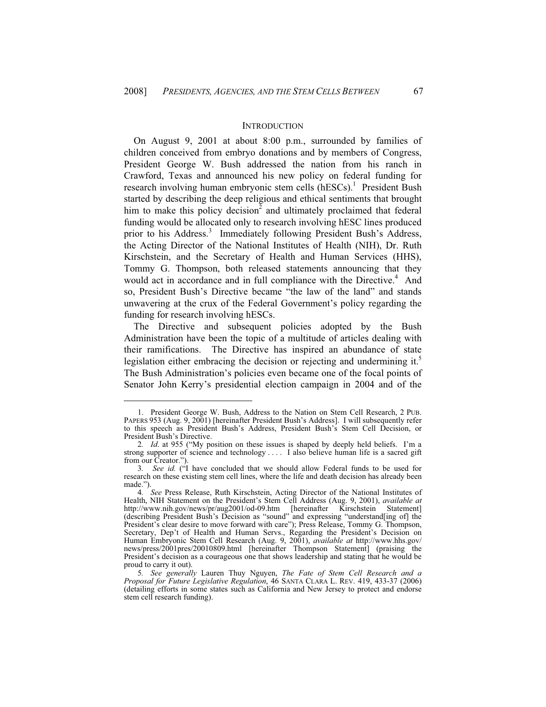#### **INTRODUCTION**

On August 9, 2001 at about 8:00 p.m., surrounded by families of children conceived from embryo donations and by members of Congress, President George W. Bush addressed the nation from his ranch in Crawford, Texas and announced his new policy on federal funding for research involving human embryonic stem cells (hESCs).<sup>1</sup> President Bush started by describing the deep religious and ethical sentiments that brought him to make this policy decision<sup>2</sup> and ultimately proclaimed that federal funding would be allocated only to research involving hESC lines produced prior to his Address.<sup>3</sup> Immediately following President Bush's Address, the Acting Director of the National Institutes of Health (NIH), Dr. Ruth Kirschstein, and the Secretary of Health and Human Services (HHS), Tommy G. Thompson, both released statements announcing that they would act in accordance and in full compliance with the Directive.<sup>4</sup> And so, President Bush's Directive became "the law of the land" and stands unwavering at the crux of the Federal Government's policy regarding the funding for research involving hESCs.

The Directive and subsequent policies adopted by the Bush Administration have been the topic of a multitude of articles dealing with their ramifications. The Directive has inspired an abundance of state legislation either embracing the decision or rejecting and undermining it.<sup>5</sup> The Bush Administration's policies even became one of the focal points of Senator John Kerry's presidential election campaign in 2004 and of the

 <sup>1.</sup> President George W. Bush, Address to the Nation on Stem Cell Research, 2 PUB. PAPERS 953 (Aug. 9, 2001) [hereinafter President Bush's Address]. I will subsequently refer to this speech as President Bush's Address, President Bush's Stem Cell Decision, or President Bush's Directive.

<sup>2</sup>*. Id*. at 955 ("My position on these issues is shaped by deeply held beliefs. I'm a strong supporter of science and technology . . . . I also believe human life is a sacred gift from our Creator.").

<sup>3</sup>*. See id.* ("I have concluded that we should allow Federal funds to be used for research on these existing stem cell lines, where the life and death decision has already been made.").

<sup>4</sup>*. See* Press Release, Ruth Kirschstein, Acting Director of the National Institutes of Health, NIH Statement on the President's Stem Cell Address (Aug. 9, 2001), *available at* http://www.nih.gov/news/pr/aug2001/od-09.htm [hereinafter Kirschstein Statement] (describing President Bush's Decision as "sound" and expressing "understand[ing of] the President's clear desire to move forward with care"); Press Release, Tommy G. Thompson, Secretary, Dep't of Health and Human Servs., Regarding the President's Decision on Human Embryonic Stem Cell Research (Aug. 9, 2001), *available at* http://www.hhs.gov/ news/press/2001pres/20010809.html [hereinafter Thompson Statement] (praising the President's decision as a courageous one that shows leadership and stating that he would be proud to carry it out).

<sup>5</sup>*. See generally* Lauren Thuy Nguyen, *The Fate of Stem Cell Research and a Proposal for Future Legislative Regulation*, 46 SANTA CLARA L. REV. 419, 433-37 (2006) (detailing efforts in some states such as California and New Jersey to protect and endorse stem cell research funding).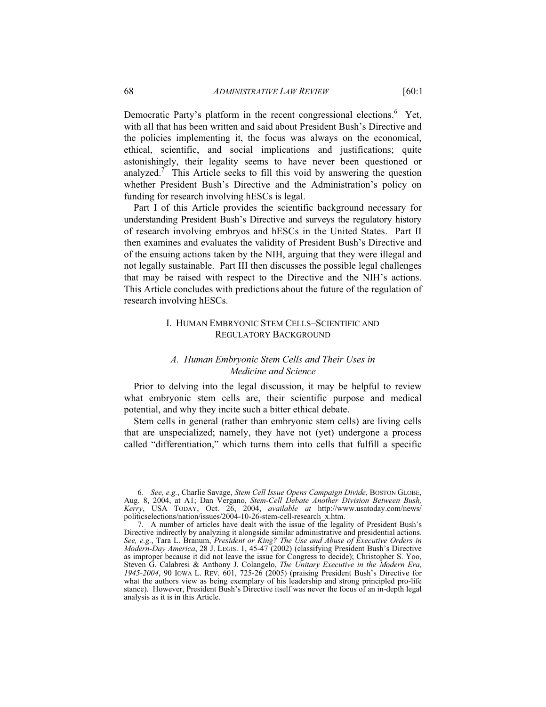Democratic Party's platform in the recent congressional elections.<sup>6</sup> Yet, with all that has been written and said about President Bush's Directive and the policies implementing it, the focus was always on the economical, ethical, scientific, and social implications and justifications; quite astonishingly, their legality seems to have never been questioned or analyzed.<sup>7</sup> This Article seeks to fill this void by answering the question whether President Bush's Directive and the Administration's policy on funding for research involving hESCs is legal.

Part I of this Article provides the scientific background necessary for understanding President Bush's Directive and surveys the regulatory history of research involving embryos and hESCs in the United States. Part II then examines and evaluates the validity of President Bush's Directive and of the ensuing actions taken by the NIH, arguing that they were illegal and not legally sustainable. Part III then discusses the possible legal challenges that may be raised with respect to the Directive and the NIH's actions. This Article concludes with predictions about the future of the regulation of research involving hESCs.

# I. HUMAN EMBRYONIC STEM CELLS–SCIENTIFIC AND REGULATORY BACKGROUND

# *A. Human Embryonic Stem Cells and Their Uses in Medicine and Science*

Prior to delving into the legal discussion, it may be helpful to review what embryonic stem cells are, their scientific purpose and medical potential, and why they incite such a bitter ethical debate.

Stem cells in general (rather than embryonic stem cells) are living cells that are unspecialized; namely, they have not (yet) undergone a process called "differentiation," which turns them into cells that fulfill a specific

<sup>6</sup>*. See, e.g.*, Charlie Savage, *Stem Cell Issue Opens Campaign Divide*, BOSTON GLOBE, Aug. 8, 2004, at A1; Dan Vergano, *Stem-Cell Debate Another Division Between Bush, Kerry*, USA TODAY, Oct. 26, 2004, *available at* http://www.usatoday.com/news/ politicselections/nation/issues/2004-10-26-stem-cell-research\_x.htm.

 <sup>7.</sup> A number of articles have dealt with the issue of the legality of President Bush's Directive indirectly by analyzing it alongside similar administrative and presidential actions. *See, e.g.*, Tara L. Branum, *President or King? The Use and Abuse of Executive Orders in Modern-Day America*, 28 J. LEGIS. 1, 45-47 (2002) (classifying President Bush's Directive as improper because it did not leave the issue for Congress to decide); Christopher S. Yoo, Steven G. Calabresi & Anthony J. Colangelo, *The Unitary Executive in the Modern Era, 1945-2004*, 90 IOWA L. REV. 601, 725-26 (2005) (praising President Bush's Directive for what the authors view as being exemplary of his leadership and strong principled pro-life stance). However, President Bush's Directive itself was never the focus of an in-depth legal analysis as it is in this Article.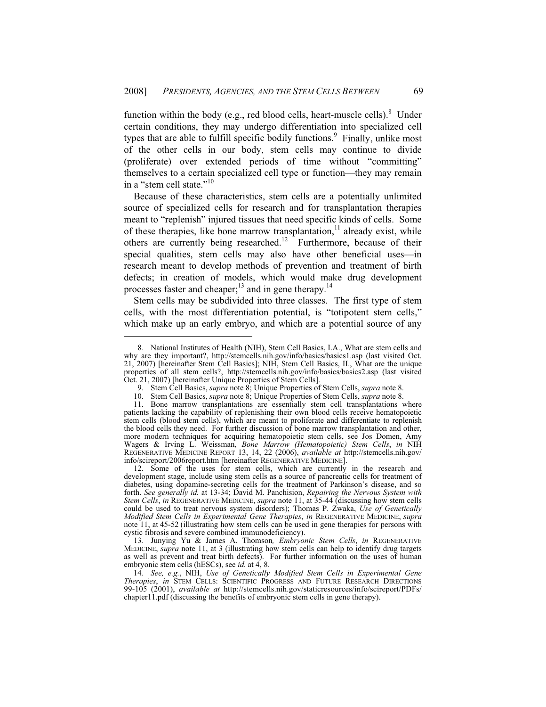function within the body (e.g., red blood cells, heart-muscle cells). $8$  Under certain conditions, they may undergo differentiation into specialized cell types that are able to fulfill specific bodily functions.<sup>9</sup> Finally, unlike most of the other cells in our body, stem cells may continue to divide (proliferate) over extended periods of time without "committing" themselves to a certain specialized cell type or function—they may remain in a "stem cell state."<sup>10</sup>

Because of these characteristics, stem cells are a potentially unlimited source of specialized cells for research and for transplantation therapies meant to "replenish" injured tissues that need specific kinds of cells. Some of these therapies, like bone marrow transplantation, $11$  already exist, while others are currently being researched.<sup>12</sup> Furthermore, because of their special qualities, stem cells may also have other beneficial uses—in research meant to develop methods of prevention and treatment of birth defects; in creation of models, which would make drug development processes faster and cheaper; $^{13}$  and in gene therapy.<sup>14</sup>

Stem cells may be subdivided into three classes. The first type of stem cells, with the most differentiation potential, is "totipotent stem cells," which make up an early embryo, and which are a potential source of any

-

 12. Some of the uses for stem cells, which are currently in the research and development stage, include using stem cells as a source of pancreatic cells for treatment of diabetes, using dopamine-secreting cells for the treatment of Parkinson's disease, and so forth. *See generally id.* at 13-34; David M. Panchision, *Repairing the Nervous System with Stem Cells*, *in* REGENERATIVE MEDICINE, *supra* note 11, at 35-44 (discussing how stem cells could be used to treat nervous system disorders); Thomas P. Zwaka, *Use of Genetically Modified Stem Cells in Experimental Gene Therapies*, *in* REGENERATIVE MEDICINE, *supra* note 11, at 45-52 (illustrating how stem cells can be used in gene therapies for persons with cystic fibrosis and severe combined immunodeficiency).

13*.* Junying Yu & James A. Thomson*, Embryonic Stem Cells*, *in* REGENERATIVE MEDICINE, *supra* note 11, at 3 (illustrating how stem cells can help to identify drug targets as well as prevent and treat birth defects). For further information on the uses of human embryonic stem cells (hESCs), see *id.* at 4, 8.

14*. See, e.g.*, NIH, *Use of Genetically Modified Stem Cells in Experimental Gene Therapies*, *in* STEM CELLS: SCIENTIFIC PROGRESS AND FUTURE RESEARCH DIRECTIONS 99-105 (2001), *available at* http://stemcells.nih.gov/staticresources/info/scireport/PDFs/ chapter11.pdf (discussing the benefits of embryonic stem cells in gene therapy).

<sup>8</sup>*.* National Institutes of Health (NIH), Stem Cell Basics, I.A., What are stem cells and why are they important?, http://stemcells.nih.gov/info/basics/basics1.asp (last visited Oct. 21, 2007) [hereinafter Stem Cell Basics]; NIH, Stem Cell Basics, II., What are the unique properties of all stem cells?, http://stemcells.nih.gov/info/basics/basics2.asp (last visited Oct. 21, 2007) [hereinafter Unique Properties of Stem Cells].

 <sup>9.</sup> Stem Cell Basics, *supra* note 8; Unique Properties of Stem Cells, *supra* note 8.

 <sup>10.</sup> Stem Cell Basics, *supra* note 8; Unique Properties of Stem Cells, *supra* note 8.

 <sup>11.</sup> Bone marrow transplantations are essentially stem cell transplantations where patients lacking the capability of replenishing their own blood cells receive hematopoietic stem cells (blood stem cells), which are meant to proliferate and differentiate to replenish the blood cells they need. For further discussion of bone marrow transplantation and other, more modern techniques for acquiring hematopoietic stem cells, see Jos Domen, Amy Wagers & Irving L. Weissman, *Bone Marrow (Hematopoietic) Stem Cells*, *in* NIH REGENERATIVE MEDICINE REPORT 13, 14, 22 (2006), *available at* http://stemcells.nih.gov/ info/scireport/2006report.htm [hereinafter REGENERATIVE MEDICINE].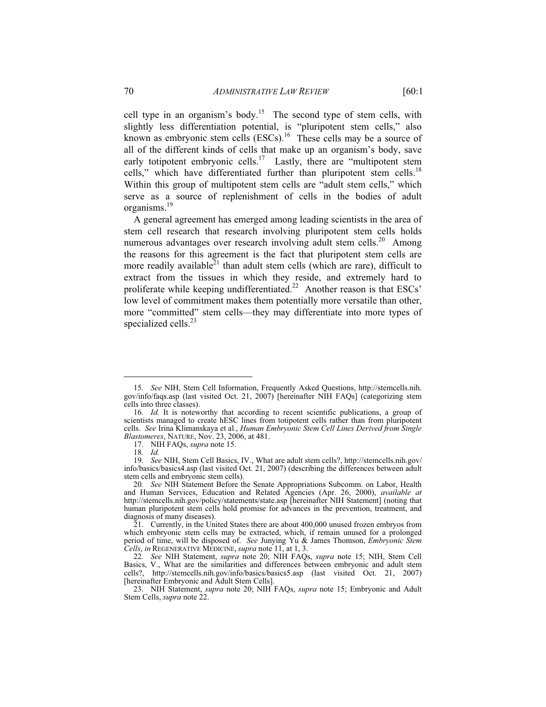cell type in an organism's body.<sup>15</sup> The second type of stem cells, with slightly less differentiation potential, is "pluripotent stem cells," also known as embryonic stem cells  $(ESCs)$ .<sup>16</sup> These cells may be a source of all of the different kinds of cells that make up an organism's body, save early totipotent embryonic cells.<sup>17</sup> Lastly, there are "multipotent stem cells," which have differentiated further than pluripotent stem cells.<sup>18</sup> Within this group of multipotent stem cells are "adult stem cells," which serve as a source of replenishment of cells in the bodies of adult organisms.<sup>19</sup>

A general agreement has emerged among leading scientists in the area of stem cell research that research involving pluripotent stem cells holds numerous advantages over research involving adult stem cells.<sup>20</sup> Among the reasons for this agreement is the fact that pluripotent stem cells are more readily available $^{21}$  than adult stem cells (which are rare), difficult to extract from the tissues in which they reside, and extremely hard to proliferate while keeping undifferentiated.<sup>22</sup> Another reason is that  $ESCs'$ low level of commitment makes them potentially more versatile than other, more "committed" stem cells—they may differentiate into more types of specialized cells.<sup>23</sup>

<sup>15</sup>*. See* NIH, Stem Cell Information, Frequently Asked Questions, http://stemcells.nih. gov/info/faqs.asp (last visited Oct. 21, 2007) [hereinafter NIH FAQs] (categorizing stem cells into three classes).

<sup>16</sup>*. Id.* It is noteworthy that according to recent scientific publications, a group of scientists managed to create hESC lines from totipotent cells rather than from pluripotent cells. *See* Irina Klimanskaya et al., *Human Embryonic Stem Cell Lines Derived from Single Blastomeres*, NATURE, Nov. 23, 2006, at 481.

 <sup>17.</sup> NIH FAQs, *supra* note 15.

<sup>18</sup>*. Id.*

<sup>19</sup>*. See* NIH, Stem Cell Basics, IV., What are adult stem cells?, http://stemcells.nih.gov/ info/basics/basics4.asp (last visited Oct. 21, 2007) (describing the differences between adult stem cells and embryonic stem cells).

<sup>20</sup>*. See* NIH Statement Before the Senate Appropriations Subcomm. on Labor, Health and Human Services, Education and Related Agencies (Apr. 26, 2000), *available at* http://stemcells.nih.gov/policy/statements/state.asp [hereinafter NIH Statement] (noting that human pluripotent stem cells hold promise for advances in the prevention, treatment, and diagnosis of many diseases).

 <sup>21.</sup> Currently, in the United States there are about 400,000 unused frozen embryos from which embryonic stem cells may be extracted, which, if remain unused for a prolonged period of time, will be disposed of. *See* Junying Yu & James Thomson, *Embryonic Stem Cells*, *in* REGENERATIVE MEDICINE, *supra* note 11, at 1, 3.

<sup>22</sup>*. See* NIH Statement, *supra* note 20; NIH FAQs, *supra* note 15; NIH, Stem Cell Basics, V., What are the similarities and differences between embryonic and adult stem cells?, http://stemcells.nih.gov/info/basics/basics5.asp (last visited Oct. 21, 2007) [hereinafter Embryonic and Adult Stem Cells].

 <sup>23.</sup> NIH Statement, *supra* note 20; NIH FAQs, *supra* note 15; Embryonic and Adult Stem Cells, *supra* note 22.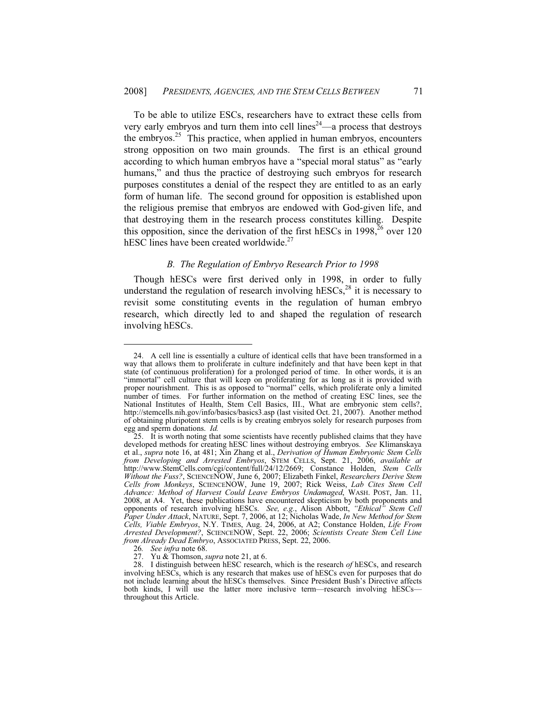To be able to utilize ESCs, researchers have to extract these cells from very early embryos and turn them into cell lines<sup>24</sup>—a process that destroys the embryos. $25$  This practice, when applied in human embryos, encounters strong opposition on two main grounds. The first is an ethical ground according to which human embryos have a "special moral status" as "early humans," and thus the practice of destroying such embryos for research purposes constitutes a denial of the respect they are entitled to as an early form of human life. The second ground for opposition is established upon the religious premise that embryos are endowed with God-given life, and that destroying them in the research process constitutes killing. Despite this opposition, since the derivation of the first hESCs in  $1998<sup>26</sup>$  over 120 hESC lines have been created worldwide. $27$ 

### *B. The Regulation of Embryo Research Prior to 1998*

Though hESCs were first derived only in 1998, in order to fully understand the regulation of research involving  $hESCs$ <sup>28</sup> it is necessary to revisit some constituting events in the regulation of human embryo research, which directly led to and shaped the regulation of research involving hESCs.

 <sup>24.</sup> A cell line is essentially a culture of identical cells that have been transformed in a way that allows them to proliferate in culture indefinitely and that have been kept in that state (of continuous proliferation) for a prolonged period of time. In other words, it is an "immortal" cell culture that will keep on proliferating for as long as it is provided with proper nourishment. This is as opposed to "normal" cells, which proliferate only a limited number of times. For further information on the method of creating ESC lines, see the National Institutes of Health, Stem Cell Basics, III., What are embryonic stem cells?, http://stemcells.nih.gov/info/basics/basics3.asp (last visited Oct. 21, 2007). Another method of obtaining pluripotent stem cells is by creating embryos solely for research purposes from egg and sperm donations. *Id.*

 <sup>25.</sup> It is worth noting that some scientists have recently published claims that they have developed methods for creating hESC lines without destroying embryos. *See* Klimanskaya et al., *supra* note 16, at 481; Xin Zhang et al., *Derivation of Human Embryonic Stem Cells from Developing and Arrested Embryos*, STEM CELLS, Sept. 21, 2006, *available at* http://www.StemCells.com/cgi/content/full/24/12/2669; Constance Holden, *Stem Cells Without the Fuss?*, SCIENCENOW, June 6, 2007; Elizabeth Finkel, *Researchers Derive Stem Cells from Monkeys*, SCIENCENOW, June 19, 2007; Rick Weiss, *Lab Cites Stem Cell Advance: Method of Harvest Could Leave Embryos Undamaged*, WASH. POST, Jan. 11, 2008, at A4. Yet, these publications have encountered skepticism by both proponents and opponents of research involving hESCs. *See, e.g.*, Alison Abbott, *"Ethical" Stem Cell Paper Under Attack*, NATURE, Sept. 7, 2006, at 12; Nicholas Wade, *In New Method for Stem Cells, Viable Embryos*, N.Y. TIMES, Aug. 24, 2006, at A2; Constance Holden, *Life From Arrested Development?*, SCIENCENOW, Sept. 22, 2006; *Scientists Create Stem Cell Line from Already Dead Embryo*, ASSOCIATED PRESS, Sept. 22, 2006.

<sup>26</sup>*. See infra* note 68.

 <sup>27.</sup> Yu & Thomson, *supra* note 21, at 6.

 <sup>28.</sup> I distinguish between hESC research, which is the research *of* hESCs, and research involving hESCs, which is any research that makes use of hESCs even for purposes that do not include learning about the hESCs themselves. Since President Bush's Directive affects both kinds, I will use the latter more inclusive term—research involving hESCs throughout this Article.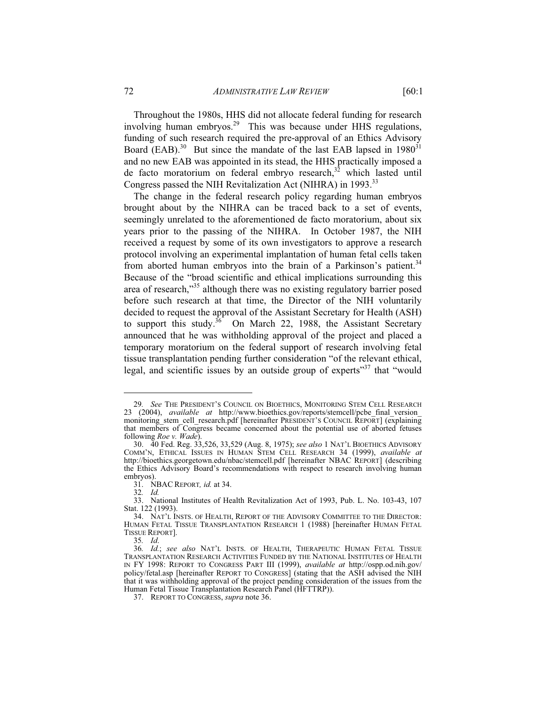Throughout the 1980s, HHS did not allocate federal funding for research involving human embryos.<sup>29</sup> This was because under HHS regulations, funding of such research required the pre-approval of an Ethics Advisory Board (EAB).<sup>30</sup> But since the mandate of the last EAB lapsed in  $1980^{31}$ and no new EAB was appointed in its stead, the HHS practically imposed a de facto moratorium on federal embryo research, $32$  which lasted until Congress passed the NIH Revitalization Act (NIHRA) in 1993.<sup>33</sup>

The change in the federal research policy regarding human embryos brought about by the NIHRA can be traced back to a set of events, seemingly unrelated to the aforementioned de facto moratorium, about six years prior to the passing of the NIHRA. In October 1987, the NIH received a request by some of its own investigators to approve a research protocol involving an experimental implantation of human fetal cells taken from aborted human embryos into the brain of a Parkinson's patient.<sup>34</sup> Because of the "broad scientific and ethical implications surrounding this area of research,"35 although there was no existing regulatory barrier posed before such research at that time, the Director of the NIH voluntarily decided to request the approval of the Assistant Secretary for Health (ASH) to support this study.<sup>36</sup> On March 22, 1988, the Assistant Secretary announced that he was withholding approval of the project and placed a temporary moratorium on the federal support of research involving fetal tissue transplantation pending further consideration "of the relevant ethical, legal, and scientific issues by an outside group of experts<sup>37</sup> that "would"

<sup>29</sup>*. See* THE PRESIDENT'S COUNCIL ON BIOETHICS, MONITORING STEM CELL RESEARCH 23 (2004), *available at* http://www.bioethics.gov/reports/stemcell/pcbe\_final\_version\_ monitoring\_stem\_cell\_research.pdf [hereinafter PRESIDENT'S COUNCIL REPORT] (explaining that members of Congress became concerned about the potential use of aborted fetuses following *Roe v. Wade*).

 <sup>30. 40</sup> Fed. Reg. 33,526, 33,529 (Aug. 8, 1975); *see also* 1 NAT'L BIOETHICS ADVISORY COMM'N, ETHICAL ISSUES IN HUMAN STEM CELL RESEARCH 34 (1999), *available at* http://bioethics.georgetown.edu/nbac/stemcell.pdf [hereinafter NBAC REPORT] (describing the Ethics Advisory Board's recommendations with respect to research involving human embryos).

 <sup>31.</sup> NBAC REPORT*, id.* at 34.

<sup>32</sup>*. Id.*

 <sup>33.</sup> National Institutes of Health Revitalization Act of 1993, Pub. L. No. 103-43, 107 Stat. 122 (1993).

 <sup>34.</sup> NAT'L INSTS. OF HEALTH, REPORT OF THE ADVISORY COMMITTEE TO THE DIRECTOR: HUMAN FETAL TISSUE TRANSPLANTATION RESEARCH 1 (1988) [hereinafter HUMAN FETAL TISSUE REPORT].

<sup>35</sup>*. Id*.

<sup>36</sup>*. Id.*; *see also* NAT'L INSTS. OF HEALTH, THERAPEUTIC HUMAN FETAL TISSUE TRANSPLANTATION RESEARCH ACTIVITIES FUNDED BY THE NATIONAL INSTITUTES OF HEALTH IN FY 1998: REPORT TO CONGRESS PART III (1999), *available at* http://ospp.od.nih.gov/ policy/fetal.asp [hereinafter REPORT TO CONGRESS] (stating that the ASH advised the NIH that it was withholding approval of the project pending consideration of the issues from the Human Fetal Tissue Transplantation Research Panel (HFTTRP)).

 <sup>37.</sup> REPORT TO CONGRESS, *supra* note 36.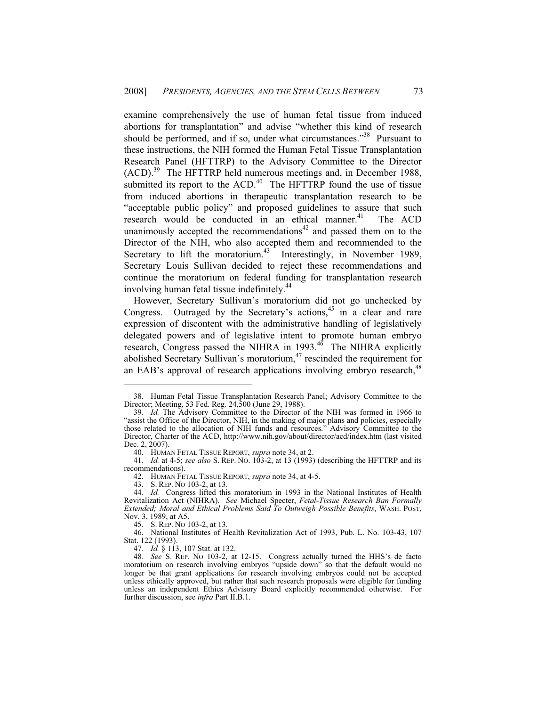examine comprehensively the use of human fetal tissue from induced abortions for transplantation" and advise "whether this kind of research should be performed, and if so, under what circumstances."<sup>38</sup> Pursuant to these instructions, the NIH formed the Human Fetal Tissue Transplantation Research Panel (HFTTRP) to the Advisory Committee to the Director (ACD).<sup>39</sup> The HFTTRP held numerous meetings and, in December 1988, submitted its report to the  $ACD<sup>40</sup>$ . The HFTTRP found the use of tissue from induced abortions in therapeutic transplantation research to be "acceptable public policy" and proposed guidelines to assure that such research would be conducted in an ethical manner. $41$  The ACD unanimously accepted the recommendations<sup>42</sup> and passed them on to the Director of the NIH, who also accepted them and recommended to the Secretary to lift the moratorium.<sup>43</sup> Interestingly, in November 1989, Secretary Louis Sullivan decided to reject these recommendations and continue the moratorium on federal funding for transplantation research involving human fetal tissue indefinitely.<sup>44</sup>

However, Secretary Sullivan's moratorium did not go unchecked by Congress. Outraged by the Secretary's actions,  $45$  in a clear and rare expression of discontent with the administrative handling of legislatively delegated powers and of legislative intent to promote human embryo research, Congress passed the NIHRA in 1993. $46$  The NIHRA explicitly abolished Secretary Sullivan's moratorium,<sup>47</sup> rescinded the requirement for an EAB's approval of research applications involving embryo research,<sup>48</sup>

43. S. REP. NO 103-2, at 13.

-

45. S. REP. NO 103-2, at 13.

47*. Id.* § 113, 107 Stat. at 132.

 <sup>38.</sup> Human Fetal Tissue Transplantation Research Panel; Advisory Committee to the Director; Meeting, 53 Fed. Reg. 24,500 (June 29, 1988).

<sup>39</sup>*. Id.* The Advisory Committee to the Director of the NIH was formed in 1966 to "assist the Office of the Director, NIH, in the making of major plans and policies, especially those related to the allocation of NIH funds and resources." Advisory Committee to the Director, Charter of the ACD, http://www.nih.gov/about/director/acd/index.htm (last visited Dec. 2, 2007).

 <sup>40.</sup> HUMAN FETAL TISSUE REPORT, *supra* note 34, at 2.

<sup>41</sup>*. Id.* at 4-5; *see also* S. REP. NO. 103-2, at 13 (1993) (describing the HFTTRP and its recommendations).

 <sup>42.</sup> HUMAN FETAL TISSUE REPORT, *supra* note 34, at 4-5.

<sup>44</sup>*. Id.* Congress lifted this moratorium in 1993 in the National Institutes of Health Revitalization Act (NIHRA). *See* Michael Specter, *Fetal-Tissue Research Ban Formally Extended; Moral and Ethical Problems Said To Outweigh Possible Benefits*, WASH. POST, Nov. 3, 1989, at A5.

 <sup>46.</sup> National Institutes of Health Revitalization Act of 1993, Pub. L. No. 103-43, 107 Stat. 122 (1993).

<sup>48</sup>*. See* S. REP. NO 103-2, at 12-15. Congress actually turned the HHS's de facto moratorium on research involving embryos "upside down" so that the default would no longer be that grant applications for research involving embryos could not be accepted unless ethically approved, but rather that such research proposals were eligible for funding unless an independent Ethics Advisory Board explicitly recommended otherwise. For further discussion, see *infra* Part II.B.1.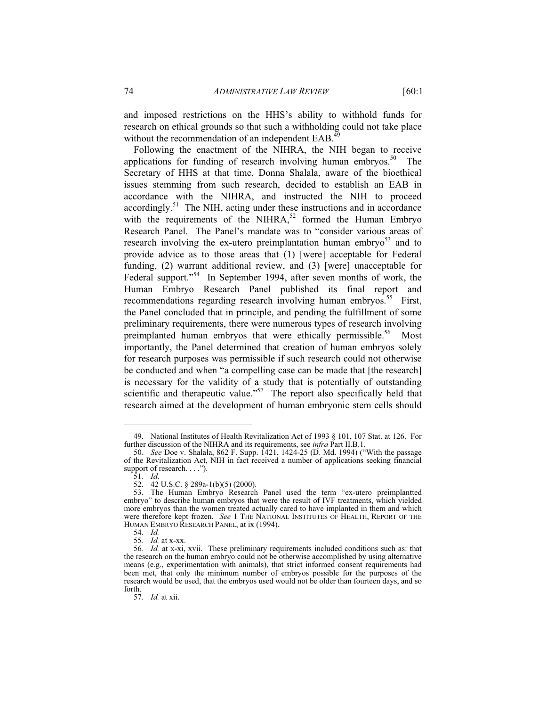and imposed restrictions on the HHS's ability to withhold funds for research on ethical grounds so that such a withholding could not take place without the recommendation of an independent EAB.<sup>49</sup>

Following the enactment of the NIHRA, the NIH began to receive applications for funding of research involving human embryos.<sup>50</sup> The Secretary of HHS at that time, Donna Shalala, aware of the bioethical issues stemming from such research, decided to establish an EAB in accordance with the NIHRA, and instructed the NIH to proceed accordingly.<sup>51</sup> The NIH, acting under these instructions and in accordance with the requirements of the NIHRA, $52$  formed the Human Embryo Research Panel. The Panel's mandate was to "consider various areas of research involving the ex-utero preimplantation human embryo<sup>53</sup> and to provide advice as to those areas that (1) [were] acceptable for Federal funding, (2) warrant additional review, and (3) [were] unacceptable for Federal support."<sup>54</sup> In September 1994, after seven months of work, the Human Embryo Research Panel published its final report and recommendations regarding research involving human embryos.<sup>55</sup> First, the Panel concluded that in principle, and pending the fulfillment of some preliminary requirements, there were numerous types of research involving preimplanted human embryos that were ethically permissible.<sup>56</sup> Most importantly, the Panel determined that creation of human embryos solely for research purposes was permissible if such research could not otherwise be conducted and when "a compelling case can be made that [the research] is necessary for the validity of a study that is potentially of outstanding scientific and therapeutic value."<sup>57</sup> The report also specifically held that research aimed at the development of human embryonic stem cells should

-

57*. Id.* at xii.

 <sup>49.</sup> National Institutes of Health Revitalization Act of 1993 § 101, 107 Stat. at 126. For further discussion of the NIHRA and its requirements, see *infra* Part II.B.1.

<sup>50</sup>*. See* Doe v. Shalala, 862 F. Supp. 1421, 1424-25 (D. Md. 1994) ("With the passage of the Revitalization Act, NIH in fact received a number of applications seeking financial support of research. . . .").

<sup>51</sup>*. Id*.

 <sup>52. 42</sup> U.S.C. § 289a-1(b)(5) (2000).

 <sup>53.</sup> The Human Embryo Research Panel used the term "ex-utero preimplantted embryo" to describe human embryos that were the result of IVF treatments, which yielded more embryos than the women treated actually cared to have implanted in them and which were therefore kept frozen. *See* 1THE NATIONAL INSTITUTES OF HEALTH, REPORT OF THE HUMAN EMBRYO RESEARCH PANEL, at ix (1994).

 <sup>54.</sup> *Id.*

<sup>55</sup>*. Id.* at x-xx.

<sup>56</sup>*. Id.* at x-xi, xvii. These preliminary requirements included conditions such as: that the research on the human embryo could not be otherwise accomplished by using alternative means (e.g., experimentation with animals), that strict informed consent requirements had been met, that only the minimum number of embryos possible for the purposes of the research would be used, that the embryos used would not be older than fourteen days, and so forth.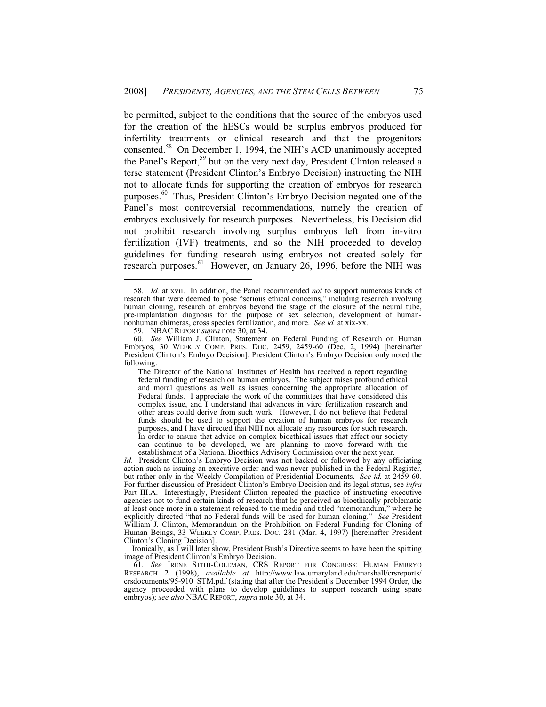be permitted, subject to the conditions that the source of the embryos used for the creation of the hESCs would be surplus embryos produced for infertility treatments or clinical research and that the progenitors consented.58 On December 1, 1994, the NIH's ACD unanimously accepted the Panel's Report,<sup>59</sup> but on the very next day, President Clinton released a terse statement (President Clinton's Embryo Decision) instructing the NIH not to allocate funds for supporting the creation of embryos for research purposes.<sup>60</sup> Thus, President Clinton's Embryo Decision negated one of the Panel's most controversial recommendations, namely the creation of embryos exclusively for research purposes. Nevertheless, his Decision did not prohibit research involving surplus embryos left from in-vitro fertilization (IVF) treatments, and so the NIH proceeded to develop guidelines for funding research using embryos not created solely for research purposes.<sup>61</sup> However, on January 26, 1996, before the NIH was

 $\overline{a}$ 

The Director of the National Institutes of Health has received a report regarding federal funding of research on human embryos. The subject raises profound ethical and moral questions as well as issues concerning the appropriate allocation of Federal funds. I appreciate the work of the committees that have considered this complex issue, and I understand that advances in vitro fertilization research and other areas could derive from such work. However, I do not believe that Federal funds should be used to support the creation of human embryos for research purposes, and I have directed that NIH not allocate any resources for such research. In order to ensure that advice on complex bioethical issues that affect our society can continue to be developed, we are planning to move forward with the establishment of a National Bioethics Advisory Commission over the next year.

*Id.* President Clinton's Embryo Decision was not backed or followed by any officiating action such as issuing an executive order and was never published in the Federal Register, but rather only in the Weekly Compilation of Presidential Documents. *See id.* at 2459-60*.* For further discussion of President Clinton's Embryo Decision and its legal status, see *infra* Part III.A. Interestingly, President Clinton repeated the practice of instructing executive agencies not to fund certain kinds of research that he perceived as bioethically problematic at least once more in a statement released to the media and titled "memorandum," where he explicitly directed "that no Federal funds will be used for human cloning." *See* President William J. Clinton, Memorandum on the Prohibition on Federal Funding for Cloning of Human Beings, 33 WEEKLY COMP. PRES. DOC. 281 (Mar. 4, 1997) [hereinafter President Clinton's Cloning Decision].

Ironically, as I will later show, President Bush's Directive seems to have been the spitting image of President Clinton's Embryo Decision.

61*. See* IRENE STITH-COLEMAN, CRS REPORT FOR CONGRESS: HUMAN EMBRYO RESEARCH 2 (1998), *available at* http://www.law.umaryland.edu/marshall/crsreports/ crsdocuments/95-910\_STM.pdf (stating that after the President's December 1994 Order, the agency proceeded with plans to develop guidelines to support research using spare embryos); *see also* NBAC REPORT, *supra* note 30, at 34.

<sup>58</sup>*. Id.* at xvii. In addition, the Panel recommended *not* to support numerous kinds of research that were deemed to pose "serious ethical concerns," including research involving human cloning, research of embryos beyond the stage of the closure of the neural tube, pre-implantation diagnosis for the purpose of sex selection, development of humannonhuman chimeras, cross species fertilization, and more. *See id.* at xix-xx.

<sup>59</sup>*.* NBAC REPORT *supra* note 30, at 34.

<sup>60</sup>*. See* William J. Clinton, Statement on Federal Funding of Research on Human Embryos, 30 WEEKLY COMP. PRES. DOC. 2459, 2459-60 (Dec. 2, 1994) [hereinafter President Clinton's Embryo Decision]. President Clinton's Embryo Decision only noted the following: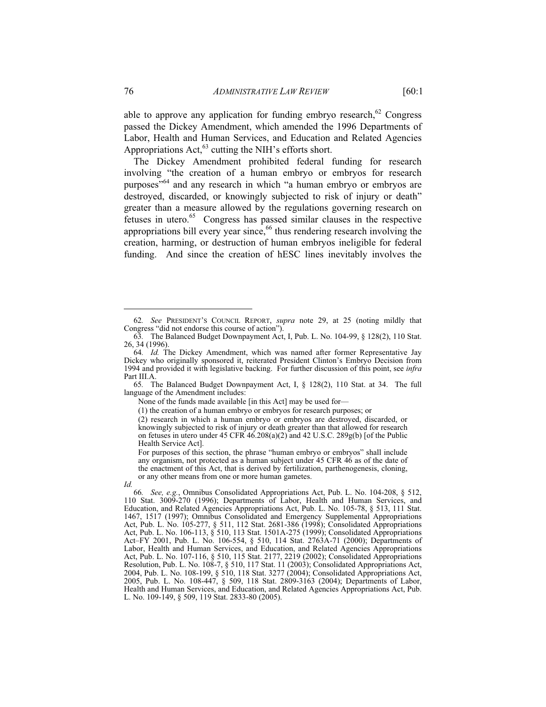able to approve any application for funding embryo research, $62$  Congress passed the Dickey Amendment, which amended the 1996 Departments of Labor, Health and Human Services, and Education and Related Agencies Appropriations  $Act<sub>1</sub><sup>63</sup>$  cutting the NIH's efforts short.

The Dickey Amendment prohibited federal funding for research involving "the creation of a human embryo or embryos for research purposes"64 and any research in which "a human embryo or embryos are destroyed, discarded, or knowingly subjected to risk of injury or death" greater than a measure allowed by the regulations governing research on fetuses in utero.65 Congress has passed similar clauses in the respective appropriations bill every year since,  $66$  thus rendering research involving the creation, harming, or destruction of human embryos ineligible for federal funding. And since the creation of hESC lines inevitably involves the

<sup>62</sup>*. See* PRESIDENT'S COUNCIL REPORT, *supra* note 29, at 25 (noting mildly that Congress "did not endorse this course of action").

<sup>63</sup>*.* The Balanced Budget Downpayment Act, I, Pub. L. No. 104-99, § 128(2), 110 Stat. 26, 34 (1996).

<sup>64</sup>*. Id.* The Dickey Amendment, which was named after former Representative Jay Dickey who originally sponsored it, reiterated President Clinton's Embryo Decision from 1994 and provided it with legislative backing. For further discussion of this point, see *infra* Part III.A.

<sup>65</sup>*.* The Balanced Budget Downpayment Act, I, § 128(2), 110 Stat. at 34. The full language of the Amendment includes:

None of the funds made available [in this Act] may be used for—

<sup>(1)</sup> the creation of a human embryo or embryos for research purposes; or

<sup>(2)</sup> research in which a human embryo or embryos are destroyed, discarded, or knowingly subjected to risk of injury or death greater than that allowed for research on fetuses in utero under 45 CFR 46.208(a)(2) and 42 U.S.C. 289g(b) [of the Public Health Service Act].

For purposes of this section, the phrase "human embryo or embryos" shall include any organism, not protected as a human subject under 45 CFR 46 as of the date of the enactment of this Act, that is derived by fertilization, parthenogenesis, cloning, or any other means from one or more human gametes.

*Id.*

<sup>66</sup>*. See, e.g.*, Omnibus Consolidated Appropriations Act, Pub. L. No. 104-208, § 512, 110 Stat. 3009-270 (1996); Departments of Labor, Health and Human Services, and Education, and Related Agencies Appropriations Act, Pub. L. No. 105-78, § 513, 111 Stat. 1467, 1517 (1997); Omnibus Consolidated and Emergency Supplemental Appropriations Act, Pub. L. No. 105-277, § 511, 112 Stat. 2681-386 (1998); Consolidated Appropriations Act, Pub. L. No. 106-113, § 510, 113 Stat. 1501A-275 (1999); Consolidated Appropriations Act–FY 2001, Pub. L. No. 106-554, § 510, 114 Stat. 2763A-71 (2000); Departments of Labor, Health and Human Services, and Education, and Related Agencies Appropriations Act, Pub. L. No. 107-116, § 510, 115 Stat. 2177, 2219 (2002); Consolidated Appropriations Resolution, Pub. L. No. 108-7, § 510, 117 Stat. 11 (2003); Consolidated Appropriations Act, 2004, Pub. L. No. 108-199, § 510, 118 Stat. 3277 (2004); Consolidated Appropriations Act, 2005, Pub. L. No. 108-447, § 509, 118 Stat. 2809-3163 (2004); Departments of Labor, Health and Human Services, and Education, and Related Agencies Appropriations Act, Pub. L. No. 109-149, § 509, 119 Stat. 2833-80 (2005).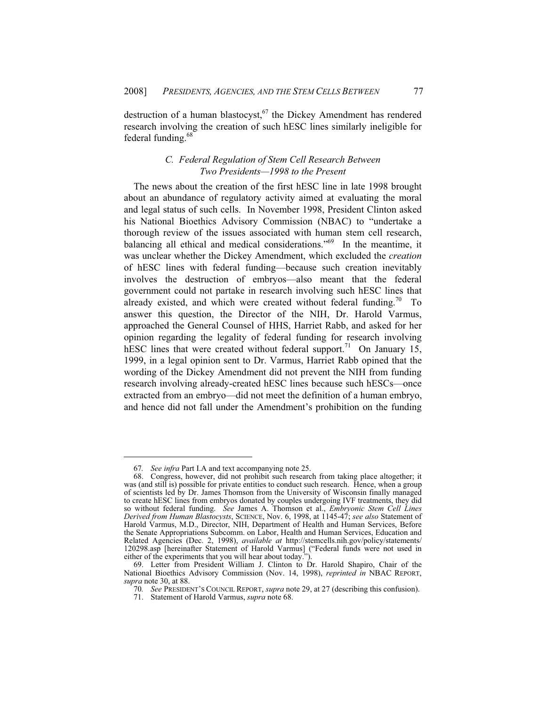destruction of a human blastocyst, $67$  the Dickey Amendment has rendered research involving the creation of such hESC lines similarly ineligible for federal funding.<sup>68</sup>

# *C. Federal Regulation of Stem Cell Research Between Two Presidents—1998 to the Present*

The news about the creation of the first hESC line in late 1998 brought about an abundance of regulatory activity aimed at evaluating the moral and legal status of such cells. In November 1998, President Clinton asked his National Bioethics Advisory Commission (NBAC) to "undertake a thorough review of the issues associated with human stem cell research, balancing all ethical and medical considerations."69 In the meantime, it was unclear whether the Dickey Amendment, which excluded the *creation* of hESC lines with federal funding—because such creation inevitably involves the destruction of embryos—also meant that the federal government could not partake in research involving such hESC lines that already existed, and which were created without federal funding.<sup>70</sup> To answer this question, the Director of the NIH, Dr. Harold Varmus, approached the General Counsel of HHS, Harriet Rabb, and asked for her opinion regarding the legality of federal funding for research involving hESC lines that were created without federal support.<sup>71</sup> On January 15, 1999, in a legal opinion sent to Dr. Varmus, Harriet Rabb opined that the wording of the Dickey Amendment did not prevent the NIH from funding research involving already-created hESC lines because such hESCs—once extracted from an embryo—did not meet the definition of a human embryo, and hence did not fall under the Amendment's prohibition on the funding

<sup>67</sup>*. See infra* Part I.A and text accompanying note 25.

 <sup>68.</sup> Congress, however, did not prohibit such research from taking place altogether; it was (and still is) possible for private entities to conduct such research. Hence, when a group of scientists led by Dr. James Thomson from the University of Wisconsin finally managed to create hESC lines from embryos donated by couples undergoing IVF treatments, they did so without federal funding. *See* James A. Thomson et al., *Embryonic Stem Cell Lines Derived from Human Blastocysts*, SCIENCE, Nov. 6, 1998, at 1145-47; *see also* Statement of Harold Varmus, M.D., Director, NIH, Department of Health and Human Services, Before the Senate Appropriations Subcomm. on Labor, Health and Human Services, Education and Related Agencies (Dec. 2, 1998), *available at* http://stemcells.nih.gov/policy/statements/ 120298.asp [hereinafter Statement of Harold Varmus] ("Federal funds were not used in either of the experiments that you will hear about today.").

 <sup>69.</sup> Letter from President William J. Clinton to Dr. Harold Shapiro, Chair of the National Bioethics Advisory Commission (Nov. 14, 1998), *reprinted in* NBAC REPORT, *supra* note 30, at 88.

<sup>70</sup>*. See* PRESIDENT'S COUNCIL REPORT, *supra* note 29, at 27 (describing this confusion).

 <sup>71.</sup> Statement of Harold Varmus, *supra* note 68.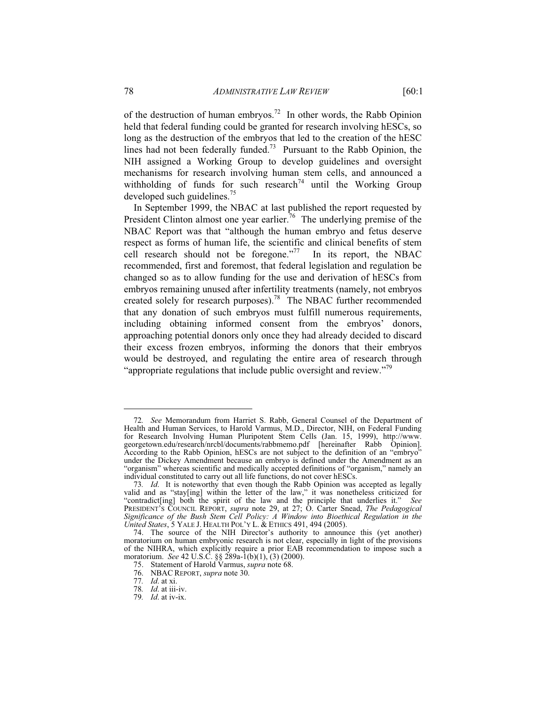of the destruction of human embryos.<sup>72</sup> In other words, the Rabb Opinion held that federal funding could be granted for research involving hESCs, so long as the destruction of the embryos that led to the creation of the hESC lines had not been federally funded.<sup>73</sup> Pursuant to the Rabb Opinion, the NIH assigned a Working Group to develop guidelines and oversight mechanisms for research involving human stem cells, and announced a withholding of funds for such research<sup>74</sup> until the Working Group developed such guidelines.<sup>75</sup>

In September 1999, the NBAC at last published the report requested by President Clinton almost one year earlier.<sup>76</sup> The underlying premise of the NBAC Report was that "although the human embryo and fetus deserve respect as forms of human life, the scientific and clinical benefits of stem cell research should not be foregone."<sup>77</sup> In its report, the NBAC recommended, first and foremost, that federal legislation and regulation be changed so as to allow funding for the use and derivation of hESCs from embryos remaining unused after infertility treatments (namely, not embryos created solely for research purposes).78 The NBAC further recommended that any donation of such embryos must fulfill numerous requirements, including obtaining informed consent from the embryos' donors, approaching potential donors only once they had already decided to discard their excess frozen embryos, informing the donors that their embryos would be destroyed, and regulating the entire area of research through "appropriate regulations that include public oversight and review."<sup>79</sup>

<sup>72</sup>*. See* Memorandum from Harriet S. Rabb, General Counsel of the Department of Health and Human Services, to Harold Varmus, M.D., Director, NIH, on Federal Funding for Research Involving Human Pluripotent Stem Cells (Jan. 15, 1999), http://www. georgetown.edu/research/nrcbl/documents/rabbmemo.pdf [hereinafter Rabb Opinion]. According to the Rabb Opinion, hESCs are not subject to the definition of an "embryo" under the Dickey Amendment because an embryo is defined under the Amendment as an "organism" whereas scientific and medically accepted definitions of "organism," namely an individual constituted to carry out all life functions, do not cover hESCs.

<sup>73</sup>*. Id*. It is noteworthy that even though the Rabb Opinion was accepted as legally valid and as "stay[ing] within the letter of the law," it was nonetheless criticized for "contradict[ing] both the spirit of the law and the principle that underlies it." *See* PRESIDENT'S COUNCIL REPORT, *supra* note 29, at 27; O. Carter Snead, *The Pedagogical Significance of the Bush Stem Cell Policy: A Window into Bioethical Regulation in the United States*, 5 YALE J. HEALTH POL'Y L. & ETHICS 491, 494 (2005).

 <sup>74.</sup> The source of the NIH Director's authority to announce this (yet another) moratorium on human embryonic research is not clear, especially in light of the provisions of the NIHRA, which explicitly require a prior EAB recommendation to impose such a moratorium. *See* 42 U.S.C. §§ 289a-1(b)(1), (3) (2000).

 <sup>75.</sup> Statement of Harold Varmus, *supra* note 68.

 <sup>76.</sup> NBAC REPORT, *supra* note 30.

<sup>77</sup>*. Id*. at xi.

<sup>78</sup>*. Id*. at iii-iv.

<sup>79</sup>*. Id*. at iv-ix.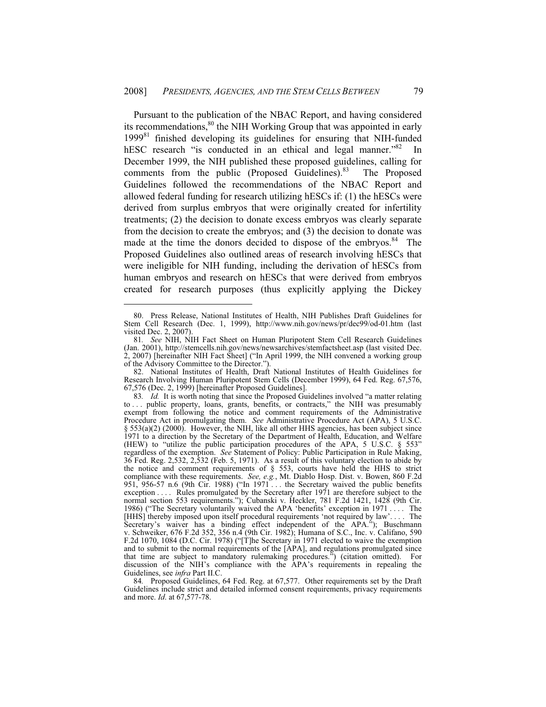Pursuant to the publication of the NBAC Report, and having considered its recommendations,<sup>80</sup> the NIH Working Group that was appointed in early 199981 finished developing its guidelines for ensuring that NIH-funded hESC research "is conducted in an ethical and legal manner."<sup>82</sup> In December 1999, the NIH published these proposed guidelines, calling for comments from the public (Proposed Guidelines).<sup>83</sup> The Proposed Guidelines followed the recommendations of the NBAC Report and allowed federal funding for research utilizing hESCs if: (1) the hESCs were derived from surplus embryos that were originally created for infertility treatments; (2) the decision to donate excess embryos was clearly separate from the decision to create the embryos; and (3) the decision to donate was made at the time the donors decided to dispose of the embryos.<sup>84</sup> The Proposed Guidelines also outlined areas of research involving hESCs that were ineligible for NIH funding, including the derivation of hESCs from human embryos and research on hESCs that were derived from embryos created for research purposes (thus explicitly applying the Dickey

 <sup>80.</sup> Press Release, National Institutes of Health, NIH Publishes Draft Guidelines for Stem Cell Research (Dec. 1, 1999), http://www.nih.gov/news/pr/dec99/od-01.htm (last visited Dec. 2, 2007).

<sup>81</sup>*. See* NIH, NIH Fact Sheet on Human Pluripotent Stem Cell Research Guidelines (Jan. 2001), http://stemcells.nih.gov/news/newsarchives/stemfactsheet.asp (last visited Dec. 2, 2007) [hereinafter NIH Fact Sheet] ("In April 1999, the NIH convened a working group of the Advisory Committee to the Director.").

 <sup>82.</sup> National Institutes of Health, Draft National Institutes of Health Guidelines for Research Involving Human Pluripotent Stem Cells (December 1999), 64 Fed. Reg. 67,576, 67,576 (Dec. 2, 1999) [hereinafter Proposed Guidelines].

<sup>83</sup>*. Id.* It is worth noting that since the Proposed Guidelines involved "a matter relating to ... public property, loans, grants, benefits, or contracts," the NIH was presumably exempt from following the notice and comment requirements of the Administrative Procedure Act in promulgating them. *See* Administrative Procedure Act (APA), 5 U.S.C. § 553(a)(2) (2000). However, the NIH, like all other HHS agencies, has been subject since 1971 to a direction by the Secretary of the Department of Health, Education, and Welfare (HEW) to "utilize the public participation procedures of the APA, 5 U.S.C.  $\S$  553" regardless of the exemption. *See* Statement of Policy: Public Participation in Rule Making, 36 Fed. Reg. 2,532, 2,532 (Feb. 5, 1971). As a result of this voluntary election to abide by the notice and comment requirements of  $\S$  553, courts have held the HHS to strict compliance with these requirements. *See, e.g.*, Mt. Diablo Hosp. Dist. v. Bowen, 860 F.2d 951, 956-57 n.6 (9th Cir. 1988) ("In 1971 . . . the Secretary waived the public benefits exception . . . . Rules promulgated by the Secretary after 1971 are therefore subject to the normal section 553 requirements."); Cubanski v. Heckler, 781 F.2d 1421, 1428 (9th Cir. 1986) ("The Secretary voluntarily waived the APA 'benefits' exception in 1971 . . . . The [HHS] thereby imposed upon itself procedural requirements 'not required by law'.... The Secretary's waiver has a binding effect independent of the APA."); Buschmann v. Schweiker, 676 F.2d 352, 356 n.4 (9th Cir. 1982); Humana of S.C., Inc. v. Califano, 590 F.2d 1070, 1084 (D.C. Cir. 1978) ("[T]he Secretary in 1971 elected to waive the exemption and to submit to the normal requirements of the [APA], and regulations promulgated since that time are subject to mandatory rulemaking procedures.") (citation omitted). For discussion of the NIH's compliance with the APA's requirements in repealing the Guidelines, see *infra* Part II.C.

<sup>84</sup>*.* Proposed Guidelines, 64 Fed. Reg. at 67,577. Other requirements set by the Draft Guidelines include strict and detailed informed consent requirements, privacy requirements and more. *Id*. at 67,577-78.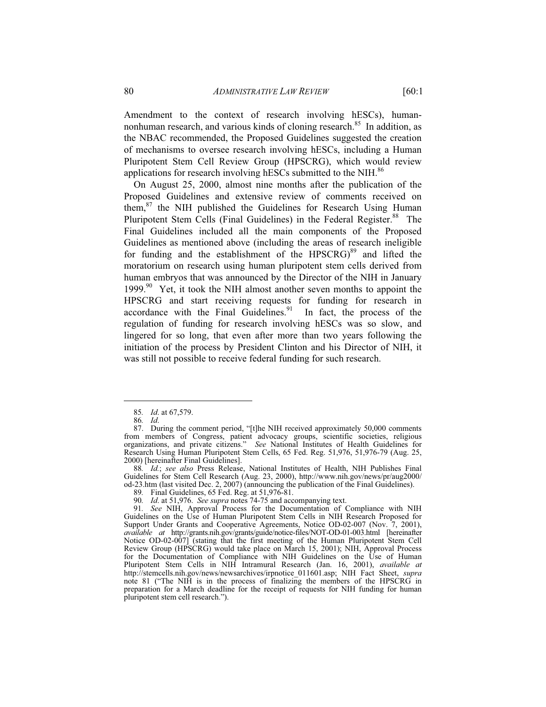Amendment to the context of research involving hESCs), humannonhuman research, and various kinds of cloning research.<sup>85</sup> In addition, as the NBAC recommended, the Proposed Guidelines suggested the creation of mechanisms to oversee research involving hESCs, including a Human Pluripotent Stem Cell Review Group (HPSCRG), which would review applications for research involving hESCs submitted to the NIH.<sup>86</sup>

On August 25, 2000, almost nine months after the publication of the Proposed Guidelines and extensive review of comments received on them, $87$  the NIH published the Guidelines for Research Using Human Pluripotent Stem Cells (Final Guidelines) in the Federal Register.<sup>88</sup> The Final Guidelines included all the main components of the Proposed Guidelines as mentioned above (including the areas of research ineligible for funding and the establishment of the HPSCRG) $89$  and lifted the moratorium on research using human pluripotent stem cells derived from human embryos that was announced by the Director of the NIH in January 1999. $90$  Yet, it took the NIH almost another seven months to appoint the HPSCRG and start receiving requests for funding for research in accordance with the Final Guidelines. $91$  In fact, the process of the regulation of funding for research involving hESCs was so slow, and lingered for so long, that even after more than two years following the initiation of the process by President Clinton and his Director of NIH, it was still not possible to receive federal funding for such research.

<sup>85</sup>*. Id*. at 67,579.

<sup>86</sup>*. Id*.

 <sup>87.</sup> During the comment period, "[t]he NIH received approximately 50,000 comments from members of Congress, patient advocacy groups, scientific societies, religious organizations, and private citizens." *See* National Institutes of Health Guidelines for Research Using Human Pluripotent Stem Cells, 65 Fed. Reg. 51,976, 51,976-79 (Aug. 25, 2000) [hereinafter Final Guidelines].

<sup>88</sup>*. Id.*; *see also* Press Release, National Institutes of Health, NIH Publishes Final Guidelines for Stem Cell Research (Aug. 23, 2000), http://www.nih.gov/news/pr/aug2000/ od-23.htm (last visited Dec. 2, 2007) (announcing the publication of the Final Guidelines).

<sup>89</sup>*.* Final Guidelines, 65 Fed. Reg. at 51,976-81.

<sup>90</sup>*. Id*. at 51,976. *See supra* notes 74-75 and accompanying text.

<sup>91</sup>*. See* NIH, Approval Process for the Documentation of Compliance with NIH Guidelines on the Use of Human Pluripotent Stem Cells in NIH Research Proposed for Support Under Grants and Cooperative Agreements, Notice OD-02-007 (Nov. 7, 2001), *available at* http://grants.nih.gov/grants/guide/notice-files/NOT-OD-01-003.html [hereinafter Notice OD-02-007] (stating that the first meeting of the Human Pluripotent Stem Cell Review Group (HPSCRG) would take place on March 15, 2001); NIH, Approval Process for the Documentation of Compliance with NIH Guidelines on the Use of Human Pluripotent Stem Cells in NIH Intramural Research (Jan. 16, 2001), *available at* http://stemcells.nih.gov/news/newsarchives/irpnotice\_011601.asp; NIH Fact Sheet, *supra* note 81 ("The NIH is in the process of finalizing the members of the HPSCRG in preparation for a March deadline for the receipt of requests for NIH funding for human pluripotent stem cell research.").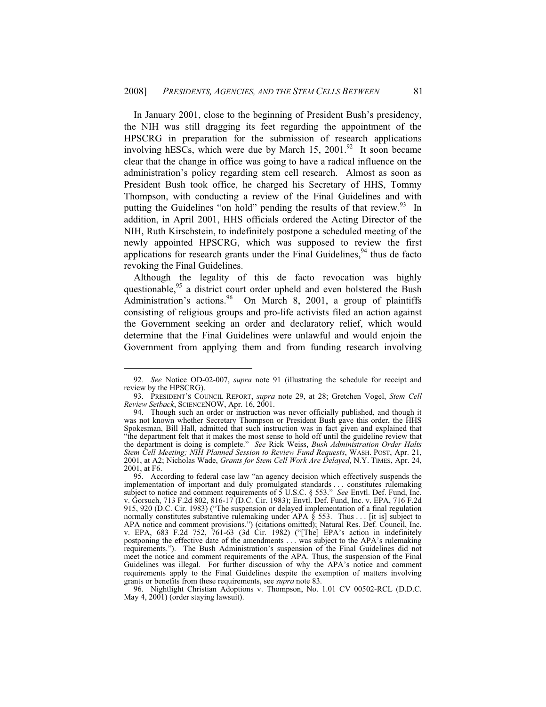In January 2001, close to the beginning of President Bush's presidency, the NIH was still dragging its feet regarding the appointment of the HPSCRG in preparation for the submission of research applications involving hESCs, which were due by March 15, 2001.<sup>92</sup> It soon became clear that the change in office was going to have a radical influence on the administration's policy regarding stem cell research. Almost as soon as President Bush took office, he charged his Secretary of HHS, Tommy Thompson, with conducting a review of the Final Guidelines and with putting the Guidelines "on hold" pending the results of that review.<sup>93</sup> In addition, in April 2001, HHS officials ordered the Acting Director of the NIH, Ruth Kirschstein, to indefinitely postpone a scheduled meeting of the newly appointed HPSCRG, which was supposed to review the first applications for research grants under the Final Guidelines,  $94$  thus de facto revoking the Final Guidelines.

Although the legality of this de facto revocation was highly questionable,<sup>95</sup> a district court order upheld and even bolstered the Bush Administration's actions.<sup>96</sup> On March 8, 2001, a group of plaintiffs consisting of religious groups and pro-life activists filed an action against the Government seeking an order and declaratory relief, which would determine that the Final Guidelines were unlawful and would enjoin the Government from applying them and from funding research involving

<sup>92</sup>*. See* Notice OD-02-007, *supra* note 91 (illustrating the schedule for receipt and review by the HPSCRG).

 <sup>93.</sup> PRESIDENT'S COUNCIL REPORT, *supra* note 29, at 28; Gretchen Vogel, *Stem Cell Review Setback*, SCIENCENOW, Apr. 16, 2001.

 <sup>94.</sup> Though such an order or instruction was never officially published, and though it was not known whether Secretary Thompson or President Bush gave this order, the HHS Spokesman, Bill Hall, admitted that such instruction was in fact given and explained that "the department felt that it makes the most sense to hold off until the guideline review that the department is doing is complete." *See* Rick Weiss, *Bush Administration Order Halts Stem Cell Meeting; NIH Planned Session to Review Fund Requests*, WASH. POST, Apr. 21, 2001, at A2; Nicholas Wade, *Grants for Stem Cell Work Are Delayed*, N.Y. TIMES, Apr. 24, 2001, at F6.

 <sup>95.</sup> According to federal case law "an agency decision which effectively suspends the implementation of important and duly promulgated standards . . . constitutes rulemaking subject to notice and comment requirements of 5 U.S.C. § 553." *See* Envtl. Def. Fund, Inc. v. Gorsuch, 713 F.2d 802, 816-17 (D.C. Cir. 1983); Envtl. Def. Fund, Inc. v. EPA, 716 F.2d 915, 920 (D.C. Cir. 1983) ("The suspension or delayed implementation of a final regulation normally constitutes substantive rulemaking under APA  $\hat{\S}$  553. Thus . . . [it is] subject to APA notice and comment provisions.") (citations omitted); Natural Res. Def. Council, Inc. v. EPA, 683 F.2d 752, 761-63 (3d Cir. 1982) ("[The] EPA's action in indefinitely postponing the effective date of the amendments . . . was subject to the APA's rulemaking requirements."). The Bush Administration's suspension of the Final Guidelines did not meet the notice and comment requirements of the APA. Thus, the suspension of the Final Guidelines was illegal. For further discussion of why the APA's notice and comment requirements apply to the Final Guidelines despite the exemption of matters involving grants or benefits from these requirements, see *supra* note 83.

 <sup>96.</sup> Nightlight Christian Adoptions v. Thompson, No. 1.01 CV 00502-RCL (D.D.C. May 4, 2001) (order staying lawsuit).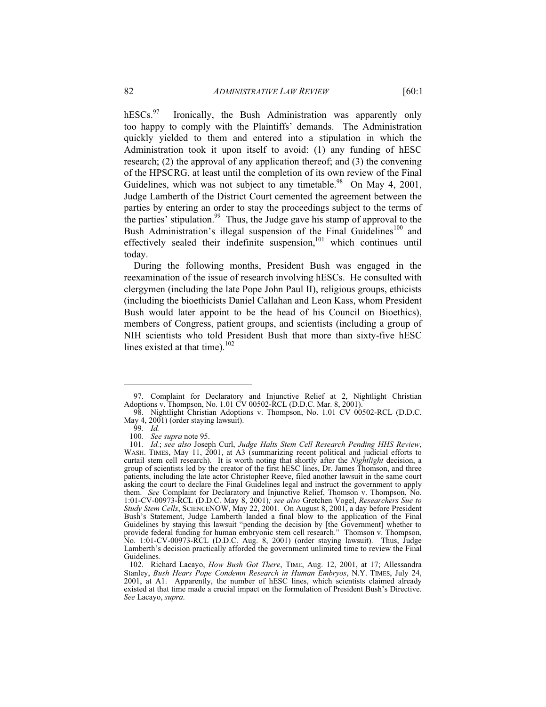$hESCs<sup>97</sup>$  Ironically, the Bush Administration was apparently only too happy to comply with the Plaintiffs' demands. The Administration quickly yielded to them and entered into a stipulation in which the Administration took it upon itself to avoid: (1) any funding of hESC research; (2) the approval of any application thereof; and (3) the convening of the HPSCRG, at least until the completion of its own review of the Final Guidelines, which was not subject to any timetable.<sup>98</sup> On May 4, 2001, Judge Lamberth of the District Court cemented the agreement between the parties by entering an order to stay the proceedings subject to the terms of the parties' stipulation.<sup>99</sup> Thus, the Judge gave his stamp of approval to the Bush Administration's illegal suspension of the Final Guidelines<sup>100</sup> and effectively sealed their indefinite suspension.<sup>101</sup> which continues until today.

During the following months, President Bush was engaged in the reexamination of the issue of research involving hESCs. He consulted with clergymen (including the late Pope John Paul II), religious groups, ethicists (including the bioethicists Daniel Callahan and Leon Kass, whom President Bush would later appoint to be the head of his Council on Bioethics), members of Congress, patient groups, and scientists (including a group of NIH scientists who told President Bush that more than sixty-five hESC lines existed at that time). $102$ 

 <sup>97.</sup> Complaint for Declaratory and Injunctive Relief at 2, Nightlight Christian Adoptions v. Thompson, No. 1.01 CV 00502-RCL (D.D.C. Mar. 8, 2001).

 <sup>98.</sup> Nightlight Christian Adoptions v. Thompson, No. 1.01 CV 00502-RCL (D.D.C. May 4, 2001) (order staying lawsuit).

<sup>99</sup>*. Id.*

<sup>100</sup>*. See supra* note 95.

<sup>101</sup>*. Id.*; *see also* Joseph Curl, *Judge Halts Stem Cell Research Pending HHS Review*, WASH. TIMES, May 11, 2001, at A3 (summarizing recent political and judicial efforts to curtail stem cell research). It is worth noting that shortly after the *Nightlight* decision, a group of scientists led by the creator of the first hESC lines, Dr. James Thomson, and three patients, including the late actor Christopher Reeve, filed another lawsuit in the same court asking the court to declare the Final Guidelines legal and instruct the government to apply them. *See* Complaint for Declaratory and Injunctive Relief, Thomson v. Thompson, No. 1:01-CV-00973-RCL (D.D.C. May 8, 2001)*; see also* Gretchen Vogel, *Researchers Sue to Study Stem Cells*, SCIENCENOW, May 22, 2001. On August 8, 2001, a day before President Bush's Statement, Judge Lamberth landed a final blow to the application of the Final Guidelines by staying this lawsuit "pending the decision by [the Government] whether to provide federal funding for human embryonic stem cell research." Thomson v. Thompson, No. 1:01-CV-00973-RCL (D.D.C. Aug. 8, 2001) (order staying lawsuit). Thus, Judge Lamberth's decision practically afforded the government unlimited time to review the Final Guidelines.

 <sup>102.</sup> Richard Lacayo, *How Bush Got There*, TIME, Aug. 12, 2001, at 17; Allessandra Stanley, *Bush Hears Pope Condemn Research in Human Embryos*, N.Y. TIMES, July 24, 2001, at A1. Apparently, the number of hESC lines, which scientists claimed already existed at that time made a crucial impact on the formulation of President Bush's Directive. *See* Lacayo, *supra*.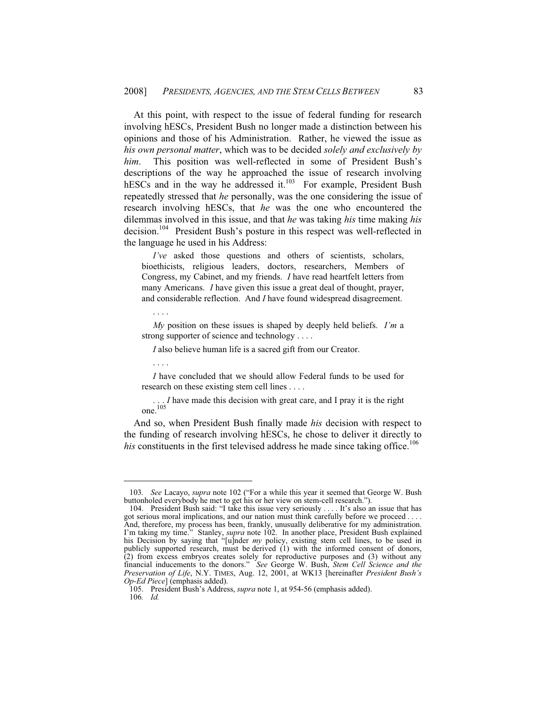At this point, with respect to the issue of federal funding for research involving hESCs, President Bush no longer made a distinction between his opinions and those of his Administration. Rather, he viewed the issue as *his own personal matter*, which was to be decided *solely and exclusively by him*. This position was well-reflected in some of President Bush's descriptions of the way he approached the issue of research involving hESCs and in the way he addressed it.<sup>103</sup> For example, President Bush repeatedly stressed that *he* personally, was the one considering the issue of research involving hESCs, that *he* was the one who encountered the dilemmas involved in this issue, and that *he* was taking *his* time making *his* decision.104 President Bush's posture in this respect was well-reflected in the language he used in his Address:

 *I've* asked those questions and others of scientists, scholars, bioethicists, religious leaders, doctors, researchers, Members of Congress, my Cabinet, and my friends. *I* have read heartfelt letters from many Americans. *I* have given this issue a great deal of thought, prayer, and considerable reflection. And *I* have found widespread disagreement.

. . . .

 *My* position on these issues is shaped by deeply held beliefs. *I'm* a strong supporter of science and technology . . . .

*I* also believe human life is a sacred gift from our Creator.

. . . .

*I* have concluded that we should allow Federal funds to be used for research on these existing stem cell lines . . . .

. . . *I* have made this decision with great care, and I pray it is the right one. 105

And so, when President Bush finally made *his* decision with respect to the funding of research involving hESCs, he chose to deliver it directly to *his* constituents in the first televised address he made since taking office.<sup>106</sup>

<sup>103</sup>*. See* Lacayo, *supra* note 102 ("For a while this year it seemed that George W. Bush buttonholed everybody he met to get his or her view on stem-cell research.").

 <sup>104.</sup> President Bush said: "I take this issue very seriously . . . . It's also an issue that has got serious moral implications, and our nation must think carefully before we proceed . . . . And, therefore, my process has been, frankly, unusually deliberative for my administration. I'm taking my time." Stanley, *supra* note 102. In another place, President Bush explained his Decision by saying that "[u]nder *my* policy, existing stem cell lines, to be used in publicly supported research, must be derived (1) with the informed consent of donors, (2) from excess embryos creates solely for reproductive purposes and (3) without any financial inducements to the donors." *See* George W. Bush, *Stem Cell Science and the Preservation of Life*, N.Y. TIMES, Aug. 12, 2001, at WK13 [hereinafter *President Bush's Op-Ed Piece*] (emphasis added).

 <sup>105.</sup> President Bush's Address, *supra* note 1, at 954-56 (emphasis added).

<sup>106</sup>*. Id.*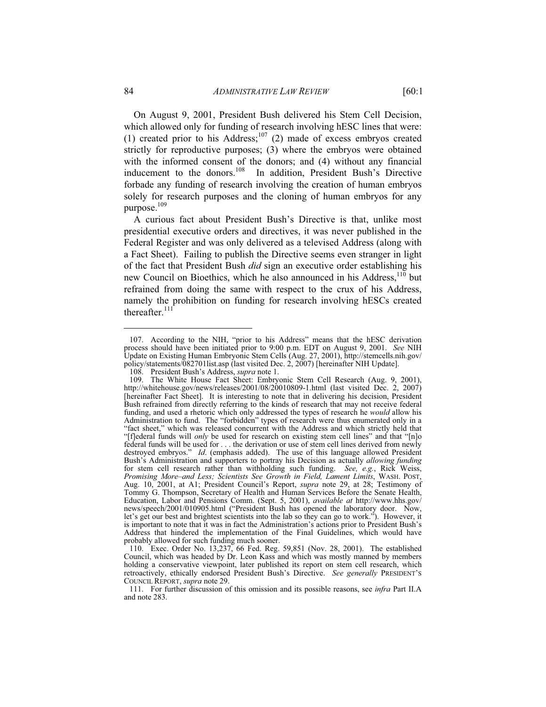On August 9, 2001, President Bush delivered his Stem Cell Decision, which allowed only for funding of research involving hESC lines that were: (1) created prior to his Address;<sup>107</sup> (2) made of excess embryos created strictly for reproductive purposes; (3) where the embryos were obtained with the informed consent of the donors; and (4) without any financial inducement to the donors.<sup>108</sup> In addition, President Bush's Directive forbade any funding of research involving the creation of human embryos solely for research purposes and the cloning of human embryos for any purpose. $109$ 

A curious fact about President Bush's Directive is that, unlike most presidential executive orders and directives, it was never published in the Federal Register and was only delivered as a televised Address (along with a Fact Sheet). Failing to publish the Directive seems even stranger in light of the fact that President Bush *did* sign an executive order establishing his new Council on Bioethics, which he also announced in his Address, <sup>110</sup> but refrained from doing the same with respect to the crux of his Address, namely the prohibition on funding for research involving hESCs created thereafter. $111$ 

 <sup>107.</sup> According to the NIH, "prior to his Address" means that the hESC derivation process should have been initiated prior to 9:00 p.m. EDT on August 9, 2001. *See* NIH Update on Existing Human Embryonic Stem Cells (Aug. 27, 2001), http://stemcells.nih.gov/ policy/statements/082701list.asp (last visited Dec. 2, 2007) [hereinafter NIH Update].

 <sup>108.</sup> President Bush's Address, *supra* note 1.

 <sup>109.</sup> The White House Fact Sheet: Embryonic Stem Cell Research (Aug. 9, 2001), http://whitehouse.gov/news/releases/2001/08/20010809-1.html (last visited Dec. 2, 2007) [hereinafter Fact Sheet]. It is interesting to note that in delivering his decision, President Bush refrained from directly referring to the kinds of research that may not receive federal funding, and used a rhetoric which only addressed the types of research he *would* allow his Administration to fund. The "forbidden" types of research were thus enumerated only in a "fact sheet," which was released concurrent with the Address and which strictly held that "[f]ederal funds will *only* be used for research on existing stem cell lines" and that "[n]o federal funds will be used for . . . the derivation or use of stem cell lines derived from newly destroyed embryos." *Id*. (emphasis added). The use of this language allowed President Bush's Administration and supporters to portray his Decision as actually *allowing funding* for stem cell research rather than withholding such funding. *See, e.g.*, Rick Weiss, *Promising More–and Less; Scientists See Growth in Field, Lament Limits*, WASH. POST, Aug. 10, 2001, at A1; President Council's Report, *supra* note 29, at 28; Testimony of Tommy G. Thompson, Secretary of Health and Human Services Before the Senate Health, Education, Labor and Pensions Comm. (Sept. 5, 2001), *available at* http://www.hhs.gov/ news/speech/2001/010905.html ("President Bush has opened the laboratory door. Now, let's get our best and brightest scientists into the lab so they can go to work."). However, it is important to note that it was in fact the Administration's actions prior to President Bush's Address that hindered the implementation of the Final Guidelines, which would have probably allowed for such funding much sooner.

 <sup>110.</sup> Exec. Order No. 13,237, 66 Fed. Reg. 59,851 (Nov. 28, 2001). The established Council, which was headed by Dr. Leon Kass and which was mostly manned by members holding a conservative viewpoint, later published its report on stem cell research, which retroactively, ethically endorsed President Bush's Directive. *See generally* PRESIDENT'S COUNCIL REPORT, *supra* note 29.

 <sup>111.</sup> For further discussion of this omission and its possible reasons, see *infra* Part II.A and note 283.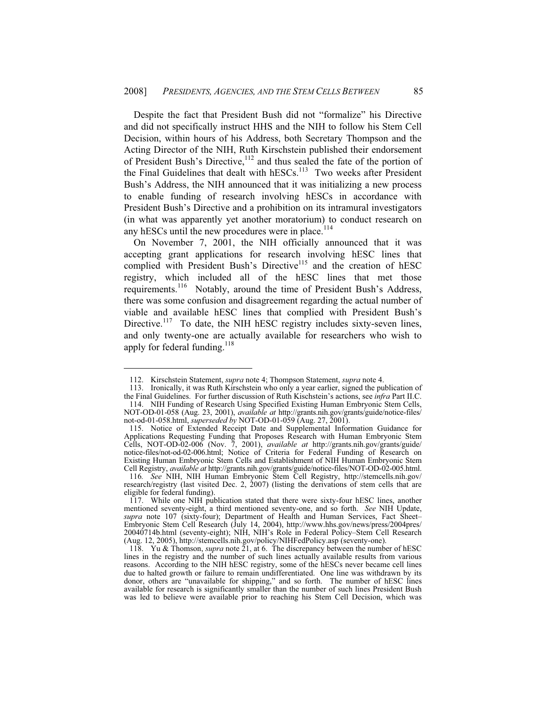Despite the fact that President Bush did not "formalize" his Directive and did not specifically instruct HHS and the NIH to follow his Stem Cell Decision, within hours of his Address, both Secretary Thompson and the Acting Director of the NIH, Ruth Kirschstein published their endorsement of President Bush's Directive,112 and thus sealed the fate of the portion of the Final Guidelines that dealt with hESCs.<sup>113</sup> Two weeks after President Bush's Address, the NIH announced that it was initializing a new process to enable funding of research involving hESCs in accordance with President Bush's Directive and a prohibition on its intramural investigators (in what was apparently yet another moratorium) to conduct research on any hESCs until the new procedures were in place.<sup>114</sup>

On November 7, 2001, the NIH officially announced that it was accepting grant applications for research involving hESC lines that complied with President Bush's Directive<sup>115</sup> and the creation of hESC registry, which included all of the hESC lines that met those requirements.116 Notably, around the time of President Bush's Address, there was some confusion and disagreement regarding the actual number of viable and available hESC lines that complied with President Bush's Directive.<sup>117</sup> To date, the NIH hESC registry includes sixty-seven lines, and only twenty-one are actually available for researchers who wish to apply for federal funding. $^{118}$ 

 <sup>112.</sup> Kirschstein Statement, *supra* note 4; Thompson Statement, *supra* note 4.

 <sup>113.</sup> Ironically, it was Ruth Kirschstein who only a year earlier, signed the publication of the Final Guidelines. For further discussion of Ruth Kischstein's actions, see *infra* Part II.C. 114. NIH Funding of Research Using Specified Existing Human Embryonic Stem Cells,

NOT-OD-01-058 (Aug. 23, 2001), *available at* http://grants.nih.gov/grants/guide/notice-files/ not-od-01-058.html, *superseded by* NOT-OD-01-059 (Aug. 27, 2001).

 <sup>115.</sup> Notice of Extended Receipt Date and Supplemental Information Guidance for Applications Requesting Funding that Proposes Research with Human Embryonic Stem Cells, NOT-OD-02-006 (Nov. 7, 2001), *available at* http://grants.nih.gov/grants/guide/ notice-files/not-od-02-006.html; Notice of Criteria for Federal Funding of Research on Existing Human Embryonic Stem Cells and Establishment of NIH Human Embryonic Stem Cell Registry, *available at* http://grants.nih.gov/grants/guide/notice-files/NOT-OD-02-005.html.

<sup>116</sup>*. See* NIH, NIH Human Embryonic Stem Cell Registry, http://stemcells.nih.gov/ research/registry (last visited Dec. 2, 2007) (listing the derivations of stem cells that are eligible for federal funding).

 <sup>117.</sup> While one NIH publication stated that there were sixty-four hESC lines, another mentioned seventy-eight, a third mentioned seventy-one, and so forth. *See* NIH Update, *supra* note 107 (sixty-four); Department of Health and Human Services, Fact Sheet– Embryonic Stem Cell Research (July 14, 2004), http://www.hhs.gov/news/press/2004pres/ 20040714b.html (seventy-eight); NIH, NIH's Role in Federal Policy–Stem Cell Research (Aug. 12, 2005), http://stemcells.nih.gov/policy/NIHFedPolicy.asp (seventy-one).

 <sup>118.</sup> Yu & Thomson, *supra* note 21, at 6. The discrepancy between the number of hESC lines in the registry and the number of such lines actually available results from various reasons. According to the NIH hESC registry, some of the hESCs never became cell lines due to halted growth or failure to remain undifferentiated. One line was withdrawn by its donor, others are "unavailable for shipping," and so forth. The number of hESC lines available for research is significantly smaller than the number of such lines President Bush was led to believe were available prior to reaching his Stem Cell Decision, which was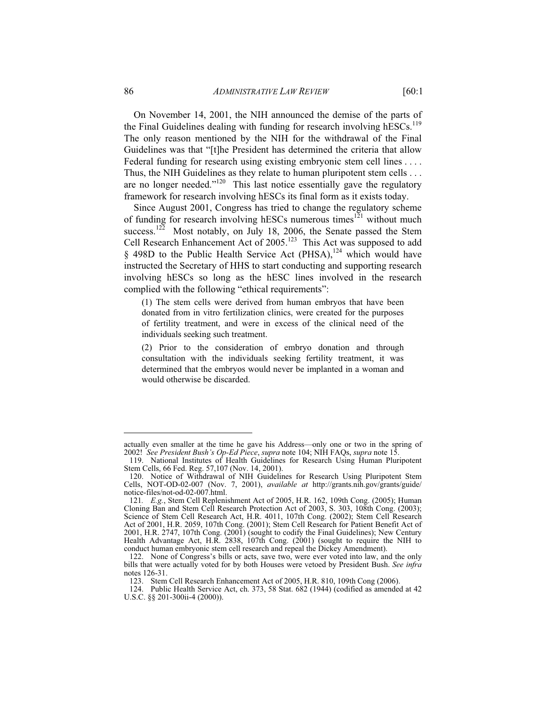On November 14, 2001, the NIH announced the demise of the parts of the Final Guidelines dealing with funding for research involving  $hESCs$ <sup>119</sup> The only reason mentioned by the NIH for the withdrawal of the Final Guidelines was that "[t]he President has determined the criteria that allow Federal funding for research using existing embryonic stem cell lines .... Thus, the NIH Guidelines as they relate to human pluripotent stem cells . . . are no longer needed."120 This last notice essentially gave the regulatory framework for research involving hESCs its final form as it exists today.

Since August 2001, Congress has tried to change the regulatory scheme of funding for research involving hESCs numerous times $121$  without much success.<sup>122</sup> Most notably, on July 18, 2006, the Senate passed the Stem Cell Research Enhancement Act of 2005.<sup>123</sup> This Act was supposed to add § 498D to the Public Health Service Act (PHSA), $^{124}$  which would have instructed the Secretary of HHS to start conducting and supporting research involving hESCs so long as the hESC lines involved in the research complied with the following "ethical requirements":

(1) The stem cells were derived from human embryos that have been donated from in vitro fertilization clinics, were created for the purposes of fertility treatment, and were in excess of the clinical need of the individuals seeking such treatment.

(2) Prior to the consideration of embryo donation and through consultation with the individuals seeking fertility treatment, it was determined that the embryos would never be implanted in a woman and would otherwise be discarded.

actually even smaller at the time he gave his Address—only one or two in the spring of 2002! *See President Bush's Op-Ed Piece*, *supra* note 104; NIH FAQs, *supra* note 15.

 <sup>119.</sup> National Institutes of Health Guidelines for Research Using Human Pluripotent Stem Cells, 66 Fed. Reg. 57,107 (Nov. 14, 2001).

 <sup>120.</sup> Notice of Withdrawal of NIH Guidelines for Research Using Pluripotent Stem Cells, NOT-OD-02-007 (Nov. 7, 2001), *available at* http://grants.nih.gov/grants/guide/ notice-files/not-od-02-007.html.

<sup>121</sup>*. E.g.*, Stem Cell Replenishment Act of 2005, H.R. 162, 109th Cong. (2005); Human Cloning Ban and Stem Cell Research Protection Act of 2003, S. 303, 108th Cong. (2003); Science of Stem Cell Research Act, H.R. 4011, 107th Cong. (2002); Stem Cell Research Act of 2001, H.R. 2059, 107th Cong. (2001); Stem Cell Research for Patient Benefit Act of 2001, H.R. 2747, 107th Cong. (2001) (sought to codify the Final Guidelines); New Century Health Advantage Act, H.R. 2838, 107th Cong. (2001) (sought to require the NIH to conduct human embryonic stem cell research and repeal the Dickey Amendment).

 <sup>122.</sup> None of Congress's bills or acts, save two, were ever voted into law, and the only bills that were actually voted for by both Houses were vetoed by President Bush. *See infra* notes 126-31.

 <sup>123.</sup> Stem Cell Research Enhancement Act of 2005, H.R. 810, 109th Cong (2006).

 <sup>124.</sup> Public Health Service Act, ch. 373, 58 Stat. 682 (1944) (codified as amended at 42 U.S.C. §§ 201-300ii-4 (2000)).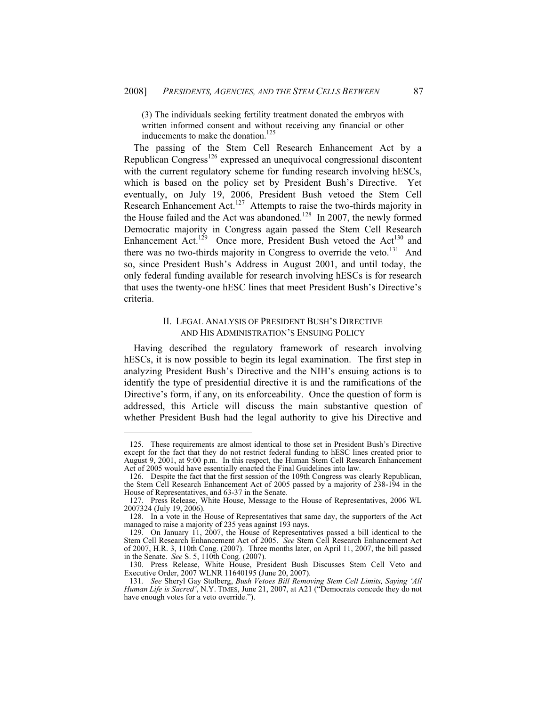(3) The individuals seeking fertility treatment donated the embryos with written informed consent and without receiving any financial or other inducements to make the donation.<sup>125</sup>

The passing of the Stem Cell Research Enhancement Act by a Republican Congress<sup>126</sup> expressed an unequivocal congressional discontent with the current regulatory scheme for funding research involving hESCs, which is based on the policy set by President Bush's Directive. Yet eventually, on July 19, 2006, President Bush vetoed the Stem Cell Research Enhancement Act.<sup>127</sup> Attempts to raise the two-thirds majority in the House failed and the Act was abandoned.<sup>128</sup> In 2007, the newly formed Democratic majority in Congress again passed the Stem Cell Research Enhancement  $\text{Act.}^{129}$  Once more, President Bush vetoed the Act<sup>130</sup> and there was no two-thirds majority in Congress to override the veto.<sup>131</sup> And so, since President Bush's Address in August 2001, and until today, the only federal funding available for research involving hESCs is for research that uses the twenty-one hESC lines that meet President Bush's Directive's criteria.

### II. LEGAL ANALYSIS OF PRESIDENT BUSH'S DIRECTIVE AND HIS ADMINISTRATION'S ENSUING POLICY

Having described the regulatory framework of research involving hESCs, it is now possible to begin its legal examination. The first step in analyzing President Bush's Directive and the NIH's ensuing actions is to identify the type of presidential directive it is and the ramifications of the Directive's form, if any, on its enforceability. Once the question of form is addressed, this Article will discuss the main substantive question of whether President Bush had the legal authority to give his Directive and

 <sup>125.</sup> These requirements are almost identical to those set in President Bush's Directive except for the fact that they do not restrict federal funding to hESC lines created prior to August 9, 2001, at 9:00 p.m. In this respect, the Human Stem Cell Research Enhancement Act of 2005 would have essentially enacted the Final Guidelines into law.

 <sup>126.</sup> Despite the fact that the first session of the 109th Congress was clearly Republican, the Stem Cell Research Enhancement Act of 2005 passed by a majority of 238-194 in the House of Representatives, and 63-37 in the Senate.

 <sup>127.</sup> Press Release, White House, Message to the House of Representatives, 2006 WL 2007324 (July 19, 2006).

 <sup>128.</sup> In a vote in the House of Representatives that same day, the supporters of the Act managed to raise a majority of 235 yeas against 193 nays.

 <sup>129.</sup> On January 11, 2007, the House of Representatives passed a bill identical to the Stem Cell Research Enhancement Act of 2005. *See* Stem Cell Research Enhancement Act of 2007, H.R. 3, 110th Cong. (2007). Three months later, on April 11, 2007, the bill passed in the Senate. *See* S. 5, 110th Cong. (2007).

 <sup>130.</sup> Press Release, White House, President Bush Discusses Stem Cell Veto and Executive Order, 2007 WLNR 11640195 (June 20, 2007).

<sup>131</sup>*. See* Sheryl Gay Stolberg, *Bush Vetoes Bill Removing Stem Cell Limits, Saying 'All Human Life is Sacred'*, N.Y. TIMES, June 21, 2007, at A21 ("Democrats concede they do not have enough votes for a veto override.").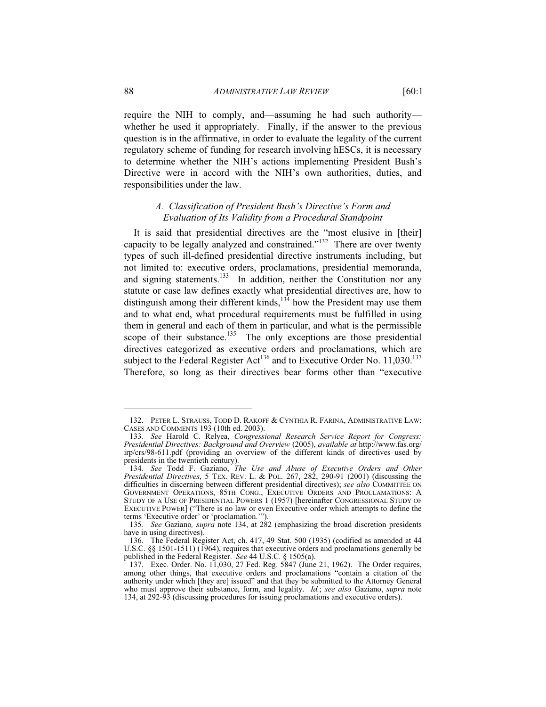require the NIH to comply, and—assuming he had such authority whether he used it appropriately. Finally, if the answer to the previous question is in the affirmative, in order to evaluate the legality of the current regulatory scheme of funding for research involving hESCs, it is necessary to determine whether the NIH's actions implementing President Bush's Directive were in accord with the NIH's own authorities, duties, and responsibilities under the law.

# *A. Classification of President Bush's Directive's Form and Evaluation of Its Validity from a Procedural Standpoint*

It is said that presidential directives are the "most elusive in [their] capacity to be legally analyzed and constrained."<sup>132</sup> There are over twenty types of such ill-defined presidential directive instruments including, but not limited to: executive orders, proclamations, presidential memoranda, and signing statements.<sup>133</sup> In addition, neither the Constitution nor any statute or case law defines exactly what presidential directives are, how to distinguish among their different kinds, $134$  how the President may use them and to what end, what procedural requirements must be fulfilled in using them in general and each of them in particular, and what is the permissible scope of their substance.<sup>135</sup> The only exceptions are those presidential directives categorized as executive orders and proclamations, which are subject to the Federal Register Act<sup>136</sup> and to Executive Order No.  $11,030$ <sup>137</sup> Therefore, so long as their directives bear forms other than "executive

 <sup>132.</sup> PETER L. STRAUSS, TODD D. RAKOFF & CYNTHIA R. FARINA, ADMINISTRATIVE LAW: CASES AND COMMENTS 193 (10th ed. 2003).

<sup>133</sup>*. See* Harold C. Relyea, *Congressional Research Service Report for Congress: Presidential Directives: Background and Overview* (2005), *available at* http://www.fas.org/ irp/crs/98-611.pdf (providing an overview of the different kinds of directives used by presidents in the twentieth century).

<sup>134</sup>*. See* Todd F. Gaziano, *The Use and Abuse of Executive Orders and Other Presidential Directives*, 5 TEX. REV. L. & POL. 267, 282, 290-91 (2001) (discussing the difficulties in discerning between different presidential directives); *see also* COMMITTEE ON GOVERNMENT OPERATIONS, 85TH CONG., EXECUTIVE ORDERS AND PROCLAMATIONS: A STUDY OF A USE OF PRESIDENTIAL POWERS 1 (1957) [hereinafter CONGRESSIONAL STUDY OF EXECUTIVE POWER] ("There is no law or even Executive order which attempts to define the terms 'Executive order' or 'proclamation.'").

<sup>135</sup>*. See* Gaziano*, supra* note 134, at 282 (emphasizing the broad discretion presidents have in using directives).

 <sup>136.</sup> The Federal Register Act, ch. 417, 49 Stat. 500 (1935) (codified as amended at 44 U.S.C. §§ 1501-1511) (1964), requires that executive orders and proclamations generally be published in the Federal Register. *See* 44 U.S.C. § 1505(a).

 <sup>137.</sup> Exec. Order. No. 11,030, 27 Fed. Reg. 5847 (June 21, 1962). The Order requires, among other things, that executive orders and proclamations "contain a citation of the authority under which [they are] issued" and that they be submitted to the Attorney General who must approve their substance, form, and legality. *Id.*; *see also* Gaziano, *supra* note 134, at 292-93 (discussing procedures for issuing proclamations and executive orders).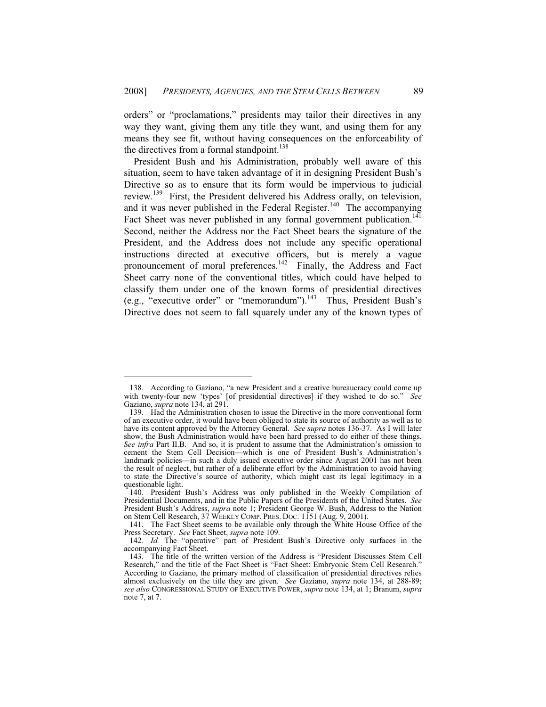orders" or "proclamations," presidents may tailor their directives in any way they want, giving them any title they want, and using them for any means they see fit, without having consequences on the enforceability of the directives from a formal standpoint.<sup>138</sup>

President Bush and his Administration, probably well aware of this situation, seem to have taken advantage of it in designing President Bush's Directive so as to ensure that its form would be impervious to judicial review.<sup>139</sup> First, the President delivered his Address orally, on television, and it was never published in the Federal Register.<sup>140</sup> The accompanying Fact Sheet was never published in any formal government publication.<sup>141</sup> Second, neither the Address nor the Fact Sheet bears the signature of the President, and the Address does not include any specific operational instructions directed at executive officers, but is merely a vague pronouncement of moral preferences.<sup>142</sup> Finally, the Address and Fact Sheet carry none of the conventional titles, which could have helped to classify them under one of the known forms of presidential directives (e.g., "executive order" or "memorandum"). $143$  Thus, President Bush's Directive does not seem to fall squarely under any of the known types of

 <sup>138.</sup> According to Gaziano, "a new President and a creative bureaucracy could come up with twenty-four new 'types' [of presidential directives] if they wished to do so." *See* Gaziano, *supra* note 134, at 291.

 <sup>139.</sup> Had the Administration chosen to issue the Directive in the more conventional form of an executive order, it would have been obliged to state its source of authority as well as to have its content approved by the Attorney General. *See supra* notes 136-37. As I will later show, the Bush Administration would have been hard pressed to do either of these things. *See infra* Part II.B. And so, it is prudent to assume that the Administration's omission to cement the Stem Cell Decision—which is one of President Bush's Administration's landmark policies—in such a duly issued executive order since August 2001 has not been the result of neglect, but rather of a deliberate effort by the Administration to avoid having to state the Directive's source of authority, which might cast its legal legitimacy in a questionable light.

 <sup>140.</sup> President Bush's Address was only published in the Weekly Compilation of Presidential Documents, and in the Public Papers of the Presidents of the United States. *See* President Bush's Address, *supra* note 1; President George W. Bush, Address to the Nation on Stem Cell Research, 37 WEEKLY COMP. PRES. DOC. 1151 (Aug. 9, 2001).

 <sup>141.</sup> The Fact Sheet seems to be available only through the White House Office of the Press Secretary. *See* Fact Sheet, *supra* note 109.

<sup>142</sup>*. Id.* The "operative" part of President Bush's Directive only surfaces in the accompanying Fact Sheet.

 <sup>143.</sup> The title of the written version of the Address is "President Discusses Stem Cell Research," and the title of the Fact Sheet is "Fact Sheet: Embryonic Stem Cell Research." According to Gaziano, the primary method of classification of presidential directives relies almost exclusively on the title they are given. *See* Gaziano, *supra* note 134, at 288-89; *see also* CONGRESSIONAL STUDY OF EXECUTIVE POWER, *supra* note 134, at 1; Branum, *supra* note 7, at 7.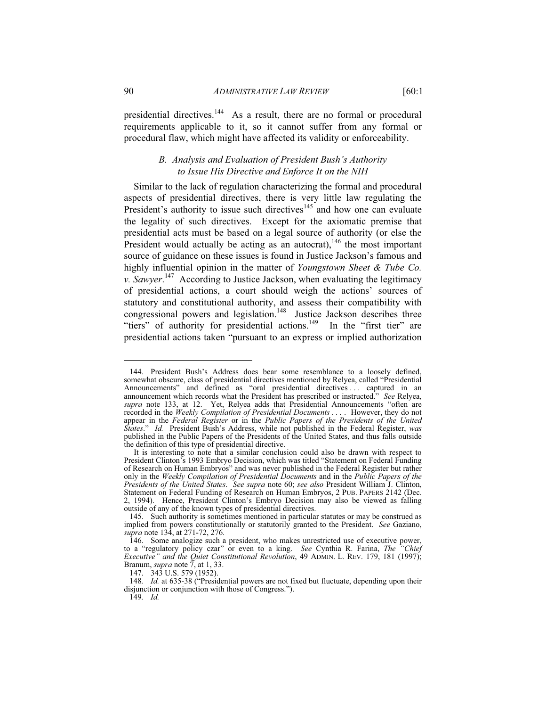presidential directives.<sup>144</sup> As a result, there are no formal or procedural requirements applicable to it, so it cannot suffer from any formal or procedural flaw, which might have affected its validity or enforceability.

# *B. Analysis and Evaluation of President Bush's Authority to Issue His Directive and Enforce It on the NIH*

Similar to the lack of regulation characterizing the formal and procedural aspects of presidential directives, there is very little law regulating the President's authority to issue such directives $145$  and how one can evaluate the legality of such directives. Except for the axiomatic premise that presidential acts must be based on a legal source of authority (or else the President would actually be acting as an autocrat),  $146$  the most important source of guidance on these issues is found in Justice Jackson's famous and highly influential opinion in the matter of *Youngstown Sheet & Tube Co. v. Sawyer*. 147 According to Justice Jackson, when evaluating the legitimacy of presidential actions, a court should weigh the actions' sources of statutory and constitutional authority, and assess their compatibility with congressional powers and legislation.<sup>148</sup> Justice Jackson describes three "tiers" of authority for presidential actions.<sup>149</sup> In the "first tier" are presidential actions taken "pursuant to an express or implied authorization

 <sup>144.</sup> President Bush's Address does bear some resemblance to a loosely defined, somewhat obscure, class of presidential directives mentioned by Relyea, called "Presidential Announcements" and defined as "oral presidential directives . . . captured in an announcement which records what the President has prescribed or instructed." *See* Relyea, *supra* note 133, at 12. Yet, Relyea adds that Presidential Announcements "often are recorded in the *Weekly Compilation of Presidential Documents* . . . . However, they do not appear in the *Federal Register* or in the *Public Papers of the Presidents of the United States*." *Id.* President Bush's Address, while not published in the Federal Register, *was* published in the Public Papers of the Presidents of the United States, and thus falls outside the definition of this type of presidential directive.

It is interesting to note that a similar conclusion could also be drawn with respect to President Clinton's 1993 Embryo Decision, which was titled "Statement on Federal Funding of Research on Human Embryos" and was never published in the Federal Register but rather only in the *Weekly Compilation of Presidential Documents* and in the *Public Papers of the Presidents of the United States*. *See supra* note 60; *see also* President William J. Clinton, Statement on Federal Funding of Research on Human Embryos, 2 PUB. PAPERS 2142 (Dec. 2, 1994). Hence, President Clinton's Embryo Decision may also be viewed as falling outside of any of the known types of presidential directives.

 <sup>145.</sup> Such authority is sometimes mentioned in particular statutes or may be construed as implied from powers constitutionally or statutorily granted to the President. *See* Gaziano, *supra* note 134, at 271-72, 276.

 <sup>146.</sup> Some analogize such a president, who makes unrestricted use of executive power, to a "regulatory policy czar" or even to a king. *See* Cynthia R. Farina, *The "Chief Executive" and the Quiet Constitutional Revolution*, 49 ADMIN. L. REV. 179, 181 (1997); Branum, *supra* note 7, at 1, 33.

 <sup>147. 343</sup> U.S. 579 (1952).

<sup>148</sup>*. Id.* at 635-38 ("Presidential powers are not fixed but fluctuate, depending upon their disjunction or conjunction with those of Congress.").

<sup>149</sup>*. Id.*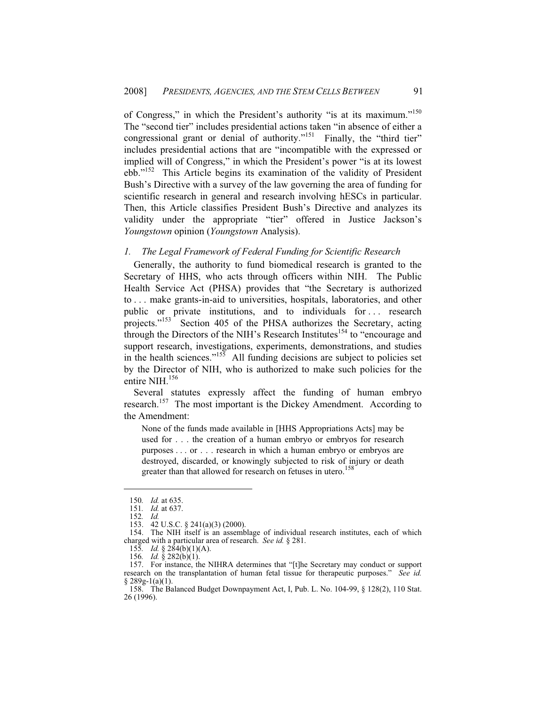of Congress," in which the President's authority "is at its maximum."<sup>150</sup> The "second tier" includes presidential actions taken "in absence of either a congressional grant or denial of authority."<sup>151</sup> Finally, the "third tier" includes presidential actions that are "incompatible with the expressed or implied will of Congress," in which the President's power "is at its lowest ebb."152 This Article begins its examination of the validity of President Bush's Directive with a survey of the law governing the area of funding for scientific research in general and research involving hESCs in particular. Then, this Article classifies President Bush's Directive and analyzes its validity under the appropriate "tier" offered in Justice Jackson's *Youngstown* opinion (*Youngstown* Analysis).

### *1. The Legal Framework of Federal Funding for Scientific Research*

Generally, the authority to fund biomedical research is granted to the Secretary of HHS, who acts through officers within NIH. The Public Health Service Act (PHSA) provides that "the Secretary is authorized to . . . make grants-in-aid to universities, hospitals, laboratories, and other public or private institutions, and to individuals for . . . research projects."<sup>153</sup> Section 405 of the PHSA authorizes the Secretary, acting through the Directors of the NIH's Research Institutes<sup>154</sup> to "encourage and support research, investigations, experiments, demonstrations, and studies in the health sciences." $15\overline{5}$  All funding decisions are subject to policies set by the Director of NIH, who is authorized to make such policies for the entire NIH.<sup>156</sup>

Several statutes expressly affect the funding of human embryo research.<sup>157</sup> The most important is the Dickey Amendment. According to the Amendment:

None of the funds made available in [HHS Appropriations Acts] may be used for . . . the creation of a human embryo or embryos for research purposes . . . or . . . research in which a human embryo or embryos are destroyed, discarded, or knowingly subjected to risk of injury or death greater than that allowed for research on fetuses in utero.<sup>158</sup>

<sup>150</sup>*. Id.* at 635.

<sup>151</sup>*. Id.* at 637.

<sup>152</sup>*. Id.*

 <sup>153. 42</sup> U.S.C. § 241(a)(3) (2000).

 <sup>154.</sup> The NIH itself is an assemblage of individual research institutes, each of which charged with a particular area of research. *See id.* § 281.

<sup>155.</sup> *Id.* §  $2\overline{8}4(b)(1)(A)$ .

<sup>156</sup>*. Id.* § 282(b)(1).

 <sup>157.</sup> For instance, the NIHRA determines that "[t]he Secretary may conduct or support research on the transplantation of human fetal tissue for therapeutic purposes." *See id.*  $$289g-1(a)(1).$ <br>158. The Ba

The Balanced Budget Downpayment Act, I, Pub. L. No. 104-99, § 128(2), 110 Stat. 26 (1996).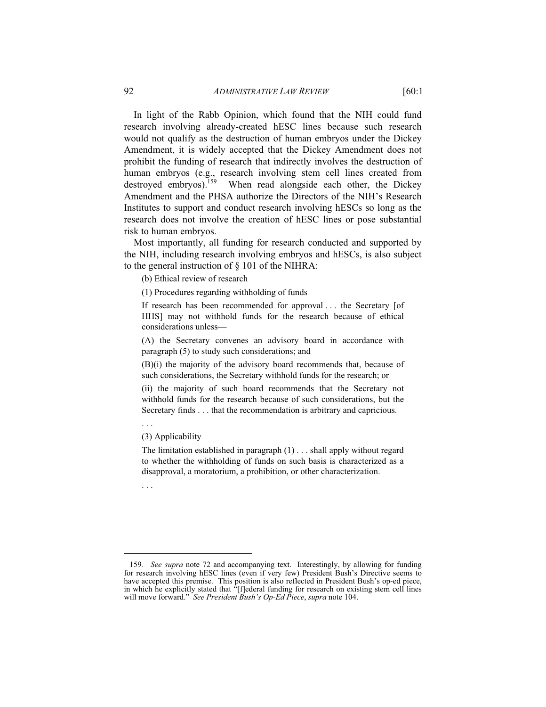In light of the Rabb Opinion, which found that the NIH could fund research involving already-created hESC lines because such research would not qualify as the destruction of human embryos under the Dickey Amendment, it is widely accepted that the Dickey Amendment does not prohibit the funding of research that indirectly involves the destruction of human embryos (e.g., research involving stem cell lines created from destroyed embryos).<sup>159</sup> When read alongside each other, the Dickey Amendment and the PHSA authorize the Directors of the NIH's Research Institutes to support and conduct research involving hESCs so long as the research does not involve the creation of hESC lines or pose substantial risk to human embryos.

Most importantly, all funding for research conducted and supported by the NIH, including research involving embryos and hESCs, is also subject to the general instruction of § 101 of the NIHRA:

(b) Ethical review of research

(1) Procedures regarding withholding of funds

If research has been recommended for approval . . . the Secretary [of HHS] may not withhold funds for the research because of ethical considerations unless—

(A) the Secretary convenes an advisory board in accordance with paragraph (5) to study such considerations; and

(B)(i) the majority of the advisory board recommends that, because of such considerations, the Secretary withhold funds for the research; or

(ii) the majority of such board recommends that the Secretary not withhold funds for the research because of such considerations, but the Secretary finds . . . that the recommendation is arbitrary and capricious.

(3) Applicability

The limitation established in paragraph (1) . . . shall apply without regard to whether the withholding of funds on such basis is characterized as a disapproval, a moratorium, a prohibition, or other characterization.

. . .

 $\overline{a}$ 

. . .

<sup>159</sup>*. See supra* note 72 and accompanying text. Interestingly, by allowing for funding for research involving hESC lines (even if very few) President Bush's Directive seems to have accepted this premise. This position is also reflected in President Bush's op-ed piece, in which he explicitly stated that "[f]ederal funding for research on existing stem cell lines will move forward." *See President Bush's Op-Ed Piece*, *supra* note 104.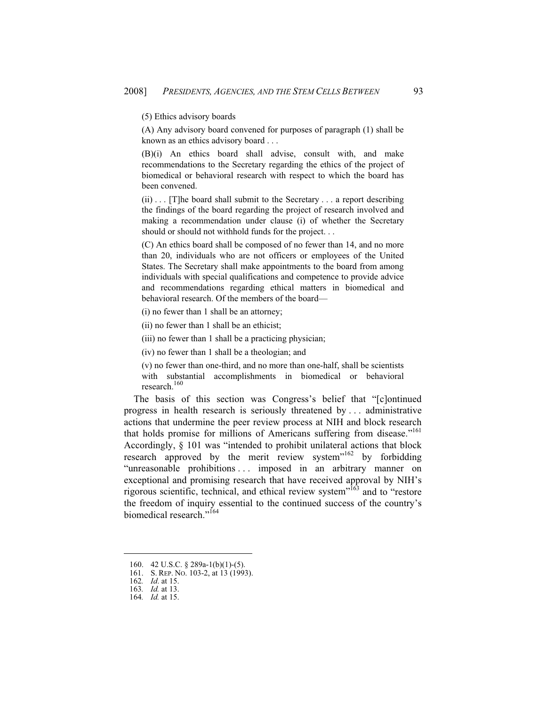(5) Ethics advisory boards

(A) Any advisory board convened for purposes of paragraph (1) shall be known as an ethics advisory board . . .

(B)(i) An ethics board shall advise, consult with, and make recommendations to the Secretary regarding the ethics of the project of biomedical or behavioral research with respect to which the board has been convened.

 $(ii)$ ... [T]he board shall submit to the Secretary ... a report describing the findings of the board regarding the project of research involved and making a recommendation under clause (i) of whether the Secretary should or should not withhold funds for the project. . .

(C) An ethics board shall be composed of no fewer than 14, and no more than 20, individuals who are not officers or employees of the United States. The Secretary shall make appointments to the board from among individuals with special qualifications and competence to provide advice and recommendations regarding ethical matters in biomedical and behavioral research. Of the members of the board—

(i) no fewer than 1 shall be an attorney;

(ii) no fewer than 1 shall be an ethicist;

(iii) no fewer than 1 shall be a practicing physician;

(iv) no fewer than 1 shall be a theologian; and

(v) no fewer than one-third, and no more than one-half, shall be scientists with substantial accomplishments in biomedical or behavioral research.<sup>160</sup>

The basis of this section was Congress's belief that "[c]ontinued progress in health research is seriously threatened by . . . administrative actions that undermine the peer review process at NIH and block research that holds promise for millions of Americans suffering from disease."<sup>161</sup> Accordingly, § 101 was "intended to prohibit unilateral actions that block research approved by the merit review system"<sup>162</sup> by forbidding "unreasonable prohibitions . . . imposed in an arbitrary manner on exceptional and promising research that have received approval by NIH's rigorous scientific, technical, and ethical review system"163 and to "restore the freedom of inquiry essential to the continued success of the country's biomedical research."<sup>164</sup>

 <sup>160. 42</sup> U.S.C. § 289a-1(b)(1)-(5).

 <sup>161.</sup> S. REP. NO. 103-2, at 13 (1993).

<sup>162</sup>*. Id*. at 15.

<sup>163</sup>*. Id.* at 13.

<sup>164</sup>*. Id.* at 15.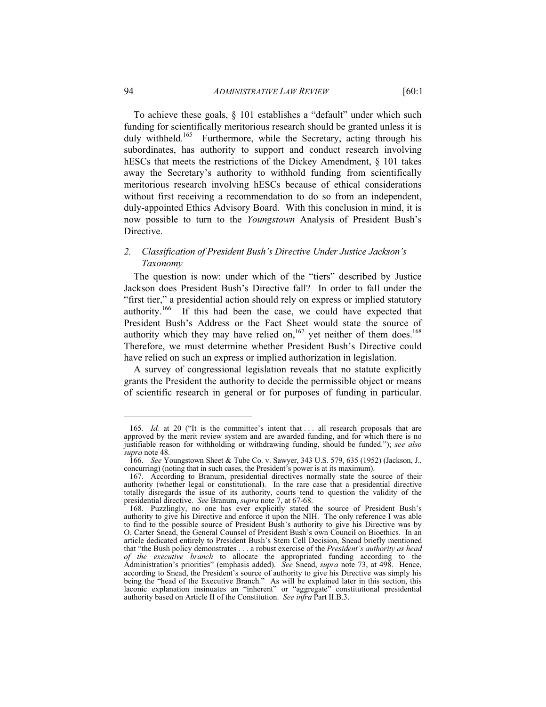To achieve these goals, § 101 establishes a "default" under which such funding for scientifically meritorious research should be granted unless it is duly withheld.<sup>165</sup> Furthermore, while the Secretary, acting through his subordinates, has authority to support and conduct research involving hESCs that meets the restrictions of the Dickey Amendment, § 101 takes away the Secretary's authority to withhold funding from scientifically meritorious research involving hESCs because of ethical considerations without first receiving a recommendation to do so from an independent, duly-appointed Ethics Advisory Board. With this conclusion in mind, it is now possible to turn to the *Youngstown* Analysis of President Bush's Directive.

# *2. Classification of President Bush's Directive Under Justice Jackson's Taxonomy*

The question is now: under which of the "tiers" described by Justice Jackson does President Bush's Directive fall? In order to fall under the "first tier," a presidential action should rely on express or implied statutory authority.<sup>166</sup> If this had been the case, we could have expected that President Bush's Address or the Fact Sheet would state the source of authority which they may have relied on,<sup>167</sup> yet neither of them does.<sup>168</sup> Therefore, we must determine whether President Bush's Directive could have relied on such an express or implied authorization in legislation.

A survey of congressional legislation reveals that no statute explicitly grants the President the authority to decide the permissible object or means of scientific research in general or for purposes of funding in particular.

<sup>165.</sup> *Id.* at 20 ("It is the committee's intent that ... all research proposals that are approved by the merit review system and are awarded funding, and for which there is no justifiable reason for withholding or withdrawing funding, should be funded."); *see also supra* note 48.

 <sup>166.</sup> *See* Youngstown Sheet & Tube Co. v. Sawyer, 343 U.S. 579, 635 (1952) (Jackson, J., concurring) (noting that in such cases, the President's power is at its maximum).

 <sup>167.</sup> According to Branum, presidential directives normally state the source of their authority (whether legal or constitutional). In the rare case that a presidential directive totally disregards the issue of its authority, courts tend to question the validity of the presidential directive. *See* Branum, *supra* note 7, at 67-68.

 <sup>168.</sup> Puzzlingly, no one has ever explicitly stated the source of President Bush's authority to give his Directive and enforce it upon the NIH. The only reference I was able to find to the possible source of President Bush's authority to give his Directive was by O. Carter Snead, the General Counsel of President Bush's own Council on Bioethics. In an article dedicated entirely to President Bush's Stem Cell Decision, Snead briefly mentioned that "the Bush policy demonstrates . . . a robust exercise of the *President's authority as head of the executive branch* to allocate the appropriated funding according to the Administration's priorities" (emphasis added). *See* Snead, *supra* note 73, at 498. Hence, according to Snead, the President's source of authority to give his Directive was simply his being the "head of the Executive Branch." As will be explained later in this section, this laconic explanation insinuates an "inherent" or "aggregate" constitutional presidential authority based on Article II of the Constitution. *See infra* Part II.B.3.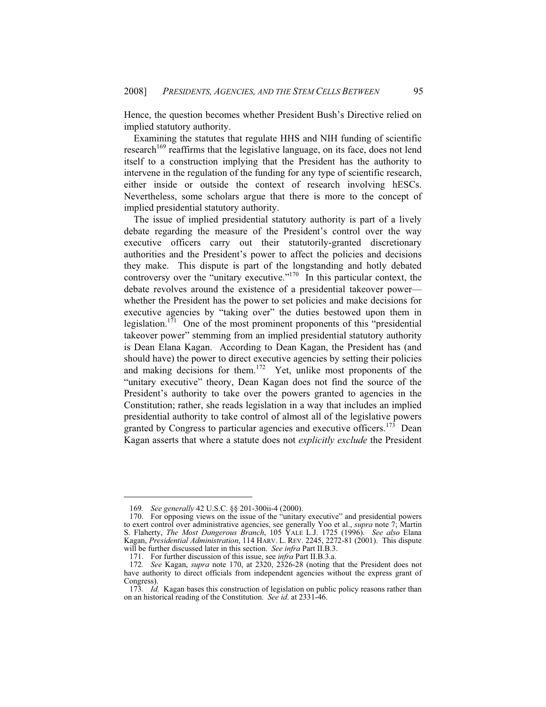Hence, the question becomes whether President Bush's Directive relied on implied statutory authority.

Examining the statutes that regulate HHS and NIH funding of scientific research<sup>169</sup> reaffirms that the legislative language, on its face, does not lend itself to a construction implying that the President has the authority to intervene in the regulation of the funding for any type of scientific research, either inside or outside the context of research involving hESCs. Nevertheless, some scholars argue that there is more to the concept of implied presidential statutory authority.

The issue of implied presidential statutory authority is part of a lively debate regarding the measure of the President's control over the way executive officers carry out their statutorily-granted discretionary authorities and the President's power to affect the policies and decisions they make. This dispute is part of the longstanding and hotly debated controversy over the "unitary executive."170 In this particular context, the debate revolves around the existence of a presidential takeover power whether the President has the power to set policies and make decisions for executive agencies by "taking over" the duties bestowed upon them in legislation.<sup>171</sup> One of the most prominent proponents of this "presidential" takeover power" stemming from an implied presidential statutory authority is Dean Elana Kagan. According to Dean Kagan, the President has (and should have) the power to direct executive agencies by setting their policies and making decisions for them.<sup>172</sup> Yet, unlike most proponents of the "unitary executive" theory, Dean Kagan does not find the source of the President's authority to take over the powers granted to agencies in the Constitution; rather, she reads legislation in a way that includes an implied presidential authority to take control of almost all of the legislative powers granted by Congress to particular agencies and executive officers.<sup>173</sup> Dean Kagan asserts that where a statute does not *explicitly exclude* the President

<sup>169</sup>*. See generally* 42 U.S.C. §§ 201-300ii-4 (2000).

 <sup>170.</sup> For opposing views on the issue of the "unitary executive" and presidential powers to exert control over administrative agencies, see generally Yoo et al., *supra* note 7; Martin S. Flaherty, *The Most Dangerous Branch*, 105 YALE L.J. 1725 (1996). *See also* Elana Kagan, *Presidential Administration*, 114 HARV. L. REV. 2245, 2272-81 (2001). This dispute will be further discussed later in this section. *See infra* Part II.B.3.

 <sup>171.</sup> For further discussion of this issue, see *infra* Part II.B.3.a.

<sup>172</sup>*. See* Kagan, *supra* note 170, at 2320, 2326-28 (noting that the President does not have authority to direct officials from independent agencies without the express grant of Congress).

<sup>173</sup>*. Id.* Kagan bases this construction of legislation on public policy reasons rather than on an historical reading of the Constitution. *See id*. at 2331-46.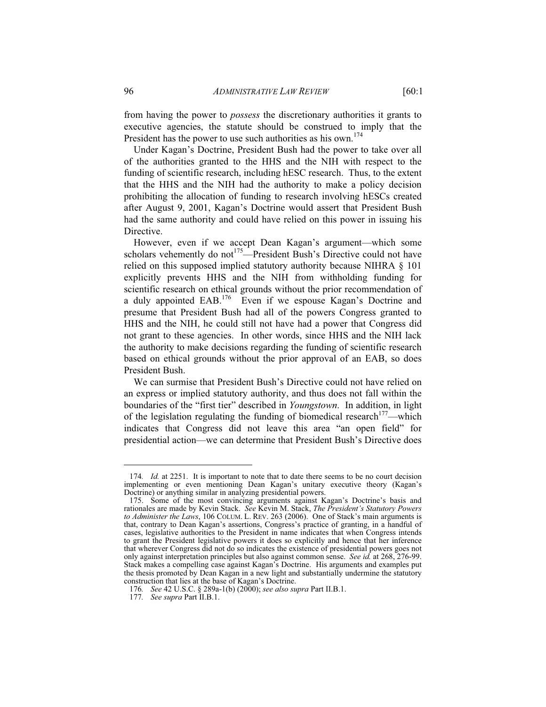from having the power to *possess* the discretionary authorities it grants to executive agencies, the statute should be construed to imply that the President has the power to use such authorities as his own. $174$ 

Under Kagan's Doctrine, President Bush had the power to take over all of the authorities granted to the HHS and the NIH with respect to the funding of scientific research, including hESC research. Thus, to the extent that the HHS and the NIH had the authority to make a policy decision prohibiting the allocation of funding to research involving hESCs created after August 9, 2001, Kagan's Doctrine would assert that President Bush had the same authority and could have relied on this power in issuing his Directive.

However, even if we accept Dean Kagan's argument—which some scholars vehemently do not<sup>175</sup>—President Bush's Directive could not have relied on this supposed implied statutory authority because NIHRA § 101 explicitly prevents HHS and the NIH from withholding funding for scientific research on ethical grounds without the prior recommendation of a duly appointed EAB.176 Even if we espouse Kagan's Doctrine and presume that President Bush had all of the powers Congress granted to HHS and the NIH, he could still not have had a power that Congress did not grant to these agencies. In other words, since HHS and the NIH lack the authority to make decisions regarding the funding of scientific research based on ethical grounds without the prior approval of an EAB, so does President Bush.

We can surmise that President Bush's Directive could not have relied on an express or implied statutory authority, and thus does not fall within the boundaries of the "first tier" described in *Youngstown*. In addition, in light of the legislation regulating the funding of biomedical research<sup>177</sup>—which indicates that Congress did not leave this area "an open field" for presidential action—we can determine that President Bush's Directive does

<sup>174</sup>*. Id.* at 2251. It is important to note that to date there seems to be no court decision implementing or even mentioning Dean Kagan's unitary executive theory (Kagan's Doctrine) or anything similar in analyzing presidential powers.

 <sup>175.</sup> Some of the most convincing arguments against Kagan's Doctrine's basis and rationales are made by Kevin Stack. *See* Kevin M. Stack, *The President's Statutory Powers to Administer the Laws*, 106 COLUM. L. REV. 263 (2006). One of Stack's main arguments is that, contrary to Dean Kagan's assertions, Congress's practice of granting, in a handful of cases, legislative authorities to the President in name indicates that when Congress intends to grant the President legislative powers it does so explicitly and hence that her inference that wherever Congress did not do so indicates the existence of presidential powers goes not only against interpretation principles but also against common sense. *See id.* at 268, 276-99. Stack makes a compelling case against Kagan's Doctrine. His arguments and examples put the thesis promoted by Dean Kagan in a new light and substantially undermine the statutory construction that lies at the base of Kagan's Doctrine.

<sup>176</sup>*. See* 42 U.S.C. § 289a-1(b) (2000); *see also supra* Part II.B.1.

<sup>177</sup>*. See supra* Part II.B.1.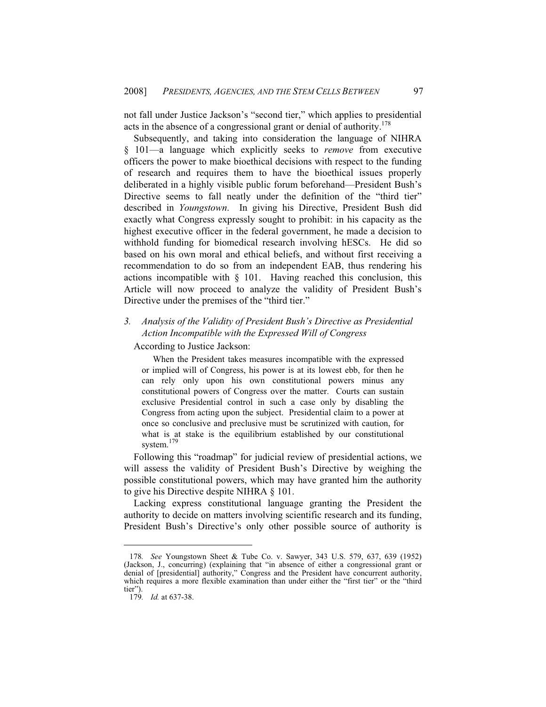not fall under Justice Jackson's "second tier," which applies to presidential acts in the absence of a congressional grant or denial of authority.<sup>178</sup>

Subsequently, and taking into consideration the language of NIHRA § 101—a language which explicitly seeks to *remove* from executive officers the power to make bioethical decisions with respect to the funding of research and requires them to have the bioethical issues properly deliberated in a highly visible public forum beforehand—President Bush's Directive seems to fall neatly under the definition of the "third tier" described in *Youngstown*. In giving his Directive, President Bush did exactly what Congress expressly sought to prohibit: in his capacity as the highest executive officer in the federal government, he made a decision to withhold funding for biomedical research involving hESCs. He did so based on his own moral and ethical beliefs, and without first receiving a recommendation to do so from an independent EAB, thus rendering his actions incompatible with § 101. Having reached this conclusion, this Article will now proceed to analyze the validity of President Bush's Directive under the premises of the "third tier."

# *3. Analysis of the Validity of President Bush's Directive as Presidential Action Incompatible with the Expressed Will of Congress*

According to Justice Jackson:

 When the President takes measures incompatible with the expressed or implied will of Congress, his power is at its lowest ebb, for then he can rely only upon his own constitutional powers minus any constitutional powers of Congress over the matter. Courts can sustain exclusive Presidential control in such a case only by disabling the Congress from acting upon the subject. Presidential claim to a power at once so conclusive and preclusive must be scrutinized with caution, for what is at stake is the equilibrium established by our constitutional system.<sup>179</sup>

Following this "roadmap" for judicial review of presidential actions, we will assess the validity of President Bush's Directive by weighing the possible constitutional powers, which may have granted him the authority to give his Directive despite NIHRA § 101.

Lacking express constitutional language granting the President the authority to decide on matters involving scientific research and its funding, President Bush's Directive's only other possible source of authority is

<sup>178</sup>*. See* Youngstown Sheet & Tube Co. v. Sawyer, 343 U.S. 579, 637, 639 (1952) (Jackson, J., concurring) (explaining that "in absence of either a congressional grant or denial of [presidential] authority," Congress and the President have concurrent authority, which requires a more flexible examination than under either the "first tier" or the "third tier").

<sup>179</sup>*. Id.* at 637-38.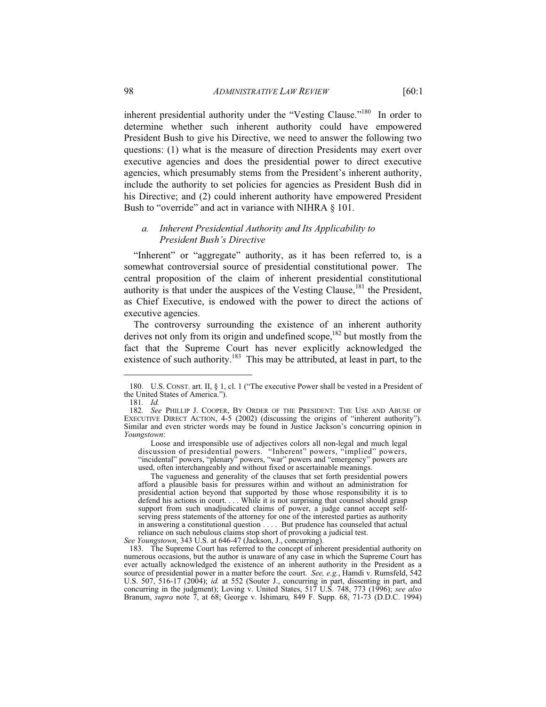inherent presidential authority under the "Vesting Clause."<sup>180</sup> In order to determine whether such inherent authority could have empowered President Bush to give his Directive, we need to answer the following two questions: (1) what is the measure of direction Presidents may exert over executive agencies and does the presidential power to direct executive agencies, which presumably stems from the President's inherent authority, include the authority to set policies for agencies as President Bush did in his Directive; and (2) could inherent authority have empowered President Bush to "override" and act in variance with NIHRA § 101.

### *a. Inherent Presidential Authority and Its Applicability to President Bush's Directive*

"Inherent" or "aggregate" authority, as it has been referred to, is a somewhat controversial source of presidential constitutional power. The central proposition of the claim of inherent presidential constitutional authority is that under the auspices of the Vesting Clause, $^{181}$  the President, as Chief Executive, is endowed with the power to direct the actions of executive agencies.

The controversy surrounding the existence of an inherent authority derives not only from its origin and undefined scope, $^{182}$  but mostly from the fact that the Supreme Court has never explicitly acknowledged the existence of such authority.<sup>183</sup> This may be attributed, at least in part, to the

 <sup>180.</sup> U.S. CONST. art. II, § 1, cl. 1 ("The executive Power shall be vested in a President of the United States of America.").

<sup>181</sup>*. Id.*

<sup>182</sup>*. See* PHILLIP J. COOPER, BY ORDER OF THE PRESIDENT: THE USE AND ABUSE OF EXECUTIVE DIRECT ACTION, 4-5 (2002) (discussing the origins of "inherent authority"). Similar and even stricter words may be found in Justice Jackson's concurring opinion in *Youngstown*:

Loose and irresponsible use of adjectives colors all non-legal and much legal discussion of presidential powers. "Inherent" powers, "implied" powers, "incidental" powers, "plenary" powers, "war" powers and "emergency" powers are used, often interchangeably and without fixed or ascertainable meanings.

The vagueness and generality of the clauses that set forth presidential powers afford a plausible basis for pressures within and without an administration for presidential action beyond that supported by those whose responsibility it is to defend his actions in court. . . . While it is not surprising that counsel should grasp support from such unadjudicated claims of power, a judge cannot accept selfserving press statements of the attorney for one of the interested parties as authority in answering a constitutional question . . . . But prudence has counseled that actual reliance on such nebulous claims stop short of provoking a judicial test.

*See Youngstown*, 343 U.S. at 646-47 (Jackson, J., concurring).

 <sup>183.</sup> The Supreme Court has referred to the concept of inherent presidential authority on numerous occasions, but the author is unaware of any case in which the Supreme Court has ever actually acknowledged the existence of an inherent authority in the President as a source of presidential power in a matter before the court. *See, e.g.*, Hamdi v. Rumsfeld, 542 U.S. 507, 516-17 (2004); *id.* at 552 (Souter J., concurring in part, dissenting in part, and concurring in the judgment); Loving v. United States, 517 U.S. 748, 773 (1996); *see also* Branum, *supra* note 7, at 68; George v. Ishimaru*,* 849 F. Supp. 68, 71-73 (D.D.C. 1994)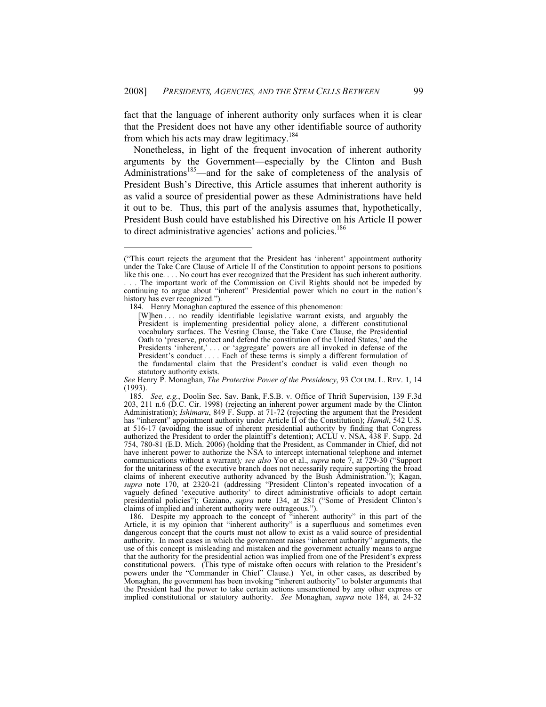fact that the language of inherent authority only surfaces when it is clear that the President does not have any other identifiable source of authority from which his acts may draw legitimacy.<sup>184</sup>

Nonetheless, in light of the frequent invocation of inherent authority arguments by the Government—especially by the Clinton and Bush Administrations<sup>185</sup>—and for the sake of completeness of the analysis of President Bush's Directive, this Article assumes that inherent authority is as valid a source of presidential power as these Administrations have held it out to be. Thus, this part of the analysis assumes that, hypothetically, President Bush could have established his Directive on his Article II power to direct administrative agencies' actions and policies.<sup>186</sup>

 $\overline{a}$ 

*See* Henry P. Monaghan, *The Protective Power of the Presidency*, 93 COLUM. L. REV. 1, 14 (1993).

 186. Despite my approach to the concept of "inherent authority" in this part of the Article, it is my opinion that "inherent authority" is a superfluous and sometimes even dangerous concept that the courts must not allow to exist as a valid source of presidential authority. In most cases in which the government raises "inherent authority" arguments, the use of this concept is misleading and mistaken and the government actually means to argue that the authority for the presidential action was implied from one of the President's express constitutional powers. (This type of mistake often occurs with relation to the President's powers under the "Commander in Chief" Clause.) Yet, in other cases, as described by Monaghan, the government has been invoking "inherent authority" to bolster arguments that the President had the power to take certain actions unsanctioned by any other express or implied constitutional or statutory authority. *See* Monaghan, *supra* note 184, at 24-32

<sup>(&</sup>quot;This court rejects the argument that the President has 'inherent' appointment authority under the Take Care Clause of Article II of the Constitution to appoint persons to positions like this one. . . . No court has ever recognized that the President has such inherent authority. . . . The important work of the Commission on Civil Rights should not be impeded by continuing to argue about "inherent" Presidential power which no court in the nation's history has ever recognized.").

 <sup>184.</sup> Henry Monaghan captured the essence of this phenomenon:

W]hen . . . no readily identifiable legislative warrant exists, and arguably the President is implementing presidential policy alone, a different constitutional vocabulary surfaces. The Vesting Clause, the Take Care Clause, the Presidential Oath to 'preserve, protect and defend the constitution of the United States,' and the Presidents 'inherent,' . . . or 'aggregate' powers are all invoked in defense of the President's conduct . . . . Each of these terms is simply a different formulation of the fundamental claim that the President's conduct is valid even though no statutory authority exists.

<sup>185</sup>*. See, e.g.*, Doolin Sec. Sav. Bank, F.S.B. v. Office of Thrift Supervision, 139 F.3d 203, 211 n.6 (D.C. Cir. 1998) (rejecting an inherent power argument made by the Clinton Administration); *Ishimaru*, 849 F. Supp. at 71-72 (rejecting the argument that the President has "inherent" appointment authority under Article II of the Constitution); *Hamdi*, 542 U.S. at 516-17 (avoiding the issue of inherent presidential authority by finding that Congress authorized the President to order the plaintiff's detention); ACLU v. NSA, 438 F. Supp. 2d 754, 780-81 (E.D. Mich. 2006) (holding that the President, as Commander in Chief, did not have inherent power to authorize the NSA to intercept international telephone and internet communications without a warrant)*; see also* Yoo et al., *supra* note 7, at 729-30 ("Support for the unitariness of the executive branch does not necessarily require supporting the broad claims of inherent executive authority advanced by the Bush Administration."); Kagan, *supra* note 170, at 2320-21 (addressing "President Clinton's repeated invocation of a vaguely defined 'executive authority' to direct administrative officials to adopt certain presidential policies"); Gaziano, *supra* note 134, at 281 ("Some of President Clinton's claims of implied and inherent authority were outrageous.").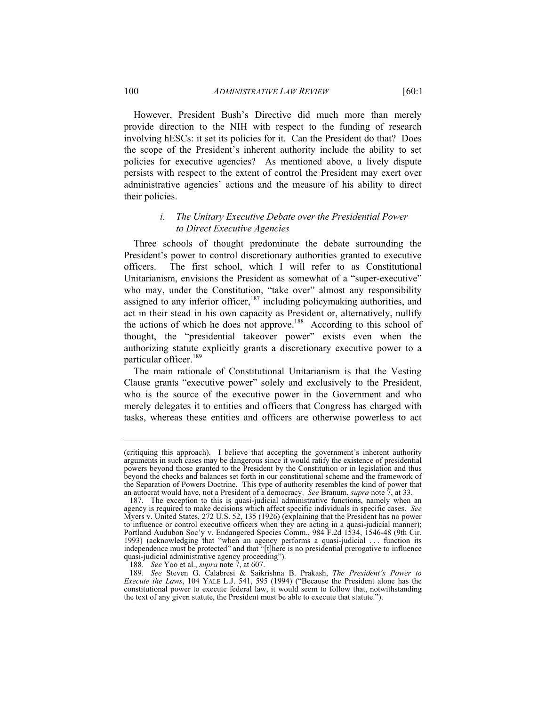However, President Bush's Directive did much more than merely provide direction to the NIH with respect to the funding of research involving hESCs: it set its policies for it. Can the President do that? Does the scope of the President's inherent authority include the ability to set policies for executive agencies? As mentioned above, a lively dispute persists with respect to the extent of control the President may exert over administrative agencies' actions and the measure of his ability to direct their policies.

# *i. The Unitary Executive Debate over the Presidential Power to Direct Executive Agencies*

Three schools of thought predominate the debate surrounding the President's power to control discretionary authorities granted to executive officers. The first school, which I will refer to as Constitutional Unitarianism, envisions the President as somewhat of a "super-executive" who may, under the Constitution, "take over" almost any responsibility assigned to any inferior officer,  $187$  including policymaking authorities, and act in their stead in his own capacity as President or, alternatively, nullify the actions of which he does not approve.<sup>188</sup> According to this school of thought, the "presidential takeover power" exists even when the authorizing statute explicitly grants a discretionary executive power to a particular officer.<sup>189</sup>

The main rationale of Constitutional Unitarianism is that the Vesting Clause grants "executive power" solely and exclusively to the President, who is the source of the executive power in the Government and who merely delegates it to entities and officers that Congress has charged with tasks, whereas these entities and officers are otherwise powerless to act

<sup>(</sup>critiquing this approach). I believe that accepting the government's inherent authority arguments in such cases may be dangerous since it would ratify the existence of presidential powers beyond those granted to the President by the Constitution or in legislation and thus beyond the checks and balances set forth in our constitutional scheme and the framework of the Separation of Powers Doctrine. This type of authority resembles the kind of power that an autocrat would have, not a President of a democracy. *See* Branum, *supra* note 7, at 33.

 <sup>187.</sup> The exception to this is quasi-judicial administrative functions, namely when an agency is required to make decisions which affect specific individuals in specific cases. *See* Myers v. United States, 272 U.S. 52, 135 (1926) (explaining that the President has no power to influence or control executive officers when they are acting in a quasi-judicial manner); Portland Audubon Soc'y v. Endangered Species Comm., 984 F.2d 1534, 1546-48 (9th Cir. 1993) (acknowledging that "when an agency performs a quasi-judicial ... function its independence must be protected" and that "[t]here is no presidential prerogative to influence quasi-judicial administrative agency proceeding").

<sup>188</sup>*. See* Yoo et al., *supra* note 7, at 607.

<sup>189</sup>*. See* Steven G. Calabresi & Saikrishna B. Prakash, *The President's Power to Execute the Laws*, 104 YALE L.J. 541, 595 (1994) ("Because the President alone has the constitutional power to execute federal law, it would seem to follow that, notwithstanding the text of any given statute, the President must be able to execute that statute.").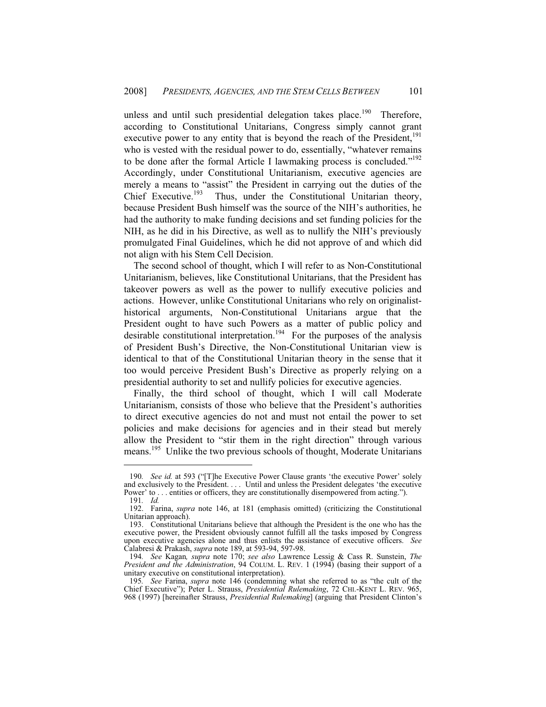unless and until such presidential delegation takes place.<sup>190</sup> Therefore, according to Constitutional Unitarians, Congress simply cannot grant executive power to any entity that is beyond the reach of the President,  $191$ who is vested with the residual power to do, essentially, "whatever remains to be done after the formal Article I lawmaking process is concluded."<sup>192</sup> Accordingly, under Constitutional Unitarianism, executive agencies are merely a means to "assist" the President in carrying out the duties of the Chief Executive.<sup>193</sup> Thus, under the Constitutional Unitarian theory, because President Bush himself was the source of the NIH's authorities, he had the authority to make funding decisions and set funding policies for the NIH, as he did in his Directive, as well as to nullify the NIH's previously promulgated Final Guidelines, which he did not approve of and which did not align with his Stem Cell Decision.

The second school of thought, which I will refer to as Non-Constitutional Unitarianism, believes, like Constitutional Unitarians, that the President has takeover powers as well as the power to nullify executive policies and actions. However, unlike Constitutional Unitarians who rely on originalisthistorical arguments, Non-Constitutional Unitarians argue that the President ought to have such Powers as a matter of public policy and desirable constitutional interpretation.<sup>194</sup> For the purposes of the analysis of President Bush's Directive, the Non-Constitutional Unitarian view is identical to that of the Constitutional Unitarian theory in the sense that it too would perceive President Bush's Directive as properly relying on a presidential authority to set and nullify policies for executive agencies.

Finally, the third school of thought, which I will call Moderate Unitarianism, consists of those who believe that the President's authorities to direct executive agencies do not and must not entail the power to set policies and make decisions for agencies and in their stead but merely allow the President to "stir them in the right direction" through various means.<sup>195</sup> Unlike the two previous schools of thought, Moderate Unitarians

<sup>190</sup>*. See id.* at 593 ("[T]he Executive Power Clause grants 'the executive Power' solely and exclusively to the President. . . . Until and unless the President delegates 'the executive Power' to . . . entities or officers, they are constitutionally disempowered from acting."). 191*. Id.*

 <sup>192.</sup> Farina, *supra* note 146, at 181 (emphasis omitted) (criticizing the Constitutional Unitarian approach).

 <sup>193.</sup> Constitutional Unitarians believe that although the President is the one who has the executive power, the President obviously cannot fulfill all the tasks imposed by Congress upon executive agencies alone and thus enlists the assistance of executive officers. *See* Calabresi & Prakash, *supra* note 189, at 593-94, 597-98.

<sup>194</sup>*. See* Kagan*, supra* note 170; *see also* Lawrence Lessig & Cass R. Sunstein, *The President and the Administration*, 94 COLUM. L. REV. 1 (1994) (basing their support of a unitary executive on constitutional interpretation).

<sup>195</sup>*. See* Farina, *supra* note 146 (condemning what she referred to as "the cult of the Chief Executive"); Peter L. Strauss, *Presidential Rulemaking*, 72 CHI.-KENT L. REV. 965, 968 (1997) [hereinafter Strauss, *Presidential Rulemaking*] (arguing that President Clinton's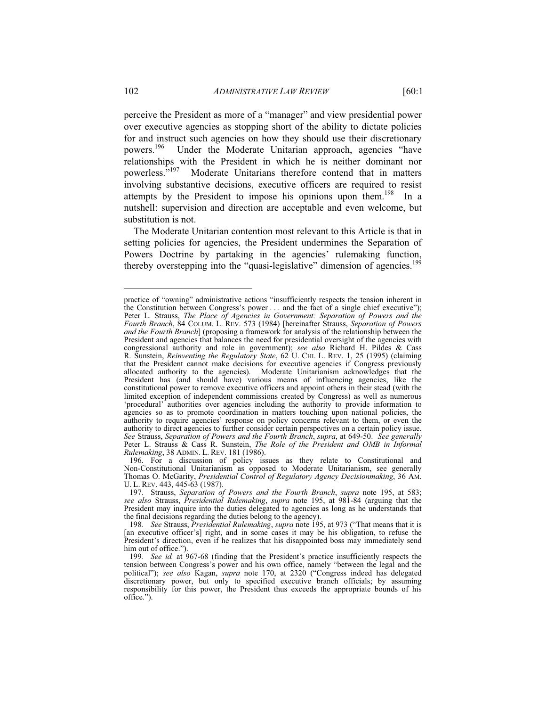perceive the President as more of a "manager" and view presidential power over executive agencies as stopping short of the ability to dictate policies for and instruct such agencies on how they should use their discretionary powers.<sup>196</sup> Under the Moderate Unitarian approach, agencies "have relationships with the President in which he is neither dominant nor powerless."197 Moderate Unitarians therefore contend that in matters involving substantive decisions, executive officers are required to resist attempts by the President to impose his opinions upon them.<sup>198</sup> In a nutshell: supervision and direction are acceptable and even welcome, but substitution is not.

The Moderate Unitarian contention most relevant to this Article is that in setting policies for agencies, the President undermines the Separation of Powers Doctrine by partaking in the agencies' rulemaking function, thereby overstepping into the "quasi-legislative" dimension of agencies.<sup>199</sup>

practice of "owning" administrative actions "insufficiently respects the tension inherent in the Constitution between Congress's power . . . and the fact of a single chief executive"); Peter L. Strauss, *The Place of Agencies in Government: Separation of Powers and the Fourth Branch*, 84 COLUM. L. REV. 573 (1984) [hereinafter Strauss, *Separation of Powers and the Fourth Branch*] (proposing a framework for analysis of the relationship between the President and agencies that balances the need for presidential oversight of the agencies with congressional authority and role in government); *see also* Richard H. Pildes & Cass R. Sunstein, *Reinventing the Regulatory State*, 62 U. CHI. L. REV. 1, 25 (1995) (claiming that the President cannot make decisions for executive agencies if Congress previously allocated authority to the agencies). Moderate Unitarianism acknowledges that the President has (and should have) various means of influencing agencies, like the constitutional power to remove executive officers and appoint others in their stead (with the limited exception of independent commissions created by Congress) as well as numerous 'procedural' authorities over agencies including the authority to provide information to agencies so as to promote coordination in matters touching upon national policies, the authority to require agencies' response on policy concerns relevant to them, or even the authority to direct agencies to further consider certain perspectives on a certain policy issue. *See* Strauss, *Separation of Powers and the Fourth Branch*, *supra*, at 649-50. *See generally* Peter L. Strauss & Cass R. Sunstein, *The Role of the President and OMB in Informal Rulemaking*, 38 ADMIN. L. REV. 181 (1986).

 <sup>196.</sup> For a discussion of policy issues as they relate to Constitutional and Non-Constitutional Unitarianism as opposed to Moderate Unitarianism, see generally Thomas O. McGarity, *Presidential Control of Regulatory Agency Decisionmaking*, 36 AM. U. L. REV. 443, 445-63 (1987).

 <sup>197.</sup> Strauss, *Separation of Powers and the Fourth Branch*, *supra* note 195, at 583; *see also* Strauss, *Presidential Rulemaking*, *supra* note 195, at 981-84 (arguing that the President may inquire into the duties delegated to agencies as long as he understands that the final decisions regarding the duties belong to the agency).

<sup>198</sup>*. See* Strauss, *Presidential Rulemaking*, *supra* note 195, at 973 ("That means that it is [an executive officer's] right, and in some cases it may be his obligation, to refuse the President's direction, even if he realizes that his disappointed boss may immediately send him out of office.").

<sup>199</sup>*. See id.* at 967-68 (finding that the President's practice insufficiently respects the tension between Congress's power and his own office, namely "between the legal and the political"); *see also* Kagan, *supra* note 170, at 2320 ("Congress indeed has delegated discretionary power, but only to specified executive branch officials; by assuming responsibility for this power, the President thus exceeds the appropriate bounds of his office.").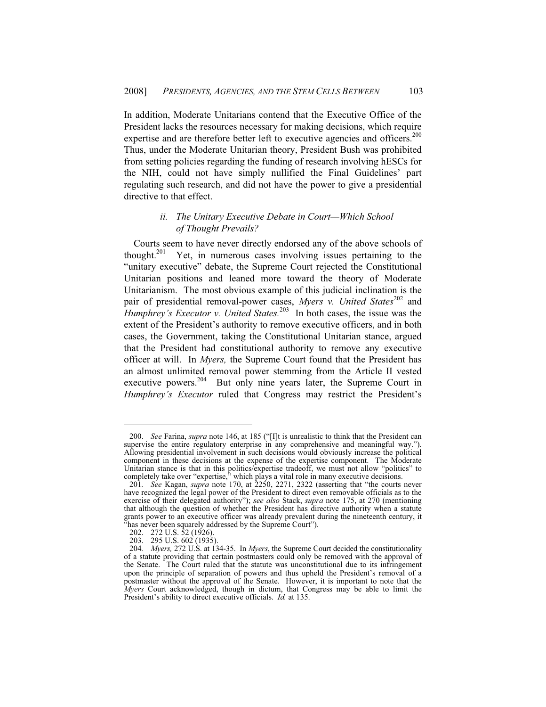In addition, Moderate Unitarians contend that the Executive Office of the President lacks the resources necessary for making decisions, which require expertise and are therefore better left to executive agencies and officers.<sup>200</sup> Thus, under the Moderate Unitarian theory, President Bush was prohibited from setting policies regarding the funding of research involving hESCs for the NIH, could not have simply nullified the Final Guidelines' part regulating such research, and did not have the power to give a presidential directive to that effect.

# *ii. The Unitary Executive Debate in Court—Which School of Thought Prevails?*

Courts seem to have never directly endorsed any of the above schools of thought.<sup>201</sup> Yet, in numerous cases involving issues pertaining to the "unitary executive" debate, the Supreme Court rejected the Constitutional Unitarian positions and leaned more toward the theory of Moderate Unitarianism. The most obvious example of this judicial inclination is the pair of presidential removal-power cases, *Myers v. United States*<sup>202</sup> and *Humphrey's Executor v. United States.*<sup>203</sup> In both cases, the issue was the extent of the President's authority to remove executive officers, and in both cases, the Government, taking the Constitutional Unitarian stance, argued that the President had constitutional authority to remove any executive officer at will. In *Myers,* the Supreme Court found that the President has an almost unlimited removal power stemming from the Article II vested executive powers.<sup>204</sup> But only nine years later, the Supreme Court in *Humphrey's Executor* ruled that Congress may restrict the President's

 <sup>200.</sup> *See* Farina, *supra* note 146, at 185 ("[I]t is unrealistic to think that the President can supervise the entire regulatory enterprise in any comprehensive and meaningful way."). Allowing presidential involvement in such decisions would obviously increase the political component in these decisions at the expense of the expertise component. The Moderate Unitarian stance is that in this politics/expertise tradeoff, we must not allow "politics" to completely take over "expertise," which plays a vital role in many executive decisions.

<sup>201</sup>*. See* Kagan, *supra* note 170, at 2250, 2271, 2322 (asserting that "the courts never have recognized the legal power of the President to direct even removable officials as to the exercise of their delegated authority"); *see also* Stack, *supra* note 175, at 270 (mentioning that although the question of whether the President has directive authority when a statute grants power to an executive officer was already prevalent during the nineteenth century, it "has never been squarely addressed by the Supreme Court").

 <sup>202. 272</sup> U.S. 52 (1926).

 <sup>203. 295</sup> U.S. 602 (1935).

<sup>204</sup>*. Myers,* 272 U.S. at 134-35. In *Myers*, the Supreme Court decided the constitutionality of a statute providing that certain postmasters could only be removed with the approval of the Senate. The Court ruled that the statute was unconstitutional due to its infringement upon the principle of separation of powers and thus upheld the President's removal of a postmaster without the approval of the Senate. However, it is important to note that the *Myers* Court acknowledged, though in dictum, that Congress may be able to limit the President's ability to direct executive officials. *Id.* at 135.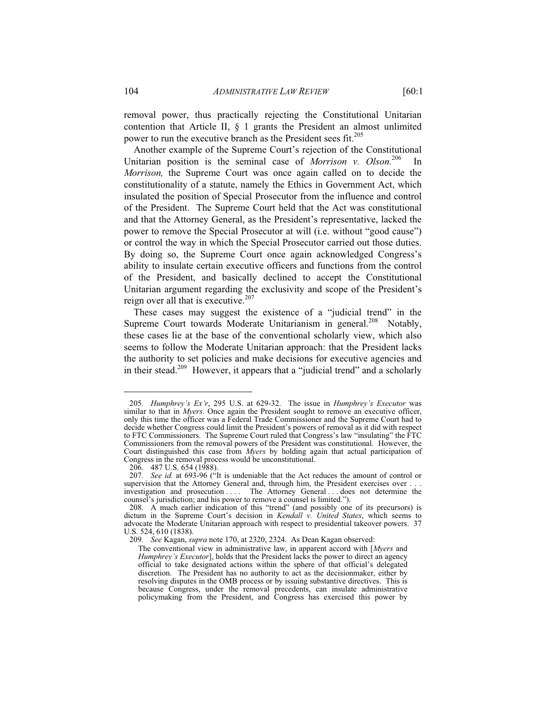removal power, thus practically rejecting the Constitutional Unitarian contention that Article II, § 1 grants the President an almost unlimited power to run the executive branch as the President sees fit.<sup>205</sup>

Another example of the Supreme Court's rejection of the Constitutional Unitarian position is the seminal case of *Morrison v. Olson*.<sup>206</sup> In *Morrison,* the Supreme Court was once again called on to decide the constitutionality of a statute, namely the Ethics in Government Act, which insulated the position of Special Prosecutor from the influence and control of the President. The Supreme Court held that the Act was constitutional and that the Attorney General, as the President's representative, lacked the power to remove the Special Prosecutor at will (i.e. without "good cause") or control the way in which the Special Prosecutor carried out those duties. By doing so, the Supreme Court once again acknowledged Congress's ability to insulate certain executive officers and functions from the control of the President, and basically declined to accept the Constitutional Unitarian argument regarding the exclusivity and scope of the President's reign over all that is executive. $207$ 

These cases may suggest the existence of a "judicial trend" in the Supreme Court towards Moderate Unitarianism in general.<sup>208</sup> Notably, these cases lie at the base of the conventional scholarly view, which also seems to follow the Moderate Unitarian approach: that the President lacks the authority to set policies and make decisions for executive agencies and in their stead.209 However, it appears that a "judicial trend" and a scholarly

<sup>205</sup>*. Humphrey's Ex'r*, 295 U.S. at 629-32. The issue in *Humphrey's Executor* was similar to that in *Myers*. Once again the President sought to remove an executive officer, only this time the officer was a Federal Trade Commissioner and the Supreme Court had to decide whether Congress could limit the President's powers of removal as it did with respect to FTC Commissioners. The Supreme Court ruled that Congress's law "insulating" the FTC Commissioners from the removal powers of the President was constitutional. However, the Court distinguished this case from *Myers* by holding again that actual participation of Congress in the removal process would be unconstitutional.

 <sup>206. 487</sup> U.S. 654 (1988).

<sup>207</sup>*. See id.* at 693-96 ("It is undeniable that the Act reduces the amount of control or supervision that the Attorney General and, through him, the President exercises over . . . investigation and prosecution .... The Attorney General ... does not determine the counsel's jurisdiction; and his power to remove a counsel is limited.").

 <sup>208.</sup> A much earlier indication of this "trend" (and possibly one of its precursors) is dictum in the Supreme Court's decision in *Kendall v. United States*, which seems to advocate the Moderate Unitarian approach with respect to presidential takeover powers. 37 U.S. 524, 610 (1838).

<sup>209</sup>*. See* Kagan, *supra* note 170, at 2320, 2324. As Dean Kagan observed:

The conventional view in administrative law, in apparent accord with [*Myers* and Humphrey's Executor], holds that the President lacks the power to direct an agency official to take designated actions within the sphere of that official's delegated discretion. The President has no authority to act as the decisionmaker, either by resolving disputes in the OMB process or by issuing substantive directives. This is because Congress, under the removal precedents, can insulate administrative policymaking from the President, and Congress has exercised this power by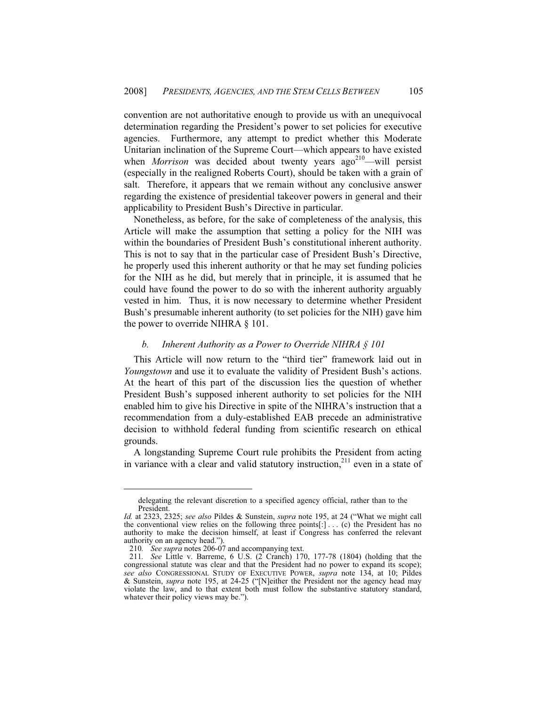convention are not authoritative enough to provide us with an unequivocal determination regarding the President's power to set policies for executive agencies. Furthermore, any attempt to predict whether this Moderate Unitarian inclination of the Supreme Court—which appears to have existed when *Morrison* was decided about twenty years ago<sup>210</sup>—will persist (especially in the realigned Roberts Court), should be taken with a grain of salt. Therefore, it appears that we remain without any conclusive answer regarding the existence of presidential takeover powers in general and their applicability to President Bush's Directive in particular.

Nonetheless, as before, for the sake of completeness of the analysis, this Article will make the assumption that setting a policy for the NIH was within the boundaries of President Bush's constitutional inherent authority. This is not to say that in the particular case of President Bush's Directive, he properly used this inherent authority or that he may set funding policies for the NIH as he did, but merely that in principle, it is assumed that he could have found the power to do so with the inherent authority arguably vested in him. Thus, it is now necessary to determine whether President Bush's presumable inherent authority (to set policies for the NIH) gave him the power to override NIHRA § 101.

### *b. Inherent Authority as a Power to Override NIHRA § 101*

This Article will now return to the "third tier" framework laid out in *Youngstown* and use it to evaluate the validity of President Bush's actions. At the heart of this part of the discussion lies the question of whether President Bush's supposed inherent authority to set policies for the NIH enabled him to give his Directive in spite of the NIHRA's instruction that a recommendation from a duly-established EAB precede an administrative decision to withhold federal funding from scientific research on ethical grounds.

A longstanding Supreme Court rule prohibits the President from acting in variance with a clear and valid statutory instruction, $211$  even in a state of

delegating the relevant discretion to a specified agency official, rather than to the President.

*Id.* at 2323, 2325; *see also* Pildes & Sunstein, *supra* note 195, at 24 ("What we might call the conventional view relies on the following three points[:] . . . (c) the President has no authority to make the decision himself, at least if Congress has conferred the relevant authority on an agency head.").

<sup>210</sup>*. See supra* notes 206-07 and accompanying text.

<sup>211</sup>*. See* Little v. Barreme, 6 U.S. (2 Cranch) 170, 177-78 (1804) (holding that the congressional statute was clear and that the President had no power to expand its scope); *see also* CONGRESSIONAL STUDY OF EXECUTIVE POWER, *supra* note 134, at 10; Pildes & Sunstein, *supra* note 195, at 24-25 ("[N]either the President nor the agency head may violate the law, and to that extent both must follow the substantive statutory standard, whatever their policy views may be.").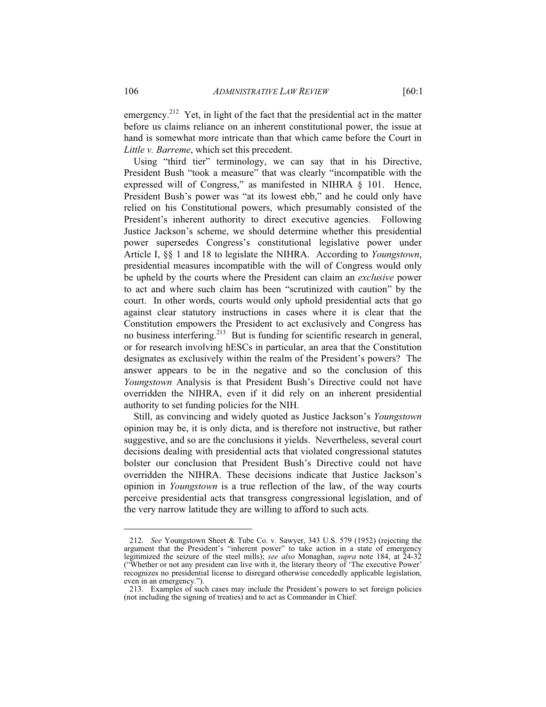emergency.<sup>212</sup> Yet, in light of the fact that the presidential act in the matter before us claims reliance on an inherent constitutional power, the issue at hand is somewhat more intricate than that which came before the Court in *Little v. Barreme*, which set this precedent.

Using "third tier" terminology, we can say that in his Directive, President Bush "took a measure" that was clearly "incompatible with the expressed will of Congress," as manifested in NIHRA § 101. Hence, President Bush's power was "at its lowest ebb," and he could only have relied on his Constitutional powers, which presumably consisted of the President's inherent authority to direct executive agencies. Following Justice Jackson's scheme, we should determine whether this presidential power supersedes Congress's constitutional legislative power under Article I, §§ 1 and 18 to legislate the NIHRA. According to *Youngstown*, presidential measures incompatible with the will of Congress would only be upheld by the courts where the President can claim an *exclusive* power to act and where such claim has been "scrutinized with caution" by the court. In other words, courts would only uphold presidential acts that go against clear statutory instructions in cases where it is clear that the Constitution empowers the President to act exclusively and Congress has no business interfering.<sup>213</sup> But is funding for scientific research in general, or for research involving hESCs in particular, an area that the Constitution designates as exclusively within the realm of the President's powers? The answer appears to be in the negative and so the conclusion of this *Youngstown* Analysis is that President Bush's Directive could not have overridden the NIHRA, even if it did rely on an inherent presidential authority to set funding policies for the NIH.

Still, as convincing and widely quoted as Justice Jackson's *Youngstown* opinion may be, it is only dicta, and is therefore not instructive, but rather suggestive, and so are the conclusions it yields. Nevertheless, several court decisions dealing with presidential acts that violated congressional statutes bolster our conclusion that President Bush's Directive could not have overridden the NIHRA. These decisions indicate that Justice Jackson's opinion in *Youngstown* is a true reflection of the law, of the way courts perceive presidential acts that transgress congressional legislation, and of the very narrow latitude they are willing to afford to such acts.

<sup>212</sup>*. See* Youngstown Sheet & Tube Co. v. Sawyer, 343 U.S. 579 (1952) (rejecting the argument that the President's "inherent power" to take action in a state of emergency legitimized the seizure of the steel mills); *see also* Monaghan, *supra* note 184, at 24-32 ("Whether or not any president can live with it, the literary theory of 'The executive Power' recognizes no presidential license to disregard otherwise concededly applicable legislation, even in an emergency.").

 <sup>213.</sup> Examples of such cases may include the President's powers to set foreign policies (not including the signing of treaties) and to act as Commander in Chief.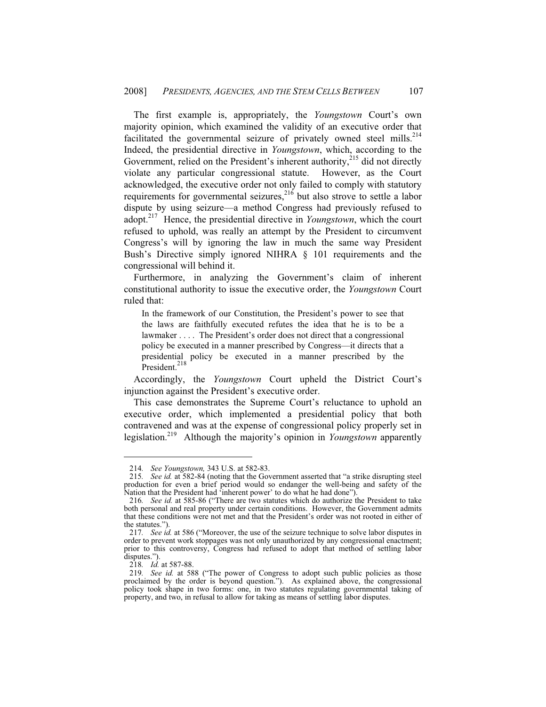The first example is, appropriately, the *Youngstown* Court's own majority opinion, which examined the validity of an executive order that facilitated the governmental seizure of privately owned steel mills.<sup>214</sup> Indeed, the presidential directive in *Youngstown*, which, according to the Government, relied on the President's inherent authority, $^{215}$  did not directly violate any particular congressional statute. However, as the Court acknowledged, the executive order not only failed to comply with statutory requirements for governmental seizures,  $216$  but also strove to settle a labor dispute by using seizure—a method Congress had previously refused to adopt.217 Hence, the presidential directive in *Youngstown*, which the court refused to uphold, was really an attempt by the President to circumvent Congress's will by ignoring the law in much the same way President Bush's Directive simply ignored NIHRA § 101 requirements and the congressional will behind it.

Furthermore, in analyzing the Government's claim of inherent constitutional authority to issue the executive order, the *Youngstown* Court ruled that:

In the framework of our Constitution, the President's power to see that the laws are faithfully executed refutes the idea that he is to be a lawmaker . . . . The President's order does not direct that a congressional policy be executed in a manner prescribed by Congress—it directs that a presidential policy be executed in a manner prescribed by the President.<sup>218</sup>

Accordingly, the *Youngstown* Court upheld the District Court's injunction against the President's executive order.

This case demonstrates the Supreme Court's reluctance to uphold an executive order, which implemented a presidential policy that both contravened and was at the expense of congressional policy properly set in legislation.219 Although the majority's opinion in *Youngstown* apparently

<sup>214</sup>*. See Youngstown,* 343 U.S. at 582-83.

<sup>215</sup>*. See id.* at 582-84 (noting that the Government asserted that "a strike disrupting steel production for even a brief period would so endanger the well-being and safety of the Nation that the President had 'inherent power' to do what he had done").

<sup>216</sup>*. See id.* at 585-86 ("There are two statutes which do authorize the President to take both personal and real property under certain conditions. However, the Government admits that these conditions were not met and that the President's order was not rooted in either of the statutes.").

<sup>217</sup>*. See id.* at 586 ("Moreover, the use of the seizure technique to solve labor disputes in order to prevent work stoppages was not only unauthorized by any congressional enactment; prior to this controversy, Congress had refused to adopt that method of settling labor disputes.").

<sup>218</sup>*. Id.* at 587-88.

<sup>219</sup>*. See id.* at 588 ("The power of Congress to adopt such public policies as those proclaimed by the order is beyond question."). As explained above, the congressional policy took shape in two forms: one, in two statutes regulating governmental taking of property, and two, in refusal to allow for taking as means of settling labor disputes.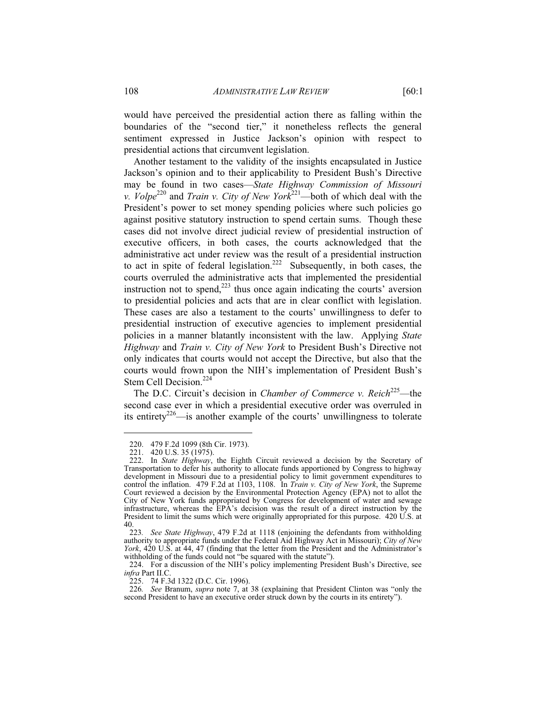would have perceived the presidential action there as falling within the boundaries of the "second tier," it nonetheless reflects the general sentiment expressed in Justice Jackson's opinion with respect to presidential actions that circumvent legislation.

Another testament to the validity of the insights encapsulated in Justice Jackson's opinion and to their applicability to President Bush's Directive may be found in two cases—*State Highway Commission of Missouri v. Volpe*220 and *Train v. City of New York*221—both of which deal with the President's power to set money spending policies where such policies go against positive statutory instruction to spend certain sums. Though these cases did not involve direct judicial review of presidential instruction of executive officers, in both cases, the courts acknowledged that the administrative act under review was the result of a presidential instruction to act in spite of federal legislation.<sup>222</sup> Subsequently, in both cases, the courts overruled the administrative acts that implemented the presidential instruction not to spend, $^{223}$  thus once again indicating the courts' aversion to presidential policies and acts that are in clear conflict with legislation. These cases are also a testament to the courts' unwillingness to defer to presidential instruction of executive agencies to implement presidential policies in a manner blatantly inconsistent with the law. Applying *State Highway* and *Train v. City of New York* to President Bush's Directive not only indicates that courts would not accept the Directive, but also that the courts would frown upon the NIH's implementation of President Bush's Stem Cell Decision.<sup>224</sup>

The D.C. Circuit's decision in *Chamber of Commerce v. Reich*<sup>225</sup>—the second case ever in which a presidential executive order was overruled in its entirety<sup>226</sup>—is another example of the courts' unwillingness to tolerate

-

 224. For a discussion of the NIH's policy implementing President Bush's Directive, see *infra* Part II.C.

225. 74 F.3d 1322 (D.C. Cir. 1996).

 <sup>220. 479</sup> F.2d 1099 (8th Cir. 1973).

 <sup>221. 420</sup> U.S. 35 (1975).

 <sup>222.</sup> In *State Highway*, the Eighth Circuit reviewed a decision by the Secretary of Transportation to defer his authority to allocate funds apportioned by Congress to highway development in Missouri due to a presidential policy to limit government expenditures to control the inflation. 479 F.2d at 1103, 1108. In *Train v. City of New York*, the Supreme Court reviewed a decision by the Environmental Protection Agency (EPA) not to allot the City of New York funds appropriated by Congress for development of water and sewage infrastructure, whereas the EPA's decision was the result of a direct instruction by the President to limit the sums which were originally appropriated for this purpose. 420 U.S. at 40.

<sup>223</sup>*. See State Highway*, 479 F.2d at 1118 (enjoining the defendants from withholding authority to appropriate funds under the Federal Aid Highway Act in Missouri); *City of New York*, 420 U.S. at 44, 47 (finding that the letter from the President and the Administrator's withholding of the funds could not "be squared with the statute").

<sup>226</sup>*. See* Branum, *supra* note 7, at 38 (explaining that President Clinton was "only the second President to have an executive order struck down by the courts in its entirety").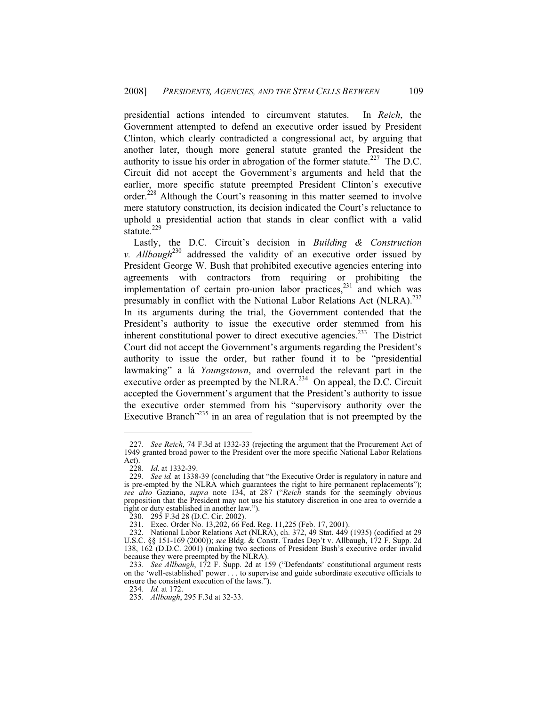presidential actions intended to circumvent statutes. In *Reich*, the Government attempted to defend an executive order issued by President Clinton, which clearly contradicted a congressional act, by arguing that another later, though more general statute granted the President the authority to issue his order in abrogation of the former statute.<sup>227</sup> The D.C. Circuit did not accept the Government's arguments and held that the earlier, more specific statute preempted President Clinton's executive order.<sup>228</sup> Although the Court's reasoning in this matter seemed to involve mere statutory construction, its decision indicated the Court's reluctance to uphold a presidential action that stands in clear conflict with a valid statute.<sup>229</sup>

Lastly, the D.C. Circuit's decision in *Building & Construction v. Allbaugh*<sup>230</sup> addressed the validity of an executive order issued by President George W. Bush that prohibited executive agencies entering into agreements with contractors from requiring or prohibiting the implementation of certain pro-union labor practices,<sup>231</sup> and which was presumably in conflict with the National Labor Relations Act (NLRA).<sup>232</sup> In its arguments during the trial, the Government contended that the President's authority to issue the executive order stemmed from his inherent constitutional power to direct executive agencies.<sup>233</sup> The District Court did not accept the Government's arguments regarding the President's authority to issue the order, but rather found it to be "presidential lawmaking" a lá *Youngstown*, and overruled the relevant part in the executive order as preempted by the NLRA.<sup>234</sup> On appeal, the D.C. Circuit accepted the Government's argument that the President's authority to issue the executive order stemmed from his "supervisory authority over the Executive Branch<sup> $235$ </sup> in an area of regulation that is not preempted by the

<sup>227</sup>*. See Reich*, 74 F.3d at 1332-33 (rejecting the argument that the Procurement Act of 1949 granted broad power to the President over the more specific National Labor Relations Act).

<sup>228</sup>*. Id*. at 1332-39.

<sup>229</sup>*. See id.* at 1338-39 (concluding that "the Executive Order is regulatory in nature and is pre-empted by the NLRA which guarantees the right to hire permanent replacements"); *see also* Gaziano, *supra* note 134, at 287 ("*Reich* stands for the seemingly obvious proposition that the President may not use his statutory discretion in one area to override a right or duty established in another law.").

 <sup>230. 295</sup> F.3d 28 (D.C. Cir. 2002).

 <sup>231.</sup> Exec. Order No. 13,202, 66 Fed. Reg. 11,225 (Feb. 17, 2001).

 <sup>232.</sup> National Labor Relations Act (NLRA), ch. 372, 49 Stat. 449 (1935) (codified at 29 U.S.C. §§ 151-169 (2000)); *see* Bldg. & Constr. Trades Dep't v. Allbaugh, 172 F. Supp. 2d 138, 162 (D.D.C. 2001) (making two sections of President Bush's executive order invalid because they were preempted by the NLRA).

<sup>233</sup>*. See Allbaugh*, 172 F. Supp. 2d at 159 ("Defendants' constitutional argument rests on the 'well-established' power . . . to supervise and guide subordinate executive officials to ensure the consistent execution of the laws.").

<sup>234</sup>*. Id.* at 172.

<sup>235</sup>*. Allbaugh*, 295 F.3d at 32-33.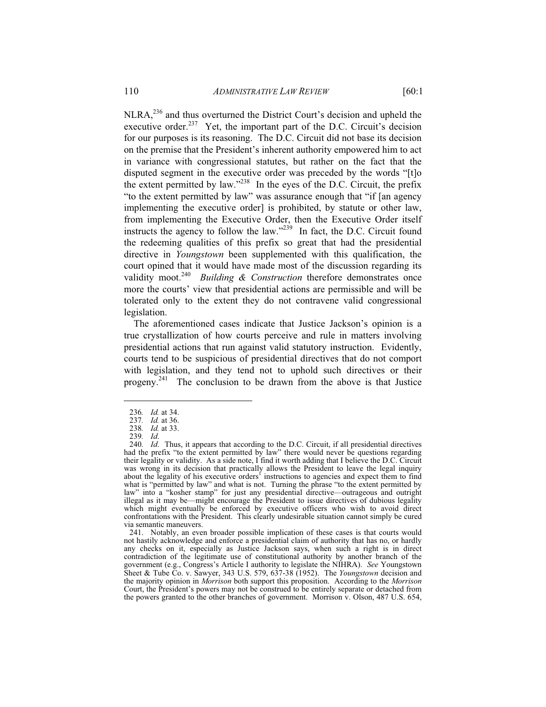NLRA,<sup>236</sup> and thus overturned the District Court's decision and upheld the executive order.<sup>237</sup> Yet, the important part of the D.C. Circuit's decision for our purposes is its reasoning. The D.C. Circuit did not base its decision on the premise that the President's inherent authority empowered him to act in variance with congressional statutes, but rather on the fact that the disputed segment in the executive order was preceded by the words "[t]o the extent permitted by law."238 In the eyes of the D.C. Circuit, the prefix "to the extent permitted by law" was assurance enough that "if [an agency implementing the executive order] is prohibited, by statute or other law, from implementing the Executive Order, then the Executive Order itself instructs the agency to follow the law." $^{239}$  In fact, the D.C. Circuit found the redeeming qualities of this prefix so great that had the presidential directive in *Youngstown* been supplemented with this qualification, the court opined that it would have made most of the discussion regarding its validity moot.<sup>240</sup> *Building & Construction* therefore demonstrates once more the courts' view that presidential actions are permissible and will be tolerated only to the extent they do not contravene valid congressional

The aforementioned cases indicate that Justice Jackson's opinion is a true crystallization of how courts perceive and rule in matters involving presidential actions that run against valid statutory instruction. Evidently, courts tend to be suspicious of presidential directives that do not comport with legislation, and they tend not to uphold such directives or their progeny.241 The conclusion to be drawn from the above is that Justice

-

legislation.

 241. Notably, an even broader possible implication of these cases is that courts would not hastily acknowledge and enforce a presidential claim of authority that has no, or hardly any checks on it, especially as Justice Jackson says, when such a right is in direct contradiction of the legitimate use of constitutional authority by another branch of the government (e.g., Congress's Article I authority to legislate the NIHRA). *See* Youngstown Sheet & Tube Co. v. Sawyer, 343 U.S. 579, 637-38 (1952). The *Youngstown* decision and the majority opinion in *Morrison* both support this proposition. According to the *Morrison*  Court, the President's powers may not be construed to be entirely separate or detached from the powers granted to the other branches of government. Morrison v. Olson, 487 U.S. 654,

<sup>236</sup>*. Id.* at 34.

<sup>237</sup>*. Id.* at 36. 238*. Id.* at 33.

<sup>239</sup>*. Id*.

<sup>240</sup>*. Id*. Thus, it appears that according to the D.C. Circuit, if all presidential directives had the prefix "to the extent permitted by law" there would never be questions regarding their legality or validity. As a side note, I find it worth adding that I believe the D.C. Circuit was wrong in its decision that practically allows the President to leave the legal inquiry about the legality of his executive orders' instructions to agencies and expect them to find what is "permitted by law" and what is not. Turning the phrase "to the extent permitted by law" into a "kosher stamp" for just any presidential directive—outrageous and outright illegal as it may be—might encourage the President to issue directives of dubious legality which might eventually be enforced by executive officers who wish to avoid direct confrontations with the President. This clearly undesirable situation cannot simply be cured via semantic maneuvers.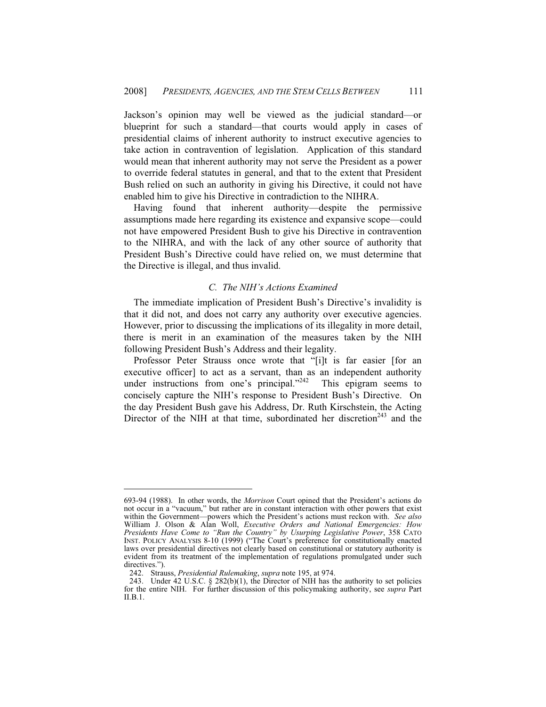Jackson's opinion may well be viewed as the judicial standard—or blueprint for such a standard—that courts would apply in cases of presidential claims of inherent authority to instruct executive agencies to take action in contravention of legislation. Application of this standard would mean that inherent authority may not serve the President as a power to override federal statutes in general, and that to the extent that President Bush relied on such an authority in giving his Directive, it could not have enabled him to give his Directive in contradiction to the NIHRA.

Having found that inherent authority—despite the permissive assumptions made here regarding its existence and expansive scope—could not have empowered President Bush to give his Directive in contravention to the NIHRA, and with the lack of any other source of authority that President Bush's Directive could have relied on, we must determine that the Directive is illegal, and thus invalid.

### *C. The NIH's Actions Examined*

The immediate implication of President Bush's Directive's invalidity is that it did not, and does not carry any authority over executive agencies. However, prior to discussing the implications of its illegality in more detail, there is merit in an examination of the measures taken by the NIH following President Bush's Address and their legality.

Professor Peter Strauss once wrote that "[i]t is far easier [for an executive officer] to act as a servant, than as an independent authority under instructions from one's principal. $1^{242}$  This epigram seems to concisely capture the NIH's response to President Bush's Directive. On the day President Bush gave his Address, Dr. Ruth Kirschstein, the Acting Director of the NIH at that time, subordinated her discretion<sup>243</sup> and the

<sup>693-94 (1988).</sup> In other words, the *Morrison* Court opined that the President's actions do not occur in a "vacuum," but rather are in constant interaction with other powers that exist within the Government—powers which the President's actions must reckon with. *See also* William J. Olson & Alan Woll, *Executive Orders and National Emergencies: How Presidents Have Come to "Run the Country" by Usurping Legislative Power*, 358 CATO INST. POLICY ANALYSIS 8-10 (1999) ("The Court's preference for constitutionally enacted laws over presidential directives not clearly based on constitutional or statutory authority is evident from its treatment of the implementation of regulations promulgated under such directives.").

 <sup>242.</sup> Strauss, *Presidential Rulemaking*, *supra* note 195, at 974.

<sup>243.</sup> Under 42 U.S.C.  $\S$  282(b)(1), the Director of NIH has the authority to set policies for the entire NIH. For further discussion of this policymaking authority, see *supra* Part II.B.1.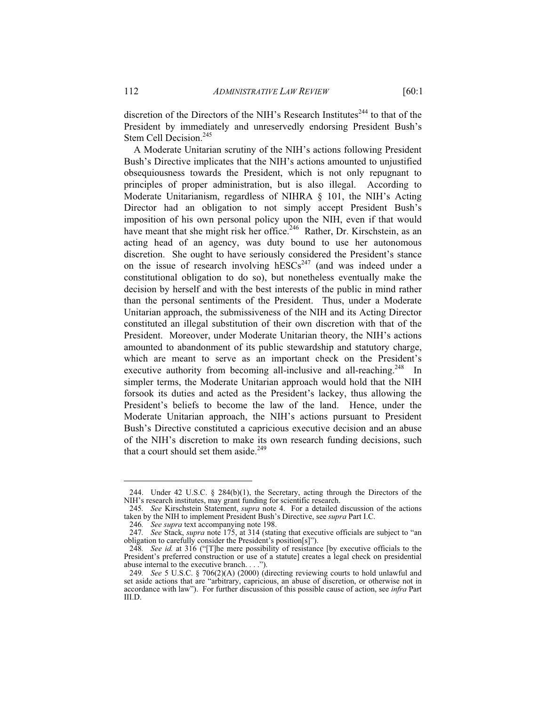discretion of the Directors of the NIH's Research Institutes<sup>244</sup> to that of the President by immediately and unreservedly endorsing President Bush's Stem Cell Decision.<sup>245</sup>

A Moderate Unitarian scrutiny of the NIH's actions following President Bush's Directive implicates that the NIH's actions amounted to unjustified obsequiousness towards the President, which is not only repugnant to principles of proper administration, but is also illegal. According to Moderate Unitarianism, regardless of NIHRA § 101, the NIH's Acting Director had an obligation to not simply accept President Bush's imposition of his own personal policy upon the NIH, even if that would have meant that she might risk her office.<sup>246</sup> Rather, Dr. Kirschstein, as an acting head of an agency, was duty bound to use her autonomous discretion. She ought to have seriously considered the President's stance on the issue of research involving  $hESCs^{247}$  (and was indeed under a constitutional obligation to do so), but nonetheless eventually make the decision by herself and with the best interests of the public in mind rather than the personal sentiments of the President. Thus, under a Moderate Unitarian approach, the submissiveness of the NIH and its Acting Director constituted an illegal substitution of their own discretion with that of the President. Moreover, under Moderate Unitarian theory, the NIH's actions amounted to abandonment of its public stewardship and statutory charge, which are meant to serve as an important check on the President's executive authority from becoming all-inclusive and all-reaching.<sup>248</sup> In simpler terms, the Moderate Unitarian approach would hold that the NIH forsook its duties and acted as the President's lackey, thus allowing the President's beliefs to become the law of the land. Hence, under the Moderate Unitarian approach, the NIH's actions pursuant to President Bush's Directive constituted a capricious executive decision and an abuse of the NIH's discretion to make its own research funding decisions, such that a court should set them aside. $249$ 

<sup>244.</sup> Under 42 U.S.C.  $\S$  284(b)(1), the Secretary, acting through the Directors of the NIH's research institutes, may grant funding for scientific research.

<sup>245</sup>*. See* Kirschstein Statement, *supra* note 4. For a detailed discussion of the actions taken by the NIH to implement President Bush's Directive, see *supra* Part I.C.

<sup>246</sup>*. See supra* text accompanying note 198.

*See* Stack, *supra* note 175, at 314 (stating that executive officials are subject to "an obligation to carefully consider the President's position[s]").

<sup>248</sup>*. See id.* at 316 ("[T]he mere possibility of resistance [by executive officials to the President's preferred construction or use of a statute] creates a legal check on presidential abuse internal to the executive branch. . . .").

<sup>249</sup>*. See* 5 U.S.C. § 706(2)(A) (2000) (directing reviewing courts to hold unlawful and set aside actions that are "arbitrary, capricious, an abuse of discretion, or otherwise not in accordance with law"). For further discussion of this possible cause of action, see *infra* Part III.D.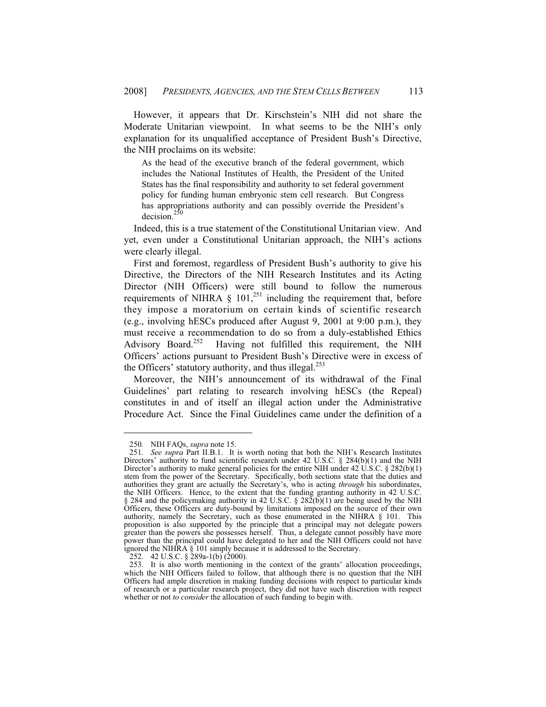However, it appears that Dr. Kirschstein's NIH did not share the Moderate Unitarian viewpoint. In what seems to be the NIH's only explanation for its unqualified acceptance of President Bush's Directive, the NIH proclaims on its website:

As the head of the executive branch of the federal government, which includes the National Institutes of Health, the President of the United States has the final responsibility and authority to set federal government policy for funding human embryonic stem cell research. But Congress has appropriations authority and can possibly override the President's decision.<sup>250</sup>

Indeed, this is a true statement of the Constitutional Unitarian view. And yet, even under a Constitutional Unitarian approach, the NIH's actions were clearly illegal.

First and foremost, regardless of President Bush's authority to give his Directive, the Directors of the NIH Research Institutes and its Acting Director (NIH Officers) were still bound to follow the numerous requirements of NIHRA  $\S$  101,<sup>251</sup> including the requirement that, before they impose a moratorium on certain kinds of scientific research (e.g., involving hESCs produced after August 9, 2001 at 9:00 p.m.), they must receive a recommendation to do so from a duly-established Ethics Advisory Board.<sup>252</sup> Having not fulfilled this requirement, the NIH Officers' actions pursuant to President Bush's Directive were in excess of the Officers' statutory authority, and thus illegal. $^{253}$ 

Moreover, the NIH's announcement of its withdrawal of the Final Guidelines' part relating to research involving hESCs (the Repeal) constitutes in and of itself an illegal action under the Administrative Procedure Act. Since the Final Guidelines came under the definition of a

<sup>250</sup>*.* NIH FAQs, *supra* note 15.

<sup>251</sup>*. See supra* Part II.B.1. It is worth noting that both the NIH's Research Institutes Directors' authority to fund scientific research under 42 U.S.C. § 284(b)(1) and the NIH Director's authority to make general policies for the entire NIH under 42 U.S.C.  $\S 282(b)(1)$ stem from the power of the Secretary. Specifically, both sections state that the duties and authorities they grant are actually the Secretary's, who is acting *through* his subordinates, the NIH Officers. Hence, to the extent that the funding granting authority in 42 U.S.C. § 284 and the policymaking authority in 42 U.S.C. § 282(b)(1) are being used by the NIH Officers, these Officers are duty-bound by limitations imposed on the source of their own authority, namely the Secretary, such as those enumerated in the NIHRA § 101. This proposition is also supported by the principle that a principal may not delegate powers greater than the powers she possesses herself. Thus, a delegate cannot possibly have more power than the principal could have delegated to her and the NIH Officers could not have ignored the NIHRA § 101 simply because it is addressed to the Secretary.

 <sup>252. 42</sup> U.S.C. § 289a-1(b) (2000).

 <sup>253.</sup> It is also worth mentioning in the context of the grants' allocation proceedings, which the NIH Officers failed to follow, that although there is no question that the NIH Officers had ample discretion in making funding decisions with respect to particular kinds of research or a particular research project, they did not have such discretion with respect whether or not *to consider* the allocation of such funding to begin with.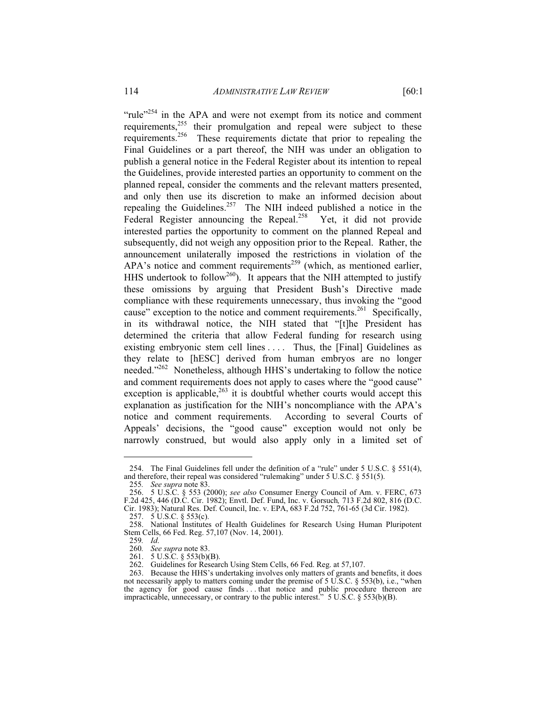"rule"<sup>254</sup> in the APA and were not exempt from its notice and comment requirements,<sup>255</sup> their promulgation and repeal were subject to these requirements.<sup>256</sup> These requirements dictate that prior to repealing the Final Guidelines or a part thereof, the NIH was under an obligation to publish a general notice in the Federal Register about its intention to repeal the Guidelines, provide interested parties an opportunity to comment on the planned repeal, consider the comments and the relevant matters presented, and only then use its discretion to make an informed decision about repealing the Guidelines.<sup>257</sup> The NIH indeed published a notice in the Federal Register announcing the Repeal.<sup>258</sup> Yet, it did not provide interested parties the opportunity to comment on the planned Repeal and subsequently, did not weigh any opposition prior to the Repeal. Rather, the announcement unilaterally imposed the restrictions in violation of the APA's notice and comment requirements<sup>259</sup> (which, as mentioned earlier,

HHS undertook to follow<sup>260</sup>). It appears that the NIH attempted to justify these omissions by arguing that President Bush's Directive made compliance with these requirements unnecessary, thus invoking the "good cause" exception to the notice and comment requirements.<sup>261</sup> Specifically, in its withdrawal notice, the NIH stated that "[t]he President has determined the criteria that allow Federal funding for research using existing embryonic stem cell lines .... Thus, the [Final] Guidelines as they relate to [hESC] derived from human embryos are no longer needed."<sup>262</sup> Nonetheless, although HHS's undertaking to follow the notice and comment requirements does not apply to cases where the "good cause" exception is applicable, $^{263}$  it is doubtful whether courts would accept this explanation as justification for the NIH's noncompliance with the APA's notice and comment requirements. According to several Courts of Appeals' decisions, the "good cause" exception would not only be narrowly construed, but would also apply only in a limited set of

 <sup>254.</sup> The Final Guidelines fell under the definition of a "rule" under 5 U.S.C. § 551(4), and therefore, their repeal was considered "rulemaking" under 5 U.S.C. § 551(5).

<sup>255</sup>*. See supra* note 83.

 <sup>256. 5</sup> U.S.C. § 553 (2000); *see also* Consumer Energy Council of Am. v. FERC, 673 F.2d 425, 446 (D.C. Cir. 1982); Envtl. Def. Fund, Inc. v. Gorsuch*,* 713 F.2d 802, 816 (D.C. Cir. 1983); Natural Res. Def. Council, Inc. v. EPA, 683 F.2d 752, 761-65 (3d Cir. 1982).

 <sup>257. 5</sup> U.S.C. § 553(c).

 <sup>258.</sup> National Institutes of Health Guidelines for Research Using Human Pluripotent Stem Cells, 66 Fed. Reg. 57,107 (Nov. 14, 2001).

<sup>259</sup>*. Id*.

<sup>260</sup>*. See supra* note 83.

 <sup>261. 5</sup> U.S.C. § 553(b)(B).

 <sup>262.</sup> Guidelines for Research Using Stem Cells, 66 Fed. Reg. at 57,107.

 <sup>263.</sup> Because the HHS's undertaking involves only matters of grants and benefits, it does not necessarily apply to matters coming under the premise of 5 U.S.C. § 553(b), i.e., "when the agency for good cause finds . . . that notice and public procedure thereon are impracticable, unnecessary, or contrary to the public interest."  $5 \text{ U.S.C.} \S 553(b)(B)$ .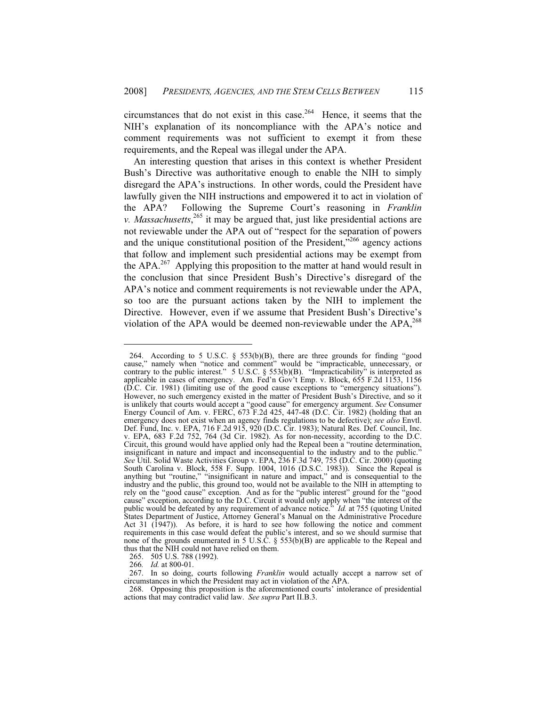circumstances that do not exist in this case.<sup>264</sup> Hence, it seems that the NIH's explanation of its noncompliance with the APA's notice and comment requirements was not sufficient to exempt it from these requirements, and the Repeal was illegal under the APA.

An interesting question that arises in this context is whether President Bush's Directive was authoritative enough to enable the NIH to simply disregard the APA's instructions. In other words, could the President have lawfully given the NIH instructions and empowered it to act in violation of the APA? Following the Supreme Court's reasoning in *Franklin v. Massachusetts*,<sup>265</sup> it may be argued that, just like presidential actions are not reviewable under the APA out of "respect for the separation of powers and the unique constitutional position of the President,<sup>5266</sup> agency actions that follow and implement such presidential actions may be exempt from the APA.<sup>267</sup> Applying this proposition to the matter at hand would result in the conclusion that since President Bush's Directive's disregard of the APA's notice and comment requirements is not reviewable under the APA, so too are the pursuant actions taken by the NIH to implement the Directive. However, even if we assume that President Bush's Directive's violation of the APA would be deemed non-reviewable under the  $APA<sub>1</sub><sup>268</sup>$ 

<sup>264.</sup> According to 5 U.S.C.  $\S$  553(b)(B), there are three grounds for finding "good cause," namely when "notice and comment" would be "impracticable, unnecessary, or contrary to the public interest."  $5 \text{ U.S.C. }$  \$553(b)(B). "Impracticability" is interpreted as applicable in cases of emergency. Am. Fed'n Gov't Emp. v. Block, 655 F.2d 1153, 1156 (D.C. Cir. 1981) (limiting use of the good cause exceptions to "emergency situations"). However, no such emergency existed in the matter of President Bush's Directive, and so it is unlikely that courts would accept a "good cause" for emergency argument. *See* Consumer Energy Council of Am. v. FERC, 673 F.2d 425, 447-48 (D.C. Cir. 1982) (holding that an emergency does not exist when an agency finds regulations to be defective); *see also* Envtl. Def. Fund, Inc. v. EPA, 716 F.2d 915, 920 (D.C. Cir. 1983); Natural Res. Def. Council, Inc. v. EPA, 683 F.2d 752, 764 (3d Cir. 1982). As for non-necessity, according to the D.C. Circuit, this ground would have applied only had the Repeal been a "routine determination, insignificant in nature and impact and inconsequential to the industry and to the public." *See* Util. Solid Waste Activities Group v. EPA, 236 F.3d 749, 755 (D.C. Cir. 2000) (quoting South Carolina v. Block, 558 F. Supp. 1004, 1016 (D.S.C. 1983)). Since the Repeal is anything but "routine," "insignificant in nature and impact," and is consequential to the industry and the public, this ground too, would not be available to the NIH in attempting to rely on the "good cause" exception. And as for the "public interest" ground for the "good cause" exception, according to the D.C. Circuit it would only apply when "the interest of the public would be defeated by any requirement of advance notice." *Id.* at 755 (quoting United States Department of Justice, Attorney General's Manual on the Administrative Procedure Act 31 (1947)). As before, it is hard to see how following the notice and comment requirements in this case would defeat the public's interest, and so we should surmise that none of the grounds enumerated in 5 U.S.C.  $\S$  553(b)(B) are applicable to the Repeal and thus that the NIH could not have relied on them.

 <sup>265. 505</sup> U.S. 788 (1992).

<sup>266</sup>*. Id.* at 800-01.

 <sup>267.</sup> In so doing, courts following *Franklin* would actually accept a narrow set of circumstances in which the President may act in violation of the APA.

 <sup>268.</sup> Opposing this proposition is the aforementioned courts' intolerance of presidential actions that may contradict valid law. *See supra* Part II.B.3.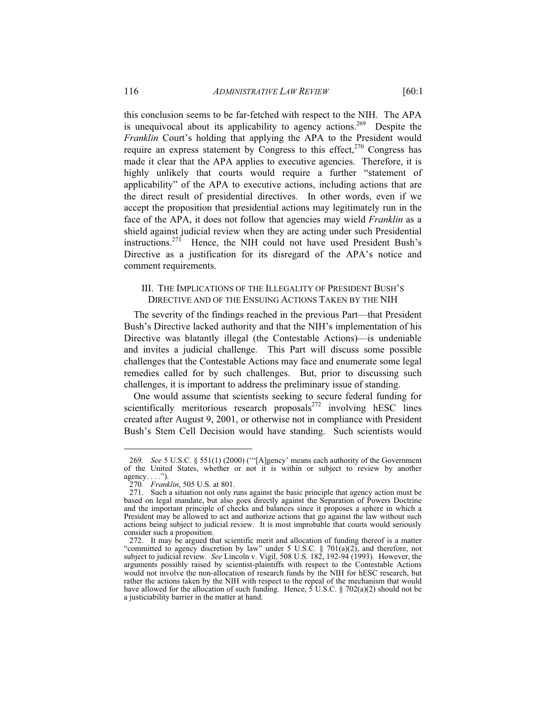this conclusion seems to be far-fetched with respect to the NIH. The APA is unequivocal about its applicability to agency actions.<sup>269</sup> Despite the *Franklin* Court's holding that applying the APA to the President would require an express statement by Congress to this effect, $270$  Congress has made it clear that the APA applies to executive agencies. Therefore, it is highly unlikely that courts would require a further "statement of applicability" of the APA to executive actions, including actions that are the direct result of presidential directives. In other words, even if we accept the proposition that presidential actions may legitimately run in the face of the APA, it does not follow that agencies may wield *Franklin* as a shield against judicial review when they are acting under such Presidential instructions.<sup>271</sup> Hence, the NIH could not have used President Bush's Directive as a justification for its disregard of the APA's notice and comment requirements.

# III. THE IMPLICATIONS OF THE ILLEGALITY OF PRESIDENT BUSH'S DIRECTIVE AND OF THE ENSUING ACTIONS TAKEN BY THE NIH

The severity of the findings reached in the previous Part—that President Bush's Directive lacked authority and that the NIH's implementation of his Directive was blatantly illegal (the Contestable Actions)—is undeniable and invites a judicial challenge. This Part will discuss some possible challenges that the Contestable Actions may face and enumerate some legal remedies called for by such challenges. But, prior to discussing such challenges, it is important to address the preliminary issue of standing.

One would assume that scientists seeking to secure federal funding for scientifically meritorious research proposals $^{272}$  involving hESC lines created after August 9, 2001, or otherwise not in compliance with President Bush's Stem Cell Decision would have standing. Such scientists would

<sup>269</sup>*. See* 5 U.S.C. § 551(1) (2000) ('"[A]gency' means each authority of the Government of the United States, whether or not it is within or subject to review by another agency.  $\ldots$ ").

<sup>270</sup>*. Franklin*, 505 U.S. at 801.

 <sup>271.</sup> Such a situation not only runs against the basic principle that agency action must be based on legal mandate, but also goes directly against the Separation of Powers Doctrine and the important principle of checks and balances since it proposes a sphere in which a President may be allowed to act and authorize actions that go against the law without such actions being subject to judicial review. It is most improbable that courts would seriously consider such a proposition.

 <sup>272.</sup> It may be argued that scientific merit and allocation of funding thereof is a matter "committed to agency discretion by law" under 5 U.S.C.  $\S$  701(a)(2), and therefore, not subject to judicial review. *See* Lincoln v. Vigil, 508 U.S. 182, 192-94 (1993). However, the arguments possibly raised by scientist-plaintiffs with respect to the Contestable Actions would not involve the non-allocation of research funds by the NIH for hESC research, but rather the actions taken by the NIH with respect to the repeal of the mechanism that would have allowed for the allocation of such funding. Hence,  $\bar{5}$  U.S.C. § 702(a)(2) should not be a justiciability barrier in the matter at hand.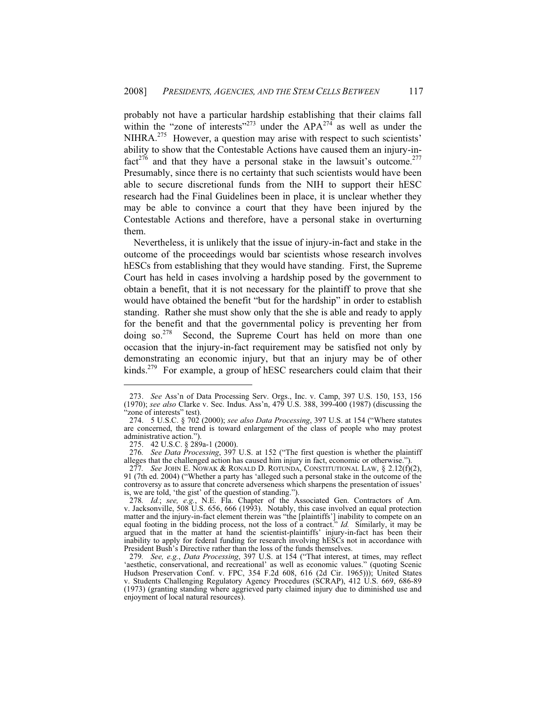probably not have a particular hardship establishing that their claims fall within the "zone of interests"<sup>273</sup> under the  $APA^{274}$  as well as under the NIHRA.<sup>275</sup> However, a question may arise with respect to such scientists' ability to show that the Contestable Actions have caused them an injury-in $fact^{276}$  and that they have a personal stake in the lawsuit's outcome.<sup>277</sup> Presumably, since there is no certainty that such scientists would have been able to secure discretional funds from the NIH to support their hESC research had the Final Guidelines been in place, it is unclear whether they may be able to convince a court that they have been injured by the Contestable Actions and therefore, have a personal stake in overturning them.

Nevertheless, it is unlikely that the issue of injury-in-fact and stake in the outcome of the proceedings would bar scientists whose research involves hESCs from establishing that they would have standing. First, the Supreme Court has held in cases involving a hardship posed by the government to obtain a benefit, that it is not necessary for the plaintiff to prove that she would have obtained the benefit "but for the hardship" in order to establish standing. Rather she must show only that the she is able and ready to apply for the benefit and that the governmental policy is preventing her from doing so.<sup>278</sup> Second, the Supreme Court has held on more than one Second, the Supreme Court has held on more than one occasion that the injury-in-fact requirement may be satisfied not only by demonstrating an economic injury, but that an injury may be of other kinds.<sup>279</sup> For example, a group of hESC researchers could claim that their

 <sup>273.</sup> *See* Ass'n of Data Processing Serv. Orgs., Inc. v. Camp, 397 U.S. 150, 153, 156 (1970); *see also* Clarke v. Sec. Indus. Ass'n, 479 U.S. 388, 399-400 (1987) (discussing the "zone of interests" test).

 <sup>274. 5</sup> U.S.C. § 702 (2000); *see also Data Processing*, 397 U.S. at 154 ("Where statutes are concerned, the trend is toward enlargement of the class of people who may protest administrative action.").

 <sup>275. 42</sup> U.S.C. § 289a-1 (2000).

<sup>276</sup>*. See Data Processing*, 397 U.S. at 152 ("The first question is whether the plaintiff alleges that the challenged action has caused him injury in fact, economic or otherwise.").

<sup>277</sup>*. See* JOHN E. NOWAK & RONALD D. ROTUNDA, CONSTITUTIONAL LAW, § 2.12(f)(2), 91 (7th ed. 2004) ("Whether a party has 'alleged such a personal stake in the outcome of the controversy as to assure that concrete adverseness which sharpens the presentation of issues' is, we are told, 'the gist' of the question of standing.").

<sup>278</sup>*. Id.*; *see, e.g.*, N.E. Fla. Chapter of the Associated Gen. Contractors of Am. v. Jacksonville, 508 U.S. 656, 666 (1993). Notably, this case involved an equal protection matter and the injury-in-fact element therein was "the [plaintiffs'] inability to compete on an equal footing in the bidding process, not the loss of a contract." *Id.* Similarly, it may be argued that in the matter at hand the scientist-plaintiffs' injury-in-fact has been their inability to apply for federal funding for research involving hESCs not in accordance with President Bush's Directive rather than the loss of the funds themselves.

<sup>279</sup>*. See, e.g.*, *Data Processing*, 397 U.S. at 154 ("That interest, at times, may reflect 'aesthetic, conservational, and recreational' as well as economic values." (quoting Scenic Hudson Preservation Conf. v. FPC, 354 F.2d 608, 616 (2d Cir. 1965))); United States v. Students Challenging Regulatory Agency Procedures (SCRAP), 412 U.S. 669, 686-89 (1973) (granting standing where aggrieved party claimed injury due to diminished use and enjoyment of local natural resources).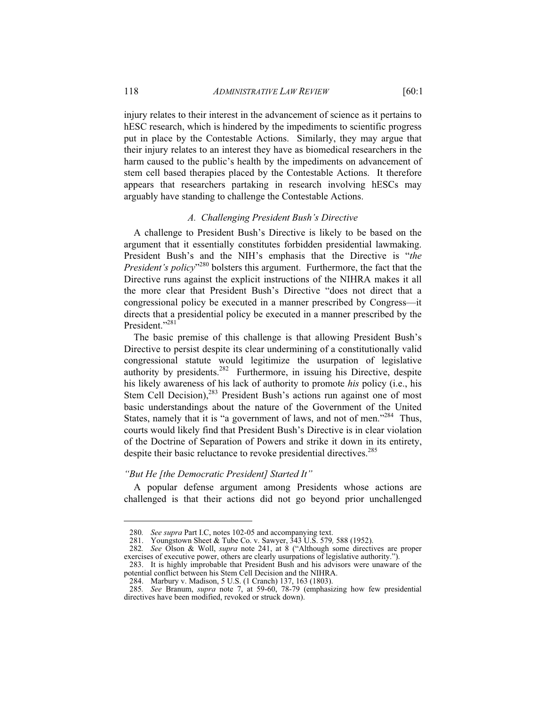injury relates to their interest in the advancement of science as it pertains to hESC research, which is hindered by the impediments to scientific progress put in place by the Contestable Actions. Similarly, they may argue that their injury relates to an interest they have as biomedical researchers in the harm caused to the public's health by the impediments on advancement of stem cell based therapies placed by the Contestable Actions. It therefore appears that researchers partaking in research involving hESCs may arguably have standing to challenge the Contestable Actions.

### *A. Challenging President Bush's Directive*

A challenge to President Bush's Directive is likely to be based on the argument that it essentially constitutes forbidden presidential lawmaking. President Bush's and the NIH's emphasis that the Directive is "*the President's policy*<sup>280</sup> bolsters this argument. Furthermore, the fact that the Directive runs against the explicit instructions of the NIHRA makes it all the more clear that President Bush's Directive "does not direct that a congressional policy be executed in a manner prescribed by Congress—it directs that a presidential policy be executed in a manner prescribed by the President."<sup>281</sup>

The basic premise of this challenge is that allowing President Bush's Directive to persist despite its clear undermining of a constitutionally valid congressional statute would legitimize the usurpation of legislative authority by presidents.<sup>282</sup> Furthermore, in issuing his Directive, despite his likely awareness of his lack of authority to promote *his* policy (i.e., his Stem Cell Decision),<sup>283</sup> President Bush's actions run against one of most basic understandings about the nature of the Government of the United States, namely that it is "a government of laws, and not of men."<sup>284</sup> Thus, courts would likely find that President Bush's Directive is in clear violation of the Doctrine of Separation of Powers and strike it down in its entirety, despite their basic reluctance to revoke presidential directives.<sup>285</sup>

### *"But He [the Democratic President] Started It"*

A popular defense argument among Presidents whose actions are challenged is that their actions did not go beyond prior unchallenged

<sup>280</sup>*. See supra* Part I.C, notes 102-05 and accompanying text.

Youngstown Sheet & Tube Co. v. Sawyer, 343 U.S. 579, 588 (1952).

<sup>282</sup>*. See* Olson & Woll, *supra* note 241, at 8 ("Although some directives are proper exercises of executive power, others are clearly usurpations of legislative authority.").

 <sup>283.</sup> It is highly improbable that President Bush and his advisors were unaware of the potential conflict between his Stem Cell Decision and the NIHRA.

 <sup>284.</sup> Marbury v. Madison, 5 U.S. (1 Cranch) 137, 163 (1803).

<sup>285</sup>*. See* Branum, *supra* note 7, at 59-60, 78-79 (emphasizing how few presidential directives have been modified, revoked or struck down).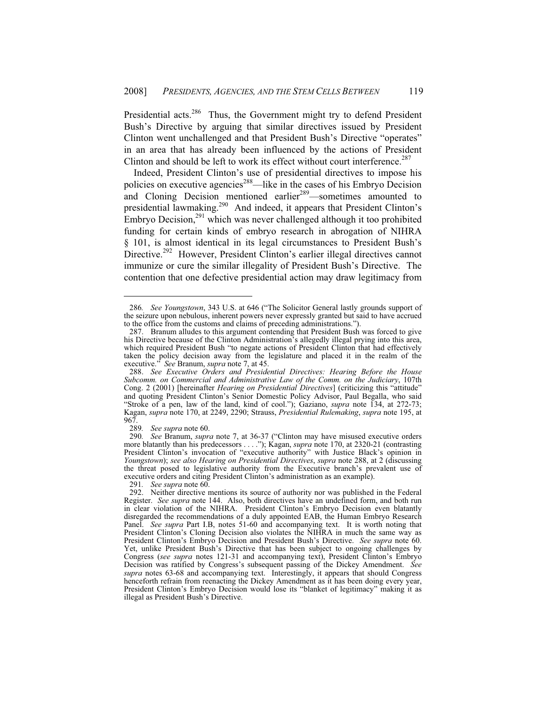Presidential acts.<sup>286</sup> Thus, the Government might try to defend President Bush's Directive by arguing that similar directives issued by President Clinton went unchallenged and that President Bush's Directive "operates" in an area that has already been influenced by the actions of President Clinton and should be left to work its effect without court interference. $287$ 

Indeed, President Clinton's use of presidential directives to impose his policies on executive agencies<sup>288</sup>—like in the cases of his Embryo Decision and Cloning Decision mentioned earlier<sup>289</sup>—sometimes amounted to presidential lawmaking.<sup>290</sup> And indeed, it appears that President Clinton's Embryo Decision,291 which was never challenged although it too prohibited funding for certain kinds of embryo research in abrogation of NIHRA § 101, is almost identical in its legal circumstances to President Bush's Directive.<sup>292</sup> However, President Clinton's earlier illegal directives cannot immunize or cure the similar illegality of President Bush's Directive. The contention that one defective presidential action may draw legitimacy from

<sup>286</sup>*. See Youngstown*, 343 U.S. at 646 ("The Solicitor General lastly grounds support of the seizure upon nebulous, inherent powers never expressly granted but said to have accrued to the office from the customs and claims of preceding administrations.").

 <sup>287.</sup> Branum alludes to this argument contending that President Bush was forced to give his Directive because of the Clinton Administration's allegedly illegal prying into this area, which required President Bush "to negate actions of President Clinton that had effectively taken the policy decision away from the legislature and placed it in the realm of the executive." *See* Branum, *supra* note 7, at 45.

 <sup>288.</sup> *See Executive Orders and Presidential Directives: Hearing Before the House Subcomm. on Commercial and Administrative Law of the Comm. on the Judiciary*, 107th Cong. 2 (2001) [hereinafter *Hearing on Presidential Directives*] (criticizing this "attitude" and quoting President Clinton's Senior Domestic Policy Advisor, Paul Begalla, who said "Stroke of a pen, law of the land, kind of cool."); Gaziano, *supra* note 134, at 272-73; Kagan, *supra* note 170, at 2249, 2290; Strauss, *Presidential Rulemaking*, *supra* note 195, at 967.

<sup>289</sup>*. See supra* note 60.

<sup>290</sup>*. See* Branum, *supra* note 7, at 36-37 ("Clinton may have misused executive orders more blatantly than his predecessors . . . ."); Kagan, *supra* note 170, at 2320-21 (contrasting President Clinton's invocation of "executive authority" with Justice Black's opinion in *Youngstown*); *see also Hearing on Presidential Directives*, *supra* note 288, at 2 (discussing the threat posed to legislative authority from the Executive branch's prevalent use of executive orders and citing President Clinton's administration as an example).

<sup>291</sup>*. See supra* note 60.

 <sup>292.</sup> Neither directive mentions its source of authority nor was published in the Federal Register. *See supra* note 144. Also, both directives have an undefined form, and both run in clear violation of the NIHRA. President Clinton's Embryo Decision even blatantly disregarded the recommendations of a duly appointed EAB, the Human Embryo Research Panel. *See supra* Part I.B, notes 51-60 and accompanying text. It is worth noting that President Clinton's Cloning Decision also violates the NIHRA in much the same way as President Clinton's Embryo Decision and President Bush's Directive. *See supra* note 60. Yet, unlike President Bush's Directive that has been subject to ongoing challenges by Congress (*see supra* notes 121-31 and accompanying text), President Clinton's Embryo Decision was ratified by Congress's subsequent passing of the Dickey Amendment. *See supra* notes 63-68 and accompanying text. Interestingly, it appears that should Congress henceforth refrain from reenacting the Dickey Amendment as it has been doing every year, President Clinton's Embryo Decision would lose its "blanket of legitimacy" making it as illegal as President Bush's Directive.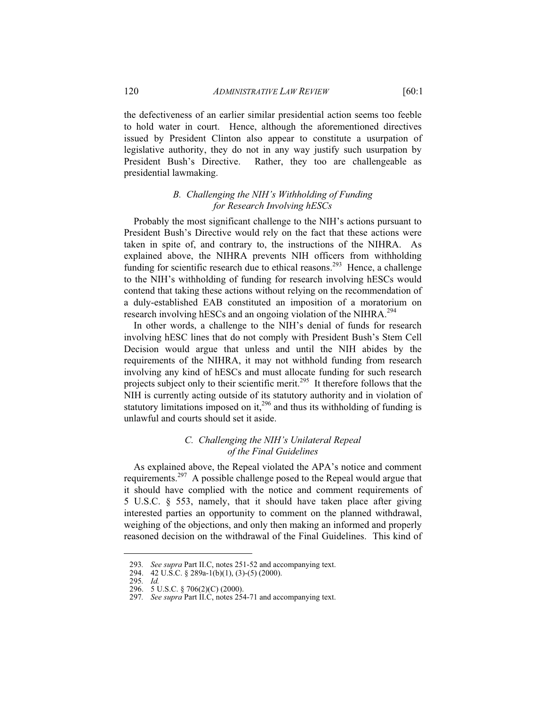the defectiveness of an earlier similar presidential action seems too feeble to hold water in court. Hence, although the aforementioned directives

issued by President Clinton also appear to constitute a usurpation of legislative authority, they do not in any way justify such usurpation by President Bush's Directive. Rather, they too are challengeable as presidential lawmaking.

# *B. Challenging the NIH's Withholding of Funding for Research Involving hESCs*

Probably the most significant challenge to the NIH's actions pursuant to President Bush's Directive would rely on the fact that these actions were taken in spite of, and contrary to, the instructions of the NIHRA. As explained above, the NIHRA prevents NIH officers from withholding funding for scientific research due to ethical reasons.<sup>293</sup> Hence, a challenge to the NIH's withholding of funding for research involving hESCs would contend that taking these actions without relying on the recommendation of a duly-established EAB constituted an imposition of a moratorium on research involving hESCs and an ongoing violation of the NIHRA.<sup>294</sup>

In other words, a challenge to the NIH's denial of funds for research involving hESC lines that do not comply with President Bush's Stem Cell Decision would argue that unless and until the NIH abides by the requirements of the NIHRA, it may not withhold funding from research involving any kind of hESCs and must allocate funding for such research projects subject only to their scientific merit.<sup>295</sup> It therefore follows that the NIH is currently acting outside of its statutory authority and in violation of statutory limitations imposed on it,<sup>296</sup> and thus its withholding of funding is unlawful and courts should set it aside.

### *C. Challenging the NIH's Unilateral Repeal of the Final Guidelines*

As explained above, the Repeal violated the APA's notice and comment requirements.297 A possible challenge posed to the Repeal would argue that it should have complied with the notice and comment requirements of 5 U.S.C. § 553, namely, that it should have taken place after giving interested parties an opportunity to comment on the planned withdrawal, weighing of the objections, and only then making an informed and properly reasoned decision on the withdrawal of the Final Guidelines. This kind of

<sup>293</sup>*. See supra* Part II.C, notes 251-52 and accompanying text.

 <sup>294. 42</sup> U.S.C. § 289a-1(b)(1), (3)-(5) (2000).

<sup>295</sup>*. Id.*

 <sup>296. 5</sup> U.S.C. § 706(2)(C) (2000).

<sup>297</sup>*. See supra* Part II.C, notes 254-71 and accompanying text.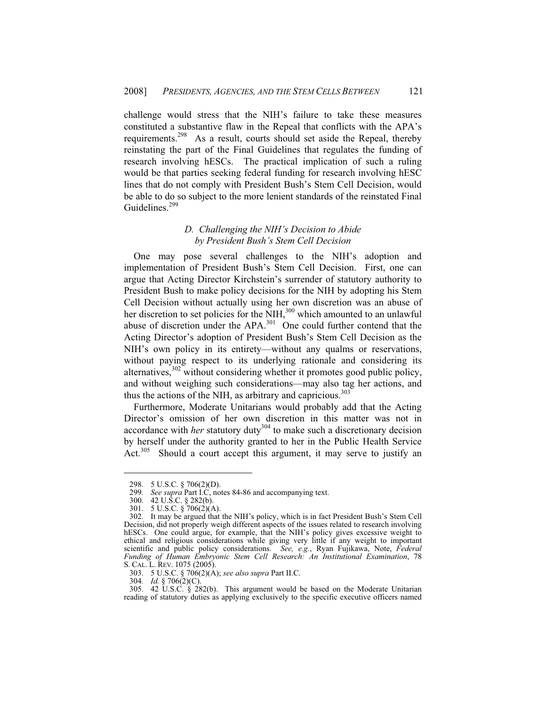challenge would stress that the NIH's failure to take these measures constituted a substantive flaw in the Repeal that conflicts with the APA's requirements.298 As a result, courts should set aside the Repeal, thereby reinstating the part of the Final Guidelines that regulates the funding of research involving hESCs. The practical implication of such a ruling would be that parties seeking federal funding for research involving hESC lines that do not comply with President Bush's Stem Cell Decision, would be able to do so subject to the more lenient standards of the reinstated Final Guidelines.<sup>299</sup>

# *D. Challenging the NIH's Decision to Abide by President Bush's Stem Cell Decision*

One may pose several challenges to the NIH's adoption and implementation of President Bush's Stem Cell Decision. First, one can argue that Acting Director Kirchstein's surrender of statutory authority to President Bush to make policy decisions for the NIH by adopting his Stem Cell Decision without actually using her own discretion was an abuse of her discretion to set policies for the  $\overline{NH}$ ,<sup>300</sup> which amounted to an unlawful abuse of discretion under the  $APA$ <sup>301</sup>. One could further contend that the Acting Director's adoption of President Bush's Stem Cell Decision as the NIH's own policy in its entirety—without any qualms or reservations, without paying respect to its underlying rationale and considering its alternatives, $302$  without considering whether it promotes good public policy, and without weighing such considerations—may also tag her actions, and thus the actions of the NIH, as arbitrary and capricious. $303$ 

Furthermore, Moderate Unitarians would probably add that the Acting Director's omission of her own discretion in this matter was not in accordance with *her* statutory duty<sup>304</sup> to make such a discretionary decision by herself under the authority granted to her in the Public Health Service Act.<sup>305</sup> Should a court accept this argument, it may serve to justify an

 <sup>298. 5</sup> U.S.C. § 706(2)(D).

<sup>299</sup>*. See supra* Part I.C, notes 84-86 and accompanying text.

 <sup>300. 42</sup> U.S.C. § 282(b).

 <sup>301. 5</sup> U.S.C. § 706(2)(A).

 <sup>302.</sup> It may be argued that the NIH's policy, which is in fact President Bush's Stem Cell Decision, did not properly weigh different aspects of the issues related to research involving hESCs. One could argue, for example, that the NIH's policy gives excessive weight to ethical and religious considerations while giving very little if any weight to important scientific and public policy considerations. *See, e.g.*, Ryan Fujikawa, Note, *Federal Funding of Human Embryonic Stem Cell Research: An Institutional Examination*, 78 S. CAL. L. REV. 1075 (2005).

 <sup>303. 5</sup> U.S.C. § 706(2)(A); *see also supra* Part II.C.

<sup>304</sup>*. Id.* § 706(2)(C).

 <sup>305. 42</sup> U.S.C. § 282(b). This argument would be based on the Moderate Unitarian reading of statutory duties as applying exclusively to the specific executive officers named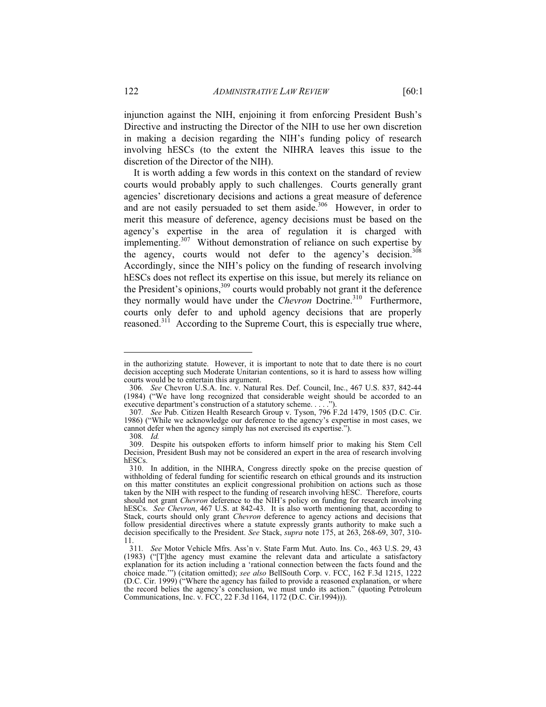injunction against the NIH, enjoining it from enforcing President Bush's Directive and instructing the Director of the NIH to use her own discretion in making a decision regarding the NIH's funding policy of research involving hESCs (to the extent the NIHRA leaves this issue to the discretion of the Director of the NIH).

It is worth adding a few words in this context on the standard of review courts would probably apply to such challenges. Courts generally grant agencies' discretionary decisions and actions a great measure of deference and are not easily persuaded to set them aside.<sup>306</sup> However, in order to merit this measure of deference, agency decisions must be based on the agency's expertise in the area of regulation it is charged with implementing.<sup>307</sup> Without demonstration of reliance on such expertise by the agency, courts would not defer to the agency's decision.<sup>308</sup> Accordingly, since the NIH's policy on the funding of research involving hESCs does not reflect its expertise on this issue, but merely its reliance on the President's opinions,<sup>309</sup> courts would probably not grant it the deference they normally would have under the *Chevron* Doctrine.<sup>310</sup> Furthermore, courts only defer to and uphold agency decisions that are properly reasoned.<sup>311</sup> According to the Supreme Court, this is especially true where,

in the authorizing statute. However, it is important to note that to date there is no court decision accepting such Moderate Unitarian contentions, so it is hard to assess how willing courts would be to entertain this argument.

<sup>306</sup>*. See* Chevron U.S.A. Inc. v. Natural Res. Def. Council, Inc., 467 U.S. 837, 842-44 (1984) ("We have long recognized that considerable weight should be accorded to an executive department's construction of a statutory scheme. . . . .").

<sup>307</sup>*. See* Pub. Citizen Health Research Group v. Tyson, 796 F.2d 1479, 1505 (D.C. Cir. 1986) ("While we acknowledge our deference to the agency's expertise in most cases, we cannot defer when the agency simply has not exercised its expertise.").

<sup>308</sup>*. Id.*

 <sup>309.</sup> Despite his outspoken efforts to inform himself prior to making his Stem Cell Decision, President Bush may not be considered an expert in the area of research involving hESCs.

 <sup>310.</sup> In addition, in the NIHRA, Congress directly spoke on the precise question of withholding of federal funding for scientific research on ethical grounds and its instruction on this matter constitutes an explicit congressional prohibition on actions such as those taken by the NIH with respect to the funding of research involving hESC. Therefore, courts should not grant *Chevron* deference to the NIH's policy on funding for research involving hESCs. *See Chevron*, 467 U.S. at 842-43. It is also worth mentioning that, according to Stack, courts should only grant *Chevron* deference to agency actions and decisions that follow presidential directives where a statute expressly grants authority to make such a decision specifically to the President. *See* Stack, *supra* note 175, at 263, 268-69, 307, 310- 11.

<sup>311</sup>*. See* Motor Vehicle Mfrs. Ass'n v. State Farm Mut. Auto. Ins. Co., 463 U.S. 29, 43 (1983) ("[T]the agency must examine the relevant data and articulate a satisfactory explanation for its action including a 'rational connection between the facts found and the choice made.'") (citation omitted); *see also* BellSouth Corp. v. FCC, 162 F.3d 1215, 1222 (D.C. Cir. 1999) ("Where the agency has failed to provide a reasoned explanation, or where the record belies the agency's conclusion, we must undo its action." (quoting Petroleum Communications, Inc. v. FCC, 22 F.3d 1164, 1172 (D.C. Cir.1994))).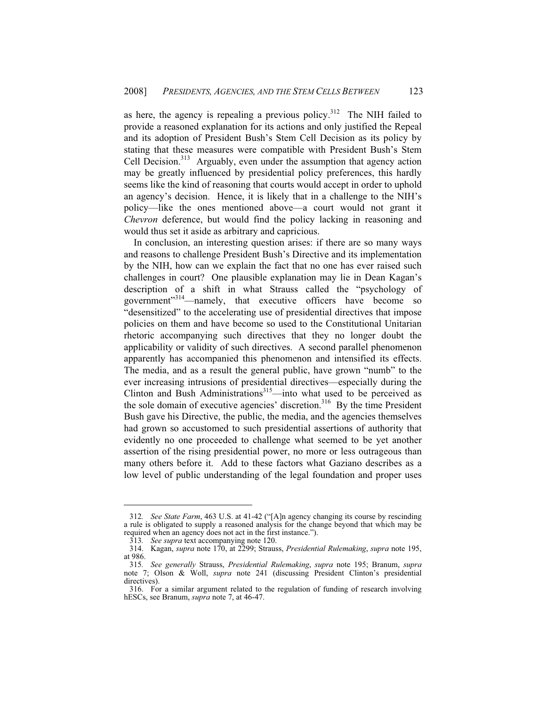as here, the agency is repealing a previous policy.<sup>312</sup> The NIH failed to provide a reasoned explanation for its actions and only justified the Repeal and its adoption of President Bush's Stem Cell Decision as its policy by stating that these measures were compatible with President Bush's Stem Cell Decision.<sup>313</sup> Arguably, even under the assumption that agency action may be greatly influenced by presidential policy preferences, this hardly seems like the kind of reasoning that courts would accept in order to uphold an agency's decision. Hence, it is likely that in a challenge to the NIH's policy—like the ones mentioned above—a court would not grant it *Chevron* deference, but would find the policy lacking in reasoning and would thus set it aside as arbitrary and capricious.

In conclusion, an interesting question arises: if there are so many ways and reasons to challenge President Bush's Directive and its implementation by the NIH, how can we explain the fact that no one has ever raised such challenges in court? One plausible explanation may lie in Dean Kagan's description of a shift in what Strauss called the "psychology of government<sup>3314</sup>—namely, that executive officers have become so "desensitized" to the accelerating use of presidential directives that impose policies on them and have become so used to the Constitutional Unitarian rhetoric accompanying such directives that they no longer doubt the applicability or validity of such directives. A second parallel phenomenon apparently has accompanied this phenomenon and intensified its effects. The media, and as a result the general public, have grown "numb" to the ever increasing intrusions of presidential directives—especially during the Clinton and Bush Administrations<sup>315</sup>—into what used to be perceived as the sole domain of executive agencies' discretion.<sup>316</sup> By the time President Bush gave his Directive, the public, the media, and the agencies themselves had grown so accustomed to such presidential assertions of authority that evidently no one proceeded to challenge what seemed to be yet another assertion of the rising presidential power, no more or less outrageous than many others before it. Add to these factors what Gaziano describes as a low level of public understanding of the legal foundation and proper uses

<sup>312</sup>*. See State Farm*, 463 U.S. at 41-42 ("[A]n agency changing its course by rescinding a rule is obligated to supply a reasoned analysis for the change beyond that which may be required when an agency does not act in the first instance.").

<sup>313</sup>*. See supra* text accompanying note 120.

 <sup>314.</sup> Kagan, *supra* note 170, at 2299; Strauss, *Presidential Rulemaking*, *supra* note 195, at 986.

<sup>315</sup>*. See generally* Strauss, *Presidential Rulemaking*, *supra* note 195; Branum, *supra* note 7; Olson & Woll, *supra* note 241 (discussing President Clinton's presidential directives).

 <sup>316.</sup> For a similar argument related to the regulation of funding of research involving hESCs, see Branum, *supra* note 7, at 46-47.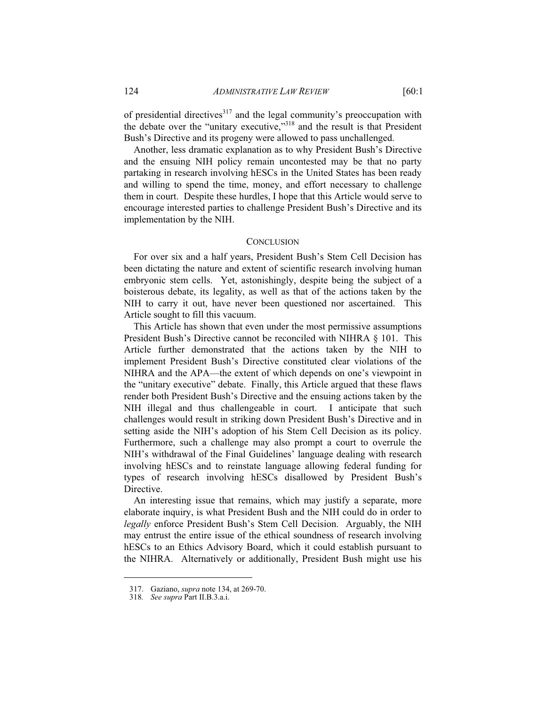of presidential directives<sup>317</sup> and the legal community's preoccupation with the debate over the "unitary executive,"318 and the result is that President Bush's Directive and its progeny were allowed to pass unchallenged.

Another, less dramatic explanation as to why President Bush's Directive and the ensuing NIH policy remain uncontested may be that no party partaking in research involving hESCs in the United States has been ready and willing to spend the time, money, and effort necessary to challenge them in court. Despite these hurdles, I hope that this Article would serve to encourage interested parties to challenge President Bush's Directive and its implementation by the NIH.

#### **CONCLUSION**

For over six and a half years, President Bush's Stem Cell Decision has been dictating the nature and extent of scientific research involving human embryonic stem cells. Yet, astonishingly, despite being the subject of a boisterous debate, its legality, as well as that of the actions taken by the NIH to carry it out, have never been questioned nor ascertained. This Article sought to fill this vacuum.

This Article has shown that even under the most permissive assumptions President Bush's Directive cannot be reconciled with NIHRA § 101. This Article further demonstrated that the actions taken by the NIH to implement President Bush's Directive constituted clear violations of the NIHRA and the APA—the extent of which depends on one's viewpoint in the "unitary executive" debate. Finally, this Article argued that these flaws render both President Bush's Directive and the ensuing actions taken by the NIH illegal and thus challengeable in court. I anticipate that such challenges would result in striking down President Bush's Directive and in setting aside the NIH's adoption of his Stem Cell Decision as its policy. Furthermore, such a challenge may also prompt a court to overrule the NIH's withdrawal of the Final Guidelines' language dealing with research involving hESCs and to reinstate language allowing federal funding for types of research involving hESCs disallowed by President Bush's Directive.

An interesting issue that remains, which may justify a separate, more elaborate inquiry, is what President Bush and the NIH could do in order to *legally* enforce President Bush's Stem Cell Decision. Arguably, the NIH may entrust the entire issue of the ethical soundness of research involving hESCs to an Ethics Advisory Board, which it could establish pursuant to the NIHRA. Alternatively or additionally, President Bush might use his

 <sup>317.</sup> Gaziano, *supra* note 134, at 269-70.

<sup>318</sup>*. See supra* Part II.B.3.a.i.